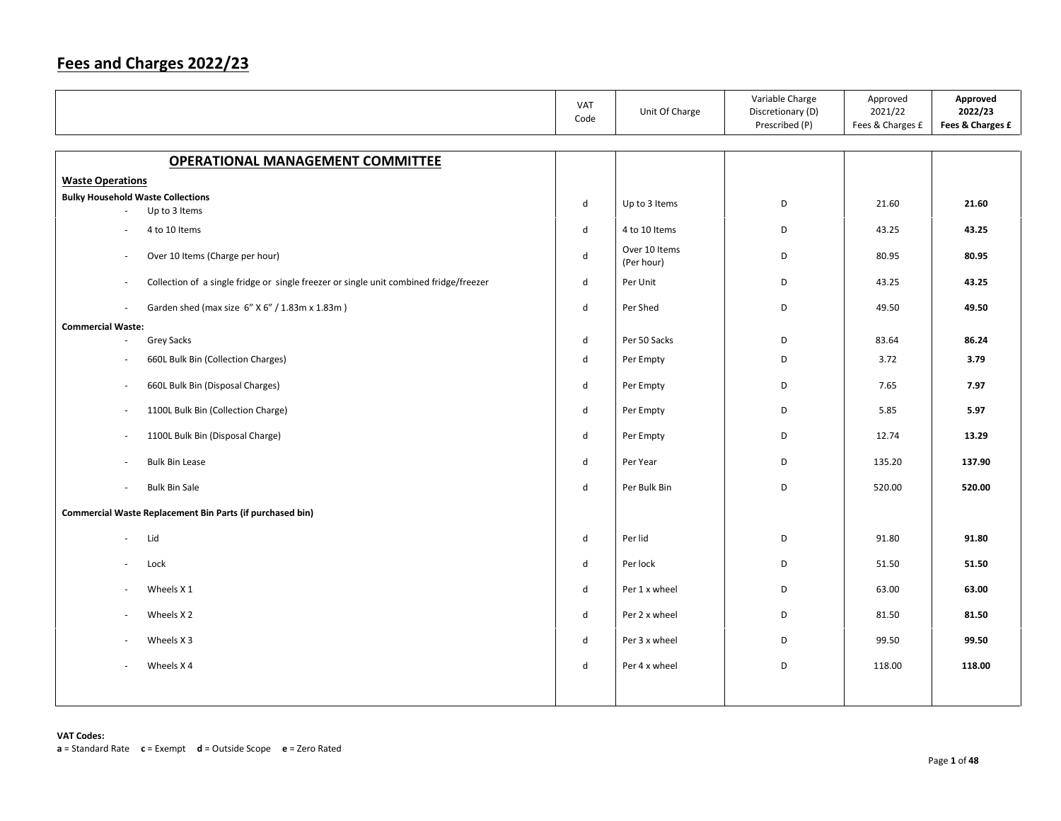|                                                                                        | VAT<br>Code                 | Unit Of Charge              | Variable Charge<br>Discretionary (D)<br>Prescribed (P) | Approved<br>2021/22<br>Fees & Charges £ | Approved<br>2022/23<br>Fees & Charges £ |
|----------------------------------------------------------------------------------------|-----------------------------|-----------------------------|--------------------------------------------------------|-----------------------------------------|-----------------------------------------|
| <b>OPERATIONAL MANAGEMENT COMMITTEE</b>                                                |                             |                             |                                                        |                                         |                                         |
| <b>Waste Operations</b>                                                                |                             |                             |                                                        |                                         |                                         |
| <b>Bulky Household Waste Collections</b>                                               |                             |                             |                                                        |                                         |                                         |
| Up to 3 Items                                                                          | d                           | Up to 3 Items               | D                                                      | 21.60                                   | 21.60                                   |
| 4 to 10 Items                                                                          | d                           | 4 to 10 Items               | D                                                      | 43.25                                   | 43.25                                   |
| Over 10 Items (Charge per hour)<br>$\sim$                                              | $\mathsf{d}$                | Over 10 Items<br>(Per hour) | D                                                      | 80.95                                   | 80.95                                   |
| Collection of a single fridge or single freezer or single unit combined fridge/freezer | d                           | Per Unit                    | D                                                      | 43.25                                   | 43.25                                   |
| Garden shed (max size 6" X 6" / 1.83m x 1.83m)                                         | $\operatorname{\mathsf{d}}$ | Per Shed                    | D                                                      | 49.50                                   | 49.50                                   |
| <b>Commercial Waste:</b>                                                               |                             |                             |                                                        |                                         |                                         |
| <b>Grey Sacks</b>                                                                      | d                           | Per 50 Sacks                | D                                                      | 83.64                                   | 86.24                                   |
| 660L Bulk Bin (Collection Charges)                                                     | d                           | Per Empty                   | D                                                      | 3.72                                    | 3.79                                    |
| 660L Bulk Bin (Disposal Charges)<br>$\sim$                                             | d                           | Per Empty                   | D                                                      | 7.65                                    | 7.97                                    |
| 1100L Bulk Bin (Collection Charge)<br>$\sim$                                           | $\mathsf{d}$                | Per Empty                   | D                                                      | 5.85                                    | 5.97                                    |
| 1100L Bulk Bin (Disposal Charge)<br>$\sim$                                             | d                           | Per Empty                   | D                                                      | 12.74                                   | 13.29                                   |
| <b>Bulk Bin Lease</b>                                                                  | $\mathsf{d}$                | Per Year                    | D                                                      | 135.20                                  | 137.90                                  |
| <b>Bulk Bin Sale</b><br>$\sim$                                                         | $\mathsf{d}$                | Per Bulk Bin                | D                                                      | 520.00                                  | 520.00                                  |
| Commercial Waste Replacement Bin Parts (if purchased bin)                              |                             |                             |                                                        |                                         |                                         |
| Lid<br>$\sim$                                                                          | d                           | Per lid                     | D                                                      | 91.80                                   | 91.80                                   |
| Lock                                                                                   | $\operatorname{\mathsf{d}}$ | Per lock                    | D                                                      | 51.50                                   | 51.50                                   |
| Wheels X 1<br>$\overline{\phantom{a}}$                                                 | d                           | Per 1 x wheel               | D                                                      | 63.00                                   | 63.00                                   |
| Wheels X <sub>2</sub>                                                                  | d                           | Per 2 x wheel               | D                                                      | 81.50                                   | 81.50                                   |
| Wheels X 3                                                                             | d                           | Per 3 x wheel               | D                                                      | 99.50                                   | 99.50                                   |
| Wheels X4                                                                              | d                           | Per 4 x wheel               | D                                                      | 118.00                                  | 118.00                                  |
|                                                                                        |                             |                             |                                                        |                                         |                                         |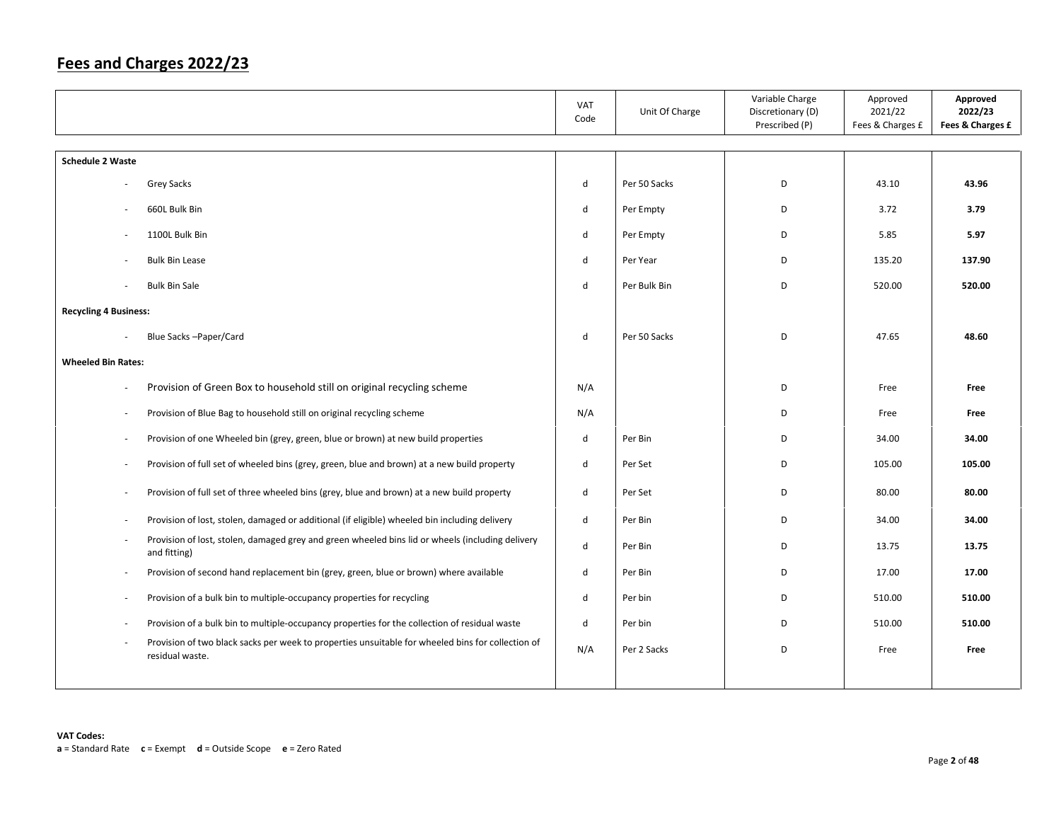|                              |                                                                                                                      | VAT<br>Code | Unit Of Charge | Variable Charge<br>Discretionary (D)<br>Prescribed (P) | Approved<br>2021/22<br>Fees & Charges £ | Approved<br>2022/23<br>Fees & Charges £ |
|------------------------------|----------------------------------------------------------------------------------------------------------------------|-------------|----------------|--------------------------------------------------------|-----------------------------------------|-----------------------------------------|
| <b>Schedule 2 Waste</b>      |                                                                                                                      |             |                |                                                        |                                         |                                         |
|                              | Grey Sacks                                                                                                           | d           | Per 50 Sacks   | D                                                      | 43.10                                   | 43.96                                   |
|                              | 660L Bulk Bin                                                                                                        | d           | Per Empty      | D                                                      | 3.72                                    | 3.79                                    |
| $\sim$                       | 1100L Bulk Bin                                                                                                       | d           | Per Empty      | D                                                      | 5.85                                    | 5.97                                    |
|                              | <b>Bulk Bin Lease</b>                                                                                                | d           | Per Year       | D                                                      | 135.20                                  | 137.90                                  |
|                              | <b>Bulk Bin Sale</b>                                                                                                 | d           | Per Bulk Bin   | D                                                      | 520.00                                  | 520.00                                  |
| <b>Recycling 4 Business:</b> |                                                                                                                      |             |                |                                                        |                                         |                                         |
|                              | Blue Sacks-Paper/Card                                                                                                | d           | Per 50 Sacks   | D                                                      | 47.65                                   | 48.60                                   |
|                              |                                                                                                                      |             |                |                                                        |                                         |                                         |
| <b>Wheeled Bin Rates:</b>    |                                                                                                                      |             |                |                                                        |                                         |                                         |
| $\overline{\phantom{a}}$     | Provision of Green Box to household still on original recycling scheme                                               | N/A         |                | D                                                      | Free                                    | Free                                    |
| $\overline{\phantom{a}}$     | Provision of Blue Bag to household still on original recycling scheme                                                | N/A         |                | D                                                      | Free                                    | Free                                    |
| $\overline{\phantom{a}}$     | Provision of one Wheeled bin (grey, green, blue or brown) at new build properties                                    | d           | Per Bin        | D                                                      | 34.00                                   | 34.00                                   |
| $\overline{\phantom{a}}$     | Provision of full set of wheeled bins (grey, green, blue and brown) at a new build property                          | d           | Per Set        | D                                                      | 105.00                                  | 105.00                                  |
| $\overline{\phantom{a}}$     | Provision of full set of three wheeled bins (grey, blue and brown) at a new build property                           | d           | Per Set        | D                                                      | 80.00                                   | 80.00                                   |
| $\overline{\phantom{a}}$     | Provision of lost, stolen, damaged or additional (if eligible) wheeled bin including delivery                        | d           | Per Bin        | D                                                      | 34.00                                   | 34.00                                   |
| $\overline{\phantom{a}}$     | Provision of lost, stolen, damaged grey and green wheeled bins lid or wheels (including delivery<br>and fitting)     | d           | Per Bin        | D                                                      | 13.75                                   | 13.75                                   |
| $\sim$                       | Provision of second hand replacement bin (grey, green, blue or brown) where available                                | d           | Per Bin        | D                                                      | 17.00                                   | 17.00                                   |
| $\overline{\phantom{a}}$     | Provision of a bulk bin to multiple-occupancy properties for recycling                                               | d           | Per bin        | D                                                      | 510.00                                  | 510.00                                  |
| $\overline{\phantom{a}}$     | Provision of a bulk bin to multiple-occupancy properties for the collection of residual waste                        | d           | Per bin        | D                                                      | 510.00                                  | 510.00                                  |
|                              | Provision of two black sacks per week to properties unsuitable for wheeled bins for collection of<br>residual waste. | N/A         | Per 2 Sacks    | D                                                      | Free                                    | Free                                    |
|                              |                                                                                                                      |             |                |                                                        |                                         |                                         |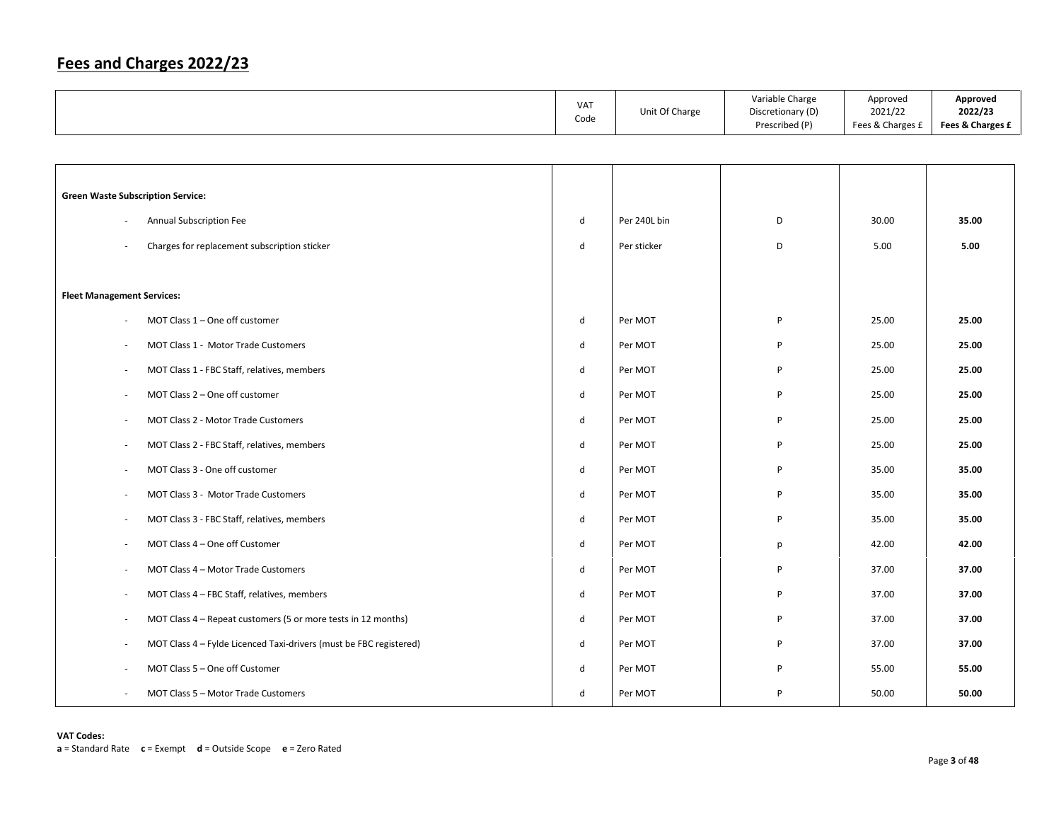|                                                                    | VAT<br>Code  | Unit Of Charge | Variable Charge<br>Discretionary (D)<br>Prescribed (P) | Approved<br>2021/22<br>Fees & Charges £ | Approved<br>2022/23<br>Fees & Charges £ |
|--------------------------------------------------------------------|--------------|----------------|--------------------------------------------------------|-----------------------------------------|-----------------------------------------|
|                                                                    |              |                |                                                        |                                         |                                         |
|                                                                    |              |                |                                                        |                                         |                                         |
| <b>Green Waste Subscription Service:</b>                           |              |                |                                                        |                                         |                                         |
| Annual Subscription Fee                                            | $\sf d$      | Per 240L bin   | D                                                      | 30.00                                   | 35.00                                   |
| Charges for replacement subscription sticker                       | ${\sf d}$    | Per sticker    | D                                                      | 5.00                                    | 5.00                                    |
|                                                                    |              |                |                                                        |                                         |                                         |
| <b>Fleet Management Services:</b>                                  |              |                |                                                        |                                         |                                         |
| MOT Class $1 -$ One off customer                                   | d            | Per MOT        | P                                                      | 25.00                                   | 25.00                                   |
| MOT Class 1 - Motor Trade Customers                                | $\sf d$      | Per MOT        | P                                                      | 25.00                                   | 25.00                                   |
| MOT Class 1 - FBC Staff, relatives, members                        | $\mathsf{d}$ | Per MOT        | P                                                      | 25.00                                   | 25.00                                   |
| MOT Class 2 - One off customer                                     | $\sf d$      | Per MOT        | P                                                      | 25.00                                   | 25.00                                   |
| MOT Class 2 - Motor Trade Customers                                | d            | Per MOT        | P                                                      | 25.00                                   | 25.00                                   |
| MOT Class 2 - FBC Staff, relatives, members                        | d            | Per MOT        | P                                                      | 25.00                                   | 25.00                                   |
| MOT Class 3 - One off customer                                     | $\mathsf{d}$ | Per MOT        | P                                                      | 35.00                                   | 35.00                                   |
| MOT Class 3 - Motor Trade Customers                                | d            | Per MOT        | P                                                      | 35.00                                   | 35.00                                   |
| MOT Class 3 - FBC Staff, relatives, members                        | ${\sf d}$    | Per MOT        | P                                                      | 35.00                                   | 35.00                                   |
| MOT Class 4 - One off Customer                                     | d            | Per MOT        | р                                                      | 42.00                                   | 42.00                                   |
| MOT Class 4 - Motor Trade Customers                                | ${\sf d}$    | Per MOT        | P                                                      | 37.00                                   | 37.00                                   |
| MOT Class 4 - FBC Staff, relatives, members                        | d            | Per MOT        | P                                                      | 37.00                                   | 37.00                                   |
| MOT Class 4 - Repeat customers (5 or more tests in 12 months)      | ${\sf d}$    | Per MOT        | P                                                      | 37.00                                   | 37.00                                   |
| MOT Class 4 - Fylde Licenced Taxi-drivers (must be FBC registered) | d            | Per MOT        | P                                                      | 37.00                                   | 37.00                                   |
| MOT Class 5 - One off Customer                                     | d            | Per MOT        | P                                                      | 55.00                                   | 55.00                                   |
| MOT Class 5 - Motor Trade Customers                                | $\mathsf{d}$ | Per MOT        | P                                                      | 50.00                                   | 50.00                                   |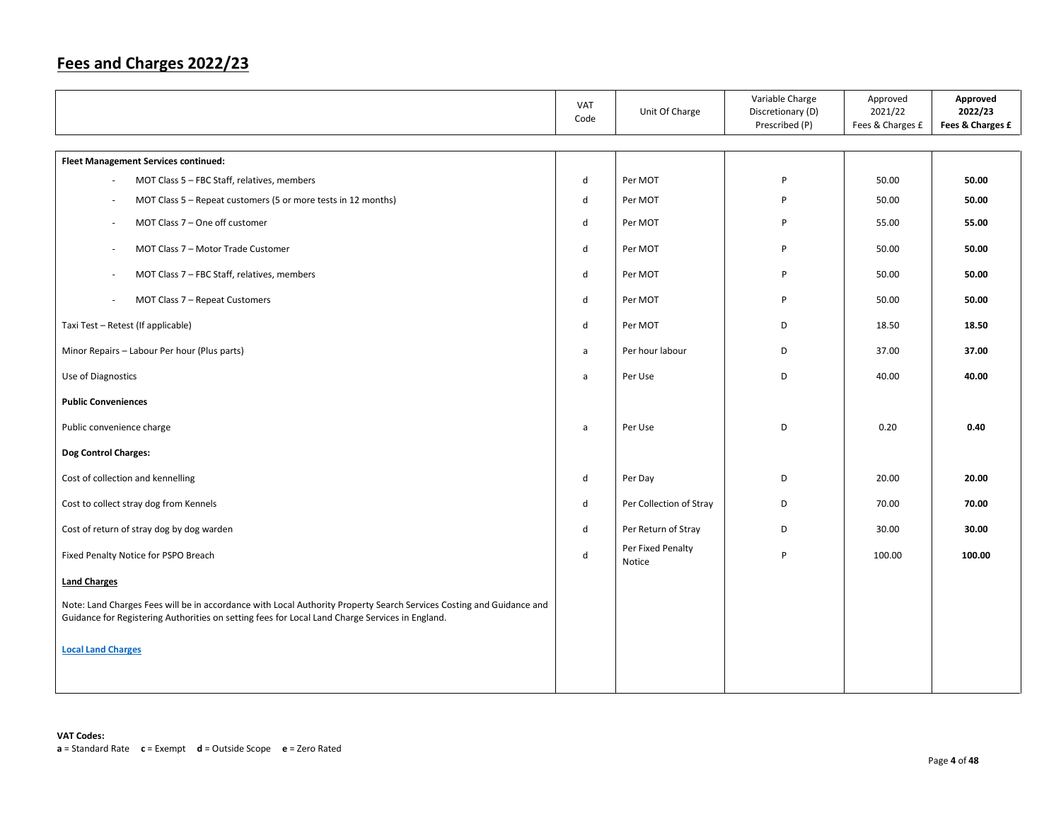|                                                                                                                                                                                                                         | VAT<br>Code | Unit Of Charge              | Variable Charge<br>Discretionary (D)<br>Prescribed (P) | Approved<br>2021/22<br>Fees & Charges £ | Approved<br>2022/23<br>Fees & Charges £ |
|-------------------------------------------------------------------------------------------------------------------------------------------------------------------------------------------------------------------------|-------------|-----------------------------|--------------------------------------------------------|-----------------------------------------|-----------------------------------------|
| <b>Fleet Management Services continued:</b>                                                                                                                                                                             |             |                             |                                                        |                                         |                                         |
| MOT Class 5 - FBC Staff, relatives, members                                                                                                                                                                             | d           | Per MOT                     | P                                                      | 50.00                                   | 50.00                                   |
| MOT Class 5 – Repeat customers (5 or more tests in 12 months)<br>$\overline{\phantom{a}}$                                                                                                                               | d           | Per MOT                     | P                                                      | 50.00                                   | 50.00                                   |
| MOT Class 7 - One off customer                                                                                                                                                                                          | d           | Per MOT                     | P                                                      | 55.00                                   | 55.00                                   |
| MOT Class 7 - Motor Trade Customer                                                                                                                                                                                      | d           | Per MOT                     | P                                                      | 50.00                                   | 50.00                                   |
| MOT Class 7 - FBC Staff, relatives, members                                                                                                                                                                             | d           | Per MOT                     | P                                                      | 50.00                                   | 50.00                                   |
| MOT Class 7 - Repeat Customers                                                                                                                                                                                          | d           | Per MOT                     | P                                                      | 50.00                                   | 50.00                                   |
| Taxi Test - Retest (If applicable)                                                                                                                                                                                      | d           | Per MOT                     | D                                                      | 18.50                                   | 18.50                                   |
| Minor Repairs - Labour Per hour (Plus parts)                                                                                                                                                                            | a           | Per hour labour             | D                                                      | 37.00                                   | 37.00                                   |
| Use of Diagnostics                                                                                                                                                                                                      | a           | Per Use                     | D                                                      | 40.00                                   | 40.00                                   |
| <b>Public Conveniences</b>                                                                                                                                                                                              |             |                             |                                                        |                                         |                                         |
| Public convenience charge                                                                                                                                                                                               | a           | Per Use                     | D                                                      | 0.20                                    | 0.40                                    |
| Dog Control Charges:                                                                                                                                                                                                    |             |                             |                                                        |                                         |                                         |
| Cost of collection and kennelling                                                                                                                                                                                       | d           | Per Day                     | D                                                      | 20.00                                   | 20.00                                   |
| Cost to collect stray dog from Kennels                                                                                                                                                                                  | d           | Per Collection of Stray     | D                                                      | 70.00                                   | 70.00                                   |
| Cost of return of stray dog by dog warden                                                                                                                                                                               | d           | Per Return of Stray         | D                                                      | 30.00                                   | 30.00                                   |
| Fixed Penalty Notice for PSPO Breach                                                                                                                                                                                    | d           | Per Fixed Penalty<br>Notice | P                                                      | 100.00                                  | 100.00                                  |
| <b>Land Charges</b>                                                                                                                                                                                                     |             |                             |                                                        |                                         |                                         |
| Note: Land Charges Fees will be in accordance with Local Authority Property Search Services Costing and Guidance and<br>Guidance for Registering Authorities on setting fees for Local Land Charge Services in England. |             |                             |                                                        |                                         |                                         |
| <b>Local Land Charges</b>                                                                                                                                                                                               |             |                             |                                                        |                                         |                                         |
|                                                                                                                                                                                                                         |             |                             |                                                        |                                         |                                         |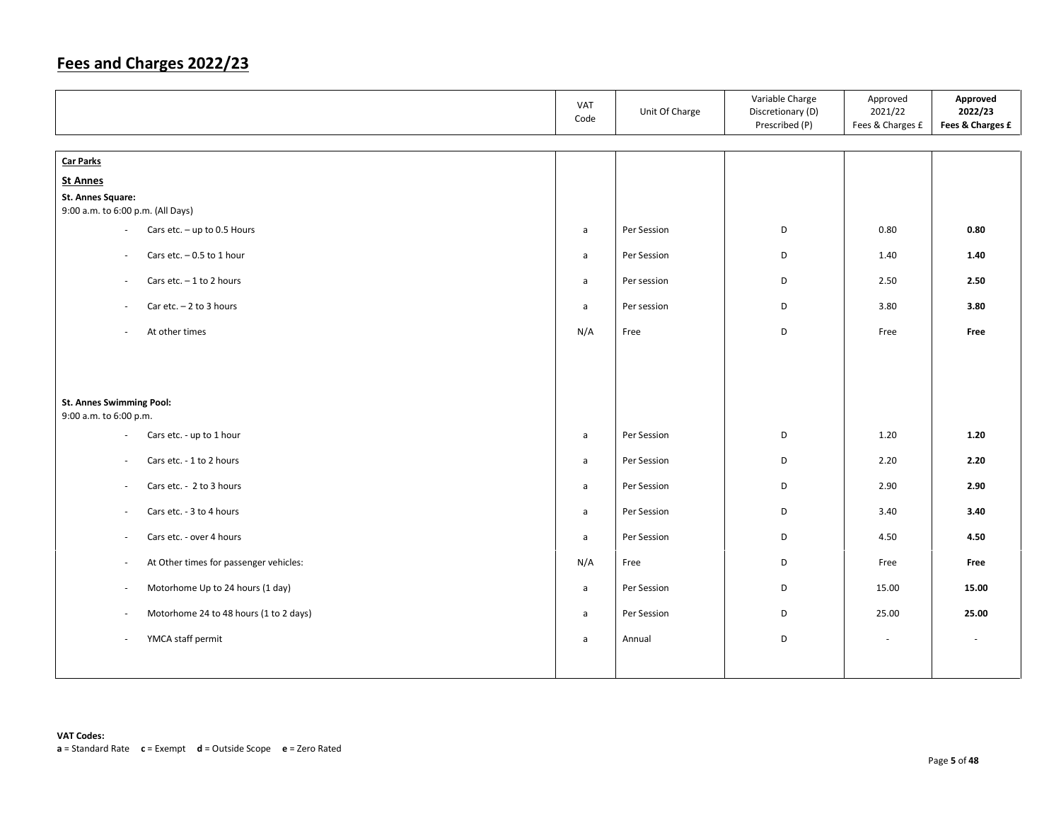|                                                                    | VAT<br>Code  | Unit Of Charge | Variable Charge<br>Discretionary (D)<br>Prescribed (P) | Approved<br>2021/22<br>Fees & Charges £ | Approved<br>2022/23<br>Fees & Charges £ |
|--------------------------------------------------------------------|--------------|----------------|--------------------------------------------------------|-----------------------------------------|-----------------------------------------|
| <b>Car Parks</b>                                                   |              |                |                                                        |                                         |                                         |
| <b>St Annes</b>                                                    |              |                |                                                        |                                         |                                         |
| St. Annes Square:<br>9:00 a.m. to 6:00 p.m. (All Days)             |              |                |                                                        |                                         |                                         |
| Cars etc. $-$ up to 0.5 Hours<br>$\overline{\phantom{a}}$          | a            | Per Session    | D                                                      | 0.80                                    | 0.80                                    |
| Cars etc. $-0.5$ to 1 hour<br>$\sim$                               | a            | Per Session    | D                                                      | 1.40                                    | 1.40                                    |
| Cars etc. $-1$ to 2 hours<br>$\overline{\phantom{a}}$              | a            | Per session    | D                                                      | 2.50                                    | 2.50                                    |
| Car etc. $-2$ to 3 hours<br>$\sim$                                 | $\mathsf{a}$ | Per session    | D                                                      | 3.80                                    | 3.80                                    |
| At other times<br>$\sim$                                           | N/A          | Free           | D                                                      | Free                                    | Free                                    |
|                                                                    |              |                |                                                        |                                         |                                         |
| St. Annes Swimming Pool:<br>9:00 a.m. to 6:00 p.m.                 |              |                |                                                        |                                         |                                         |
| Cars etc. - up to 1 hour<br>$\overline{\phantom{a}}$               | a            | Per Session    | D                                                      | 1.20                                    | 1.20                                    |
| Cars etc. - 1 to 2 hours<br>$\sim$                                 | $\mathsf{a}$ | Per Session    | D                                                      | 2.20                                    | 2.20                                    |
| Cars etc. - 2 to 3 hours<br>$\blacksquare$                         | a            | Per Session    | D                                                      | 2.90                                    | 2.90                                    |
| Cars etc. - 3 to 4 hours<br>$\sim$                                 | $\mathsf{a}$ | Per Session    | D                                                      | 3.40                                    | 3.40                                    |
| Cars etc. - over 4 hours<br>$\sim$                                 | a            | Per Session    | D                                                      | 4.50                                    | 4.50                                    |
| At Other times for passenger vehicles:<br>$\overline{\phantom{a}}$ | N/A          | Free           | D                                                      | Free                                    | Free                                    |
| Motorhome Up to 24 hours (1 day)<br>$\sim$                         | $\mathsf{a}$ | Per Session    | D                                                      | 15.00                                   | 15.00                                   |
| Motorhome 24 to 48 hours (1 to 2 days)<br>$\sim$                   | $\mathsf{a}$ | Per Session    | D                                                      | 25.00                                   | 25.00                                   |
| YMCA staff permit<br>$\sim$                                        | a            | Annual         | D                                                      |                                         |                                         |
|                                                                    |              |                |                                                        |                                         |                                         |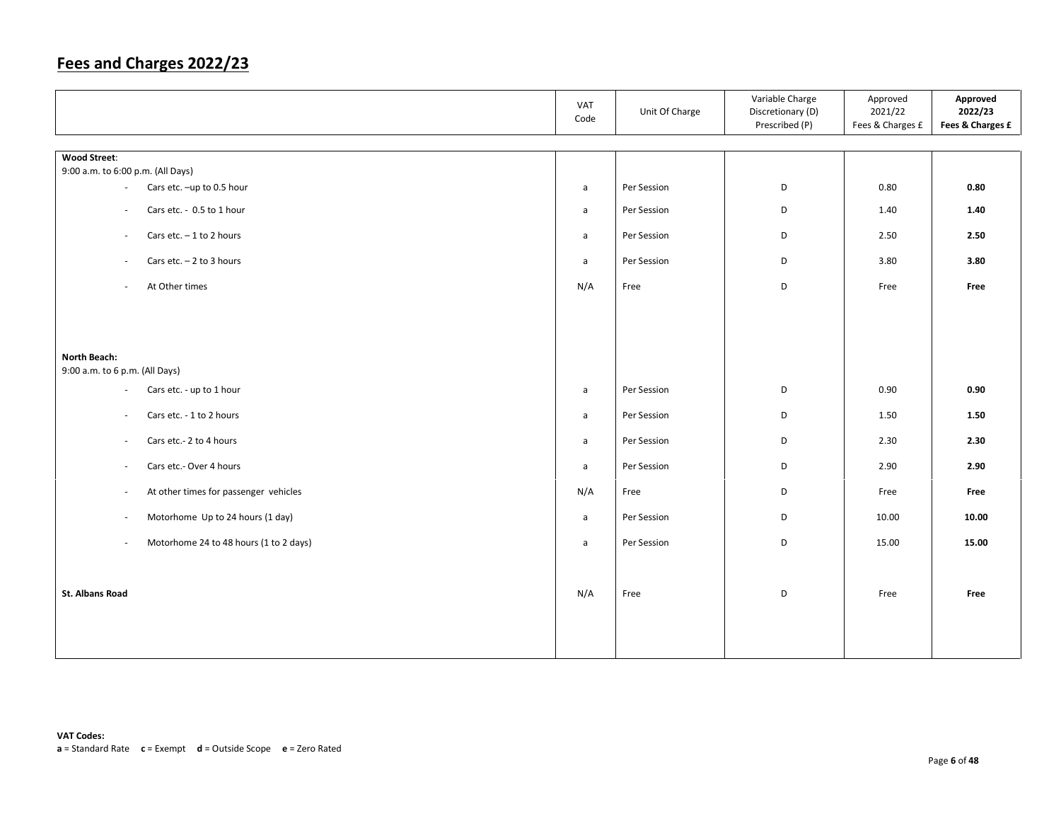|                                                          | VAT<br>Code  | Unit Of Charge | Variable Charge<br>Discretionary (D)<br>Prescribed (P) | Approved<br>2021/22<br>Fees & Charges £ | Approved<br>2022/23<br>Fees & Charges £ |
|----------------------------------------------------------|--------------|----------------|--------------------------------------------------------|-----------------------------------------|-----------------------------------------|
|                                                          |              |                |                                                        |                                         |                                         |
| <b>Wood Street:</b><br>9:00 a.m. to 6:00 p.m. (All Days) |              |                |                                                        |                                         |                                         |
| Cars etc. -up to 0.5 hour<br>$\overline{\phantom{a}}$    | a            | Per Session    | D                                                      | 0.80                                    | 0.80                                    |
|                                                          |              |                |                                                        |                                         |                                         |
| Cars etc. - 0.5 to 1 hour<br>$\sim$                      | $\mathsf{a}$ | Per Session    | D                                                      | 1.40                                    | 1.40                                    |
| Cars etc. $-1$ to 2 hours<br>$\sim$                      | $\mathsf{a}$ | Per Session    | D                                                      | 2.50                                    | 2.50                                    |
| Cars etc. $-2$ to 3 hours<br>$\sim$                      | $\mathsf{a}$ | Per Session    | D                                                      | 3.80                                    | 3.80                                    |
| At Other times<br>$\sim$                                 | N/A          | Free           | D                                                      | Free                                    | Free                                    |
|                                                          |              |                |                                                        |                                         |                                         |
|                                                          |              |                |                                                        |                                         |                                         |
| North Beach:                                             |              |                |                                                        |                                         |                                         |
| 9:00 a.m. to 6 p.m. (All Days)                           |              |                |                                                        |                                         |                                         |
| Cars etc. - up to 1 hour<br>$\sim$                       | $\mathsf{a}$ | Per Session    | D                                                      | 0.90                                    | 0.90                                    |
| Cars etc. - 1 to 2 hours<br>$\sim$                       | a            | Per Session    | D                                                      | 1.50                                    | 1.50                                    |
| Cars etc.- 2 to 4 hours<br>$\sim$                        | $\mathsf{a}$ | Per Session    | D                                                      | 2.30                                    | 2.30                                    |
| Cars etc.- Over 4 hours<br>$\overline{\phantom{a}}$      | $\mathsf{a}$ | Per Session    | D                                                      | 2.90                                    | 2.90                                    |
| At other times for passenger vehicles<br>$\sim$          | N/A          | Free           | D                                                      | Free                                    | Free                                    |
| Motorhome Up to 24 hours (1 day)<br>$\sim$               | a            | Per Session    | D                                                      | 10.00                                   | 10.00                                   |
| Motorhome 24 to 48 hours (1 to 2 days)<br>$\sim$         | $\mathsf{a}$ | Per Session    | D                                                      | 15.00                                   | 15.00                                   |
|                                                          |              |                |                                                        |                                         |                                         |
| <b>St. Albans Road</b>                                   | N/A          | Free           | D                                                      | Free                                    | Free                                    |
|                                                          |              |                |                                                        |                                         |                                         |
|                                                          |              |                |                                                        |                                         |                                         |
|                                                          |              |                |                                                        |                                         |                                         |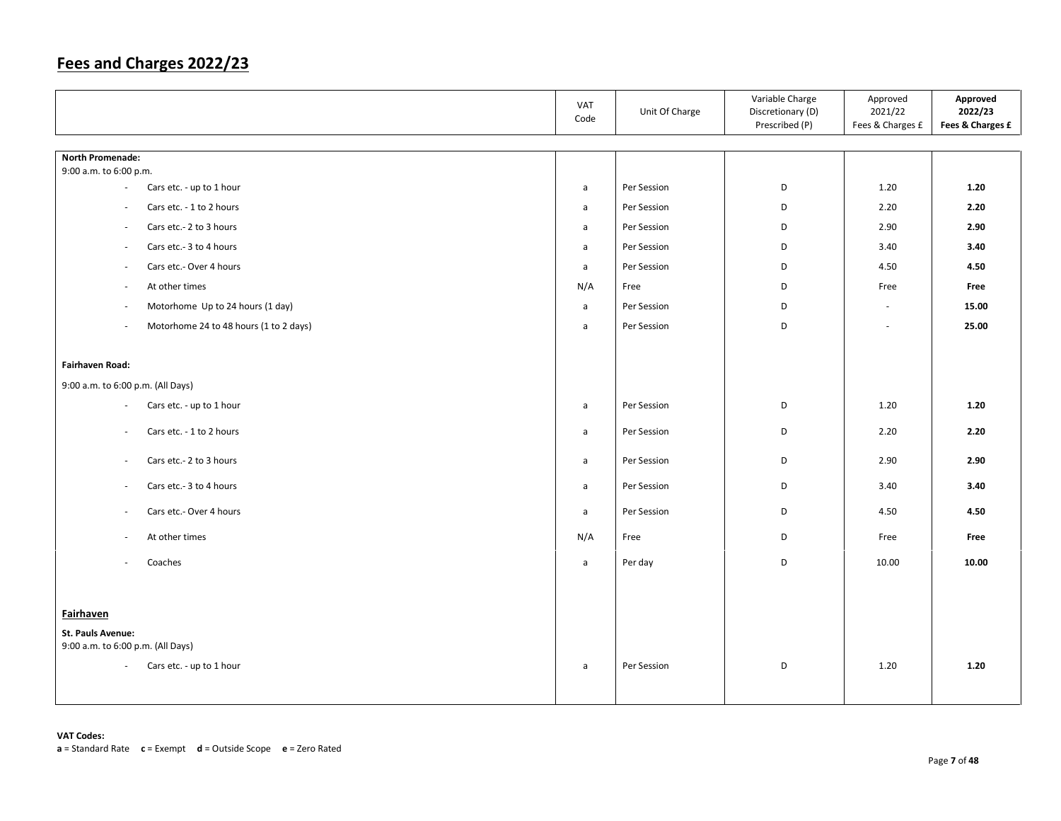|                                                                    | VAT<br>Code  | Unit Of Charge | Variable Charge<br>Discretionary (D)<br>Prescribed (P) | Approved<br>2021/22<br>Fees & Charges £ | Approved<br>2022/23<br>Fees & Charges £ |
|--------------------------------------------------------------------|--------------|----------------|--------------------------------------------------------|-----------------------------------------|-----------------------------------------|
| <b>North Promenade:</b>                                            |              |                |                                                        |                                         |                                         |
| 9:00 a.m. to 6:00 p.m.                                             |              |                |                                                        |                                         |                                         |
| Cars etc. - up to 1 hour<br>$\overline{\phantom{a}}$               | $\mathsf{a}$ | Per Session    | D                                                      | 1.20                                    | 1.20                                    |
| Cars etc. - 1 to 2 hours<br>$\sim$                                 | a            | Per Session    | D                                                      | 2.20                                    | 2.20                                    |
| Cars etc.- 2 to 3 hours<br>$\sim$                                  | a            | Per Session    | D                                                      | 2.90                                    | 2.90                                    |
| Cars etc.- 3 to 4 hours<br>$\overline{\phantom{a}}$                | $\mathsf{a}$ | Per Session    | D                                                      | 3.40                                    | 3.40                                    |
| Cars etc.- Over 4 hours<br>$\sim$                                  | $\mathsf{a}$ | Per Session    | D                                                      | 4.50                                    | 4.50                                    |
| At other times<br>$\overline{\phantom{a}}$                         | N/A          | Free           | D                                                      | Free                                    | Free                                    |
| Motorhome Up to 24 hours (1 day)<br>$\sim$                         | $\mathsf{a}$ | Per Session    | D                                                      | $\sim$                                  | 15.00                                   |
| Motorhome 24 to 48 hours (1 to 2 days)<br>$\overline{\phantom{a}}$ | a            | Per Session    | D                                                      | ÷.                                      | 25.00                                   |
|                                                                    |              |                |                                                        |                                         |                                         |
| <b>Fairhaven Road:</b>                                             |              |                |                                                        |                                         |                                         |
| 9:00 a.m. to 6:00 p.m. (All Days)                                  |              |                |                                                        |                                         |                                         |
| Cars etc. - up to 1 hour<br>$\overline{\phantom{a}}$               | $\mathsf{a}$ | Per Session    | D                                                      | 1.20                                    | 1.20                                    |
| Cars etc. - 1 to 2 hours<br>$\sim$                                 | $\mathsf{a}$ | Per Session    | D                                                      | 2.20                                    | 2.20                                    |
| Cars etc.- 2 to 3 hours<br>$\sim$                                  | a            | Per Session    | D                                                      | 2.90                                    | 2.90                                    |
| Cars etc.- 3 to 4 hours<br>$\overline{\phantom{a}}$                | a            | Per Session    | D                                                      | 3.40                                    | 3.40                                    |
| Cars etc.- Over 4 hours<br>$\sim$                                  | a            | Per Session    | D                                                      | 4.50                                    | 4.50                                    |
| At other times<br>$\overline{\phantom{a}}$                         | N/A          | Free           | D                                                      | Free                                    | Free                                    |
| Coaches                                                            | $\mathsf{a}$ | Per day        | D                                                      | 10.00                                   | 10.00                                   |
|                                                                    |              |                |                                                        |                                         |                                         |
| Fairhaven                                                          |              |                |                                                        |                                         |                                         |
| St. Pauls Avenue:<br>9:00 a.m. to 6:00 p.m. (All Days)             |              |                |                                                        |                                         |                                         |
| Cars etc. - up to 1 hour<br>$\sim$                                 | a            | Per Session    | D                                                      | 1.20                                    | 1.20                                    |
|                                                                    |              |                |                                                        |                                         |                                         |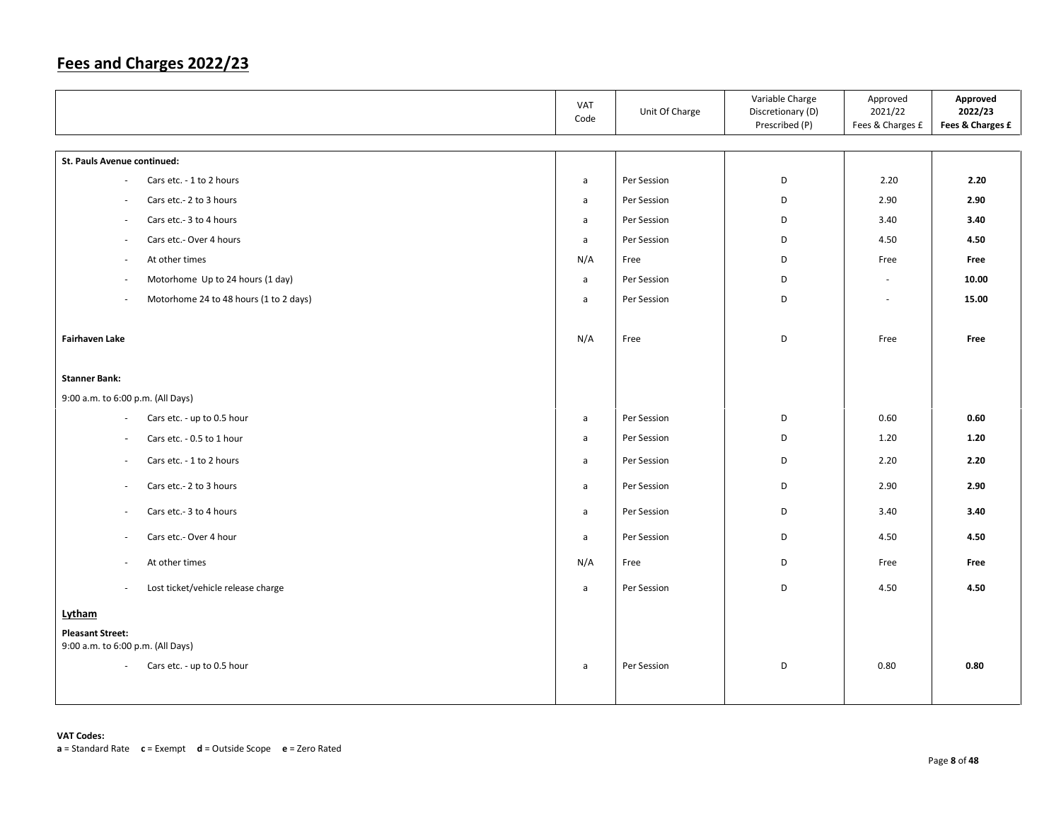|                                                                    | VAT<br>Code  | Unit Of Charge | Variable Charge<br>Discretionary (D)<br>Prescribed (P) | Approved<br>2021/22<br>Fees & Charges £ | Approved<br>2022/23<br>Fees & Charges £ |
|--------------------------------------------------------------------|--------------|----------------|--------------------------------------------------------|-----------------------------------------|-----------------------------------------|
| St. Pauls Avenue continued:                                        |              |                |                                                        |                                         |                                         |
| Cars etc. - 1 to 2 hours<br>÷                                      | a            | Per Session    | D                                                      | 2.20                                    | 2.20                                    |
| Cars etc.- 2 to 3 hours<br>$\sim$                                  | a            | Per Session    | D                                                      | 2.90                                    | 2.90                                    |
| Cars etc.- 3 to 4 hours<br>$\overline{\phantom{a}}$                | a            | Per Session    | D                                                      | 3.40                                    | 3.40                                    |
| Cars etc.- Over 4 hours<br>$\overline{\phantom{a}}$                | $\mathsf{a}$ | Per Session    | D                                                      | 4.50                                    | 4.50                                    |
| At other times<br>$\overline{\phantom{a}}$                         | N/A          | Free           | D                                                      | Free                                    | Free                                    |
| Motorhome Up to 24 hours (1 day)<br>$\overline{\phantom{a}}$       | a            | Per Session    | D                                                      | $\sim$                                  | 10.00                                   |
| Motorhome 24 to 48 hours (1 to 2 days)<br>$\overline{\phantom{a}}$ | a            | Per Session    | D                                                      | $\sim$                                  | 15.00                                   |
| <b>Fairhaven Lake</b>                                              | N/A          | Free           | D                                                      | Free                                    | Free                                    |
| <b>Stanner Bank:</b>                                               |              |                |                                                        |                                         |                                         |
| 9:00 a.m. to 6:00 p.m. (All Days)                                  |              |                |                                                        |                                         |                                         |
| Cars etc. - up to 0.5 hour<br>$\overline{\phantom{a}}$             | $\mathsf{a}$ | Per Session    | D                                                      | 0.60                                    | 0.60                                    |
| Cars etc. - 0.5 to 1 hour<br>$\blacksquare$                        | a            | Per Session    | D                                                      | 1.20                                    | 1.20                                    |
| Cars etc. - 1 to 2 hours<br>$\overline{\phantom{a}}$               | a            | Per Session    | D                                                      | 2.20                                    | 2.20                                    |
| Cars etc.- 2 to 3 hours<br>$\sim$                                  | a            | Per Session    | D                                                      | 2.90                                    | 2.90                                    |
| Cars etc.- 3 to 4 hours<br>$\overline{\phantom{a}}$                | a            | Per Session    | D                                                      | 3.40                                    | 3.40                                    |
| Cars etc.- Over 4 hour<br>$\sim$                                   | a            | Per Session    | D                                                      | 4.50                                    | 4.50                                    |
| At other times<br>×.                                               | N/A          | Free           | D                                                      | Free                                    | Free                                    |
| Lost ticket/vehicle release charge<br>$\omega$                     | $\mathsf{a}$ | Per Session    | D                                                      | 4.50                                    | 4.50                                    |
| Lytham                                                             |              |                |                                                        |                                         |                                         |
| <b>Pleasant Street:</b><br>9:00 a.m. to 6:00 p.m. (All Days)       |              |                |                                                        |                                         |                                         |
| Cars etc. - up to 0.5 hour<br>$\omega$                             | a            | Per Session    | D                                                      | 0.80                                    | 0.80                                    |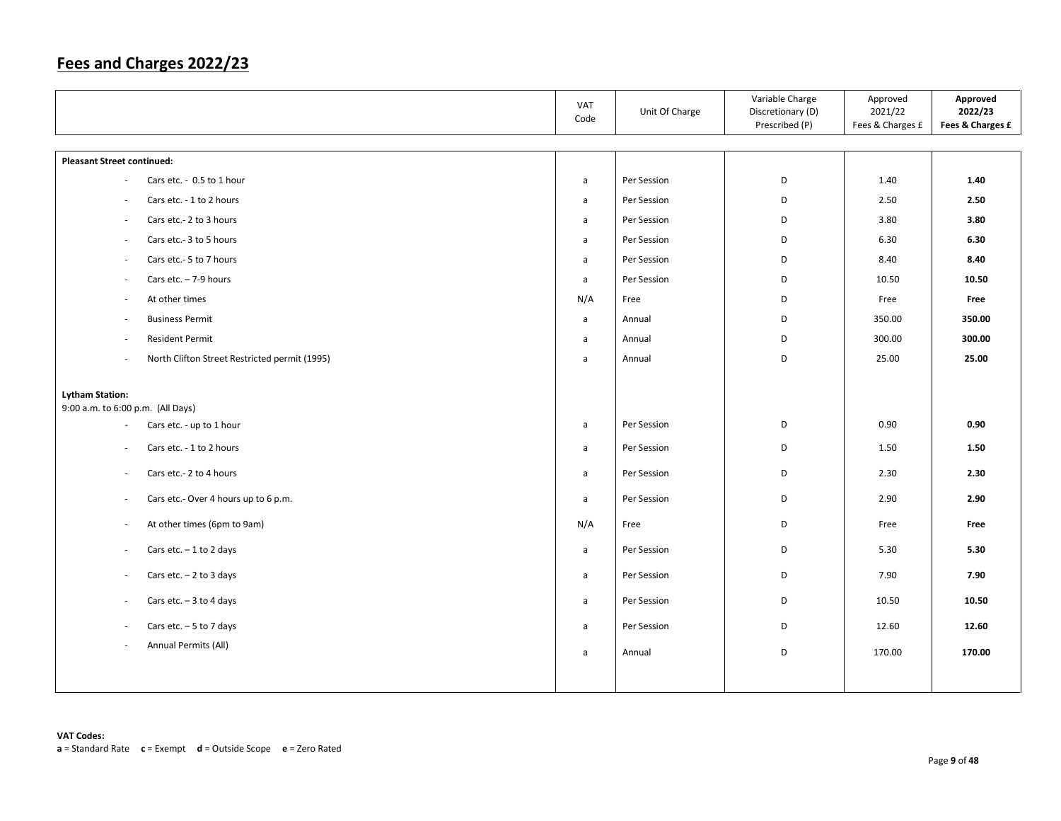| VAT<br>Code                                                                                  | Unit Of Charge                                                                                                                         | Variable Charge<br>Discretionary (D)<br>Prescribed (P) | Approved<br>2021/22<br>Fees & Charges £                                          | Approved<br>2022/23<br>Fees & Charges £                                          |
|----------------------------------------------------------------------------------------------|----------------------------------------------------------------------------------------------------------------------------------------|--------------------------------------------------------|----------------------------------------------------------------------------------|----------------------------------------------------------------------------------|
|                                                                                              |                                                                                                                                        |                                                        |                                                                                  |                                                                                  |
| a                                                                                            | Per Session                                                                                                                            | D                                                      | 1.40                                                                             | 1.40                                                                             |
| a                                                                                            | Per Session                                                                                                                            | D                                                      | 2.50                                                                             | 2.50                                                                             |
| $\mathsf{a}$                                                                                 | Per Session                                                                                                                            | D                                                      | 3.80                                                                             | 3.80                                                                             |
| a                                                                                            | Per Session                                                                                                                            | D                                                      | 6.30                                                                             | 6.30                                                                             |
| $\mathsf{a}$                                                                                 | Per Session                                                                                                                            | D                                                      | 8.40                                                                             | 8.40                                                                             |
| a                                                                                            | Per Session                                                                                                                            | D                                                      | 10.50                                                                            | 10.50                                                                            |
| N/A                                                                                          | Free                                                                                                                                   | D                                                      | Free                                                                             | Free                                                                             |
| $\mathsf{a}$                                                                                 | Annual                                                                                                                                 | D                                                      | 350.00                                                                           | 350.00                                                                           |
| a                                                                                            | Annual                                                                                                                                 | D                                                      | 300.00                                                                           | 300.00                                                                           |
| $\mathsf{a}$                                                                                 | Annual                                                                                                                                 | D                                                      | 25.00                                                                            | 25.00                                                                            |
| a<br>a<br>$\mathsf{a}$<br>$\mathsf{a}$<br>N/A<br>a<br>$\mathsf{a}$<br>a<br>a<br>$\mathsf{a}$ | Per Session<br>Per Session<br>Per Session<br>Per Session<br>Free<br>Per Session<br>Per Session<br>Per Session<br>Per Session<br>Annual | D<br>D<br>D<br>D<br>D<br>D<br>D<br>D<br>D<br>D         | 0.90<br>1.50<br>2.30<br>2.90<br>Free<br>5.30<br>7.90<br>10.50<br>12.60<br>170.00 | 0.90<br>1.50<br>2.30<br>2.90<br>Free<br>5.30<br>7.90<br>10.50<br>12.60<br>170.00 |
|                                                                                              |                                                                                                                                        |                                                        |                                                                                  |                                                                                  |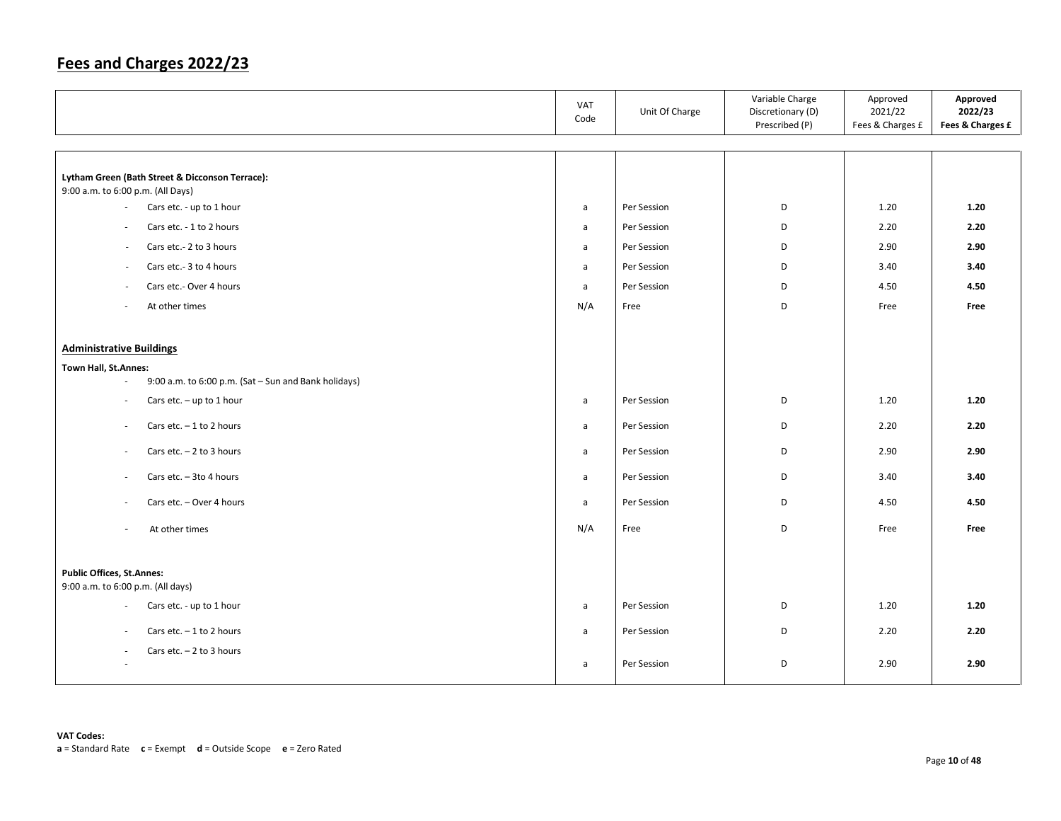|                                                                                                                                | <b>VAT</b><br>Code                | Unit Of Charge                            | Variable Charge<br>Discretionary (D)<br>Prescribed (P) | Approved<br>2021/22<br>Fees & Charges £ | Approved<br>2022/23<br>Fees & Charges £ |
|--------------------------------------------------------------------------------------------------------------------------------|-----------------------------------|-------------------------------------------|--------------------------------------------------------|-----------------------------------------|-----------------------------------------|
| Lytham Green (Bath Street & Dicconson Terrace):<br>9:00 a.m. to 6:00 p.m. (All Days)<br>Cars etc. - up to 1 hour<br>$\sim$     | a                                 | Per Session                               | D                                                      | 1.20                                    | 1.20                                    |
| Cars etc. - 1 to 2 hours<br>$\sim$<br>Cars etc.- 2 to 3 hours<br>$\sim$<br>Cars etc.- 3 to 4 hours<br>$\overline{\phantom{a}}$ | a<br>a<br>a                       | Per Session<br>Per Session<br>Per Session | D<br>D<br>D                                            | 2.20<br>2.90<br>3.40                    | 2.20<br>2.90<br>3.40                    |
| Cars etc.- Over 4 hours<br>$\overline{\phantom{a}}$<br>At other times                                                          | a<br>N/A                          | Per Session<br>Free                       | D<br>D                                                 | 4.50<br>Free                            | 4.50<br>Free                            |
| <b>Administrative Buildings</b><br>Town Hall, St.Annes:<br>9:00 a.m. to 6:00 p.m. (Sat - Sun and Bank holidays)<br>$\sim$      |                                   |                                           |                                                        |                                         |                                         |
| Cars etc. $-$ up to 1 hour<br>$\sim$<br>Cars etc. $-1$ to 2 hours<br>$\sim$<br>Cars etc. $-2$ to 3 hours<br>$\sim$             | $\mathsf{a}$<br>$\mathsf{a}$<br>a | Per Session<br>Per Session<br>Per Session | D<br>D<br>D                                            | 1.20<br>2.20<br>2.90                    | 1.20<br>2.20<br>2.90                    |
| Cars etc. - 3to 4 hours<br>$\overline{\phantom{a}}$<br>Cars etc. - Over 4 hours<br>$\sim$                                      | a<br>a                            | Per Session<br>Per Session                | D<br>D                                                 | 3.40<br>4.50                            | 3.40<br>4.50                            |
| At other times<br>$\sim$                                                                                                       | N/A                               | Free                                      | D                                                      | Free                                    | Free                                    |
| <b>Public Offices, St.Annes:</b><br>9:00 a.m. to 6:00 p.m. (All days)                                                          |                                   |                                           |                                                        |                                         |                                         |
| Cars etc. - up to 1 hour<br>$\sim$<br>Cars etc. $-1$ to 2 hours<br>$\sim$                                                      | a<br>a                            | Per Session<br>Per Session                | D<br>D                                                 | 1.20<br>2.20                            | 1.20<br>2.20                            |
| Cars etc. $-2$ to 3 hours                                                                                                      | a                                 | Per Session                               | D                                                      | 2.90                                    | 2.90                                    |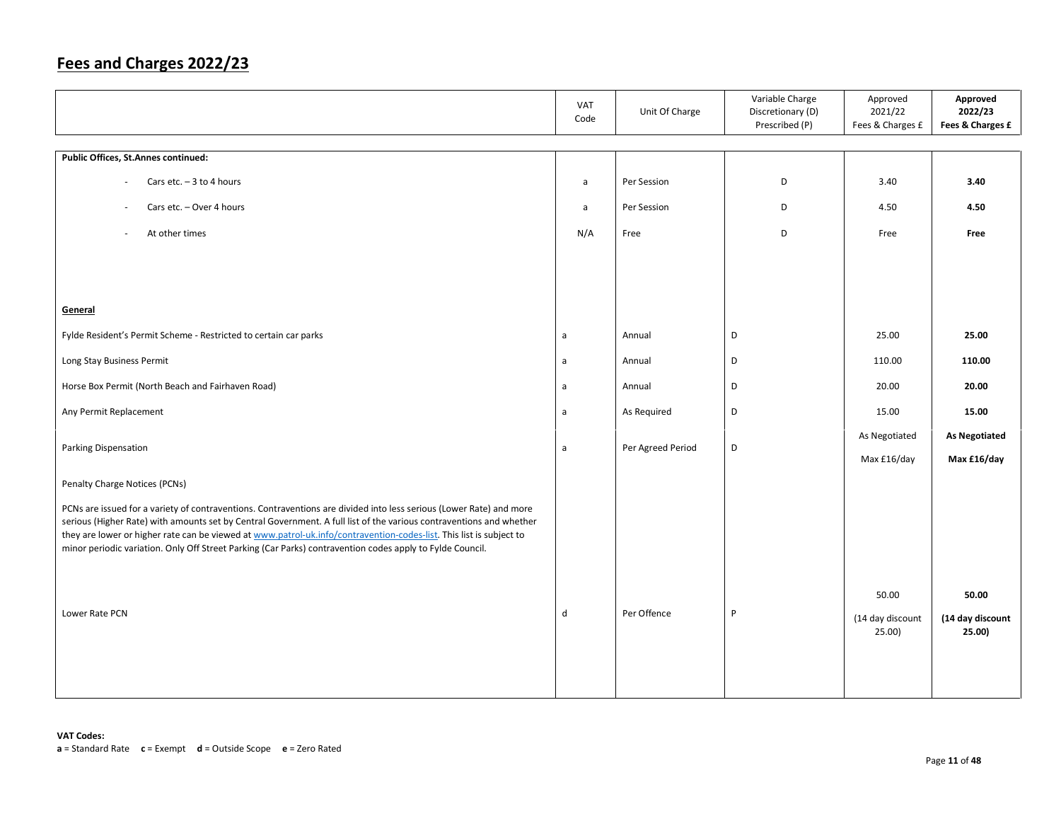|                                                                                                                                                                                                                                                                                                                                                                                                                                                                                | VAT<br>Code  | Unit Of Charge    | Variable Charge<br>Discretionary (D)<br>Prescribed (P) | Approved<br>2021/22<br>Fees & Charges £ | Approved<br>2022/23<br>Fees & Charges £ |
|--------------------------------------------------------------------------------------------------------------------------------------------------------------------------------------------------------------------------------------------------------------------------------------------------------------------------------------------------------------------------------------------------------------------------------------------------------------------------------|--------------|-------------------|--------------------------------------------------------|-----------------------------------------|-----------------------------------------|
| Public Offices, St.Annes continued:                                                                                                                                                                                                                                                                                                                                                                                                                                            |              |                   |                                                        |                                         |                                         |
|                                                                                                                                                                                                                                                                                                                                                                                                                                                                                |              |                   |                                                        |                                         |                                         |
| Cars etc. $-3$ to 4 hours                                                                                                                                                                                                                                                                                                                                                                                                                                                      | a            | Per Session       | D                                                      | 3.40                                    | 3.40                                    |
| Cars etc. - Over 4 hours<br>$\overline{\phantom{a}}$                                                                                                                                                                                                                                                                                                                                                                                                                           | $\mathsf{a}$ | Per Session       | D                                                      | 4.50                                    | 4.50                                    |
| At other times<br>×.                                                                                                                                                                                                                                                                                                                                                                                                                                                           | N/A          | Free              | D                                                      | Free                                    | Free                                    |
|                                                                                                                                                                                                                                                                                                                                                                                                                                                                                |              |                   |                                                        |                                         |                                         |
|                                                                                                                                                                                                                                                                                                                                                                                                                                                                                |              |                   |                                                        |                                         |                                         |
| General                                                                                                                                                                                                                                                                                                                                                                                                                                                                        |              |                   |                                                        |                                         |                                         |
|                                                                                                                                                                                                                                                                                                                                                                                                                                                                                |              |                   | D                                                      | 25.00                                   | 25.00                                   |
| Fylde Resident's Permit Scheme - Restricted to certain car parks                                                                                                                                                                                                                                                                                                                                                                                                               | a            | Annual            |                                                        |                                         |                                         |
| Long Stay Business Permit                                                                                                                                                                                                                                                                                                                                                                                                                                                      | $\mathsf{a}$ | Annual            | D                                                      | 110.00                                  | 110.00                                  |
| Horse Box Permit (North Beach and Fairhaven Road)                                                                                                                                                                                                                                                                                                                                                                                                                              | a            | Annual            | D                                                      | 20.00                                   | 20.00                                   |
| Any Permit Replacement                                                                                                                                                                                                                                                                                                                                                                                                                                                         | $\mathsf{a}$ | As Required       | D                                                      | 15.00                                   | 15.00                                   |
|                                                                                                                                                                                                                                                                                                                                                                                                                                                                                |              |                   |                                                        | As Negotiated                           | <b>As Negotiated</b>                    |
| Parking Dispensation                                                                                                                                                                                                                                                                                                                                                                                                                                                           | a            | Per Agreed Period | D                                                      | Max £16/day                             | Max £16/day                             |
| Penalty Charge Notices (PCNs)                                                                                                                                                                                                                                                                                                                                                                                                                                                  |              |                   |                                                        |                                         |                                         |
| PCNs are issued for a variety of contraventions. Contraventions are divided into less serious (Lower Rate) and more<br>serious (Higher Rate) with amounts set by Central Government. A full list of the various contraventions and whether<br>they are lower or higher rate can be viewed at www.patrol-uk.info/contravention-codes-list. This list is subject to<br>minor periodic variation. Only Off Street Parking (Car Parks) contravention codes apply to Fylde Council. |              |                   |                                                        |                                         |                                         |
|                                                                                                                                                                                                                                                                                                                                                                                                                                                                                |              |                   |                                                        |                                         |                                         |
|                                                                                                                                                                                                                                                                                                                                                                                                                                                                                |              |                   |                                                        | 50.00                                   | 50.00                                   |
| Lower Rate PCN                                                                                                                                                                                                                                                                                                                                                                                                                                                                 | $\mathsf{d}$ | Per Offence       | P                                                      | (14 day discount<br>25.00)              | (14 day discount<br>25.00)              |
|                                                                                                                                                                                                                                                                                                                                                                                                                                                                                |              |                   |                                                        |                                         |                                         |
|                                                                                                                                                                                                                                                                                                                                                                                                                                                                                |              |                   |                                                        |                                         |                                         |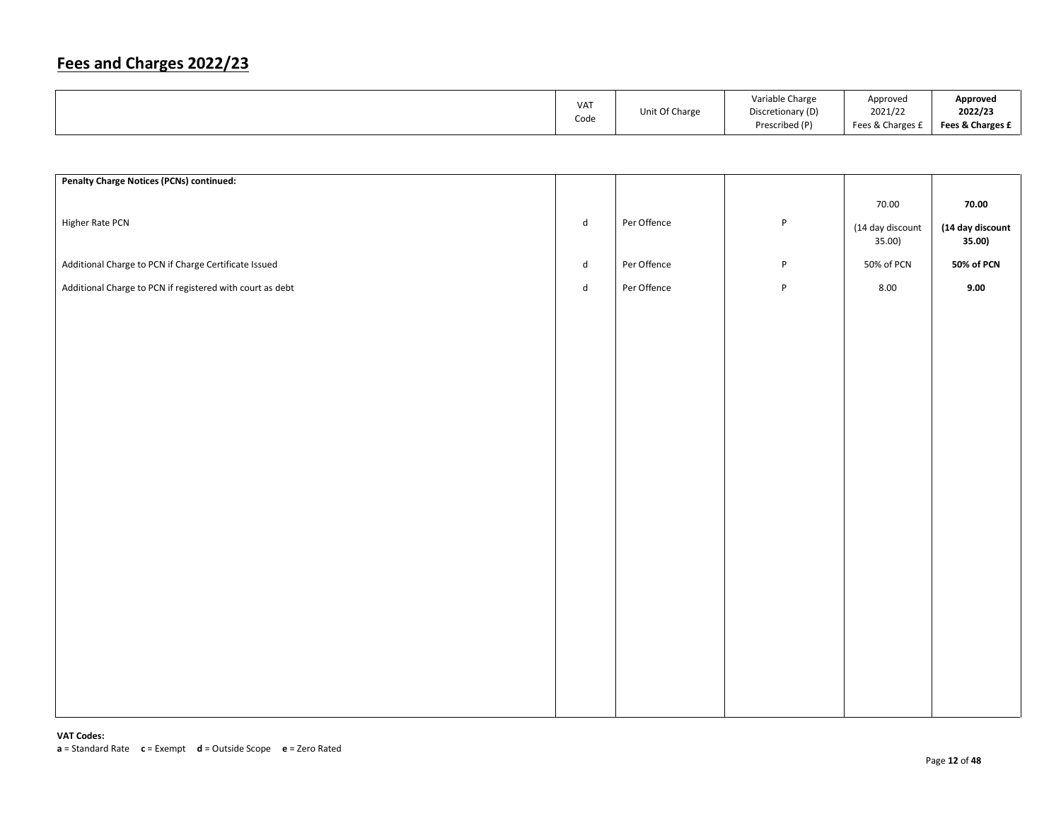| VA <sub>1</sub> | Unit Of Charge | Variable Charge<br>Discretionary (D) | Approved<br>2021/22 | Approved<br>2022/23 |
|-----------------|----------------|--------------------------------------|---------------------|---------------------|
| Code            |                | Prescribed (P)                       | Fees & Charges £    | Fees & Charges £    |

| <b>Penalty Charge Notices (PCNs) continued:</b>           |                             |             |              |                            |                            |
|-----------------------------------------------------------|-----------------------------|-------------|--------------|----------------------------|----------------------------|
|                                                           |                             |             |              | 70.00                      | 70.00                      |
| Higher Rate PCN                                           | $\operatorname{\mathsf{d}}$ | Per Offence | $\sf P$      | (14 day discount<br>35.00) | (14 day discount<br>35.00) |
| Additional Charge to PCN if Charge Certificate Issued     | $\operatorname{\mathsf{d}}$ | Per Offence | P            | 50% of PCN                 | 50% of PCN                 |
| Additional Charge to PCN if registered with court as debt | $\sf d$                     | Per Offence | $\, {\sf P}$ | 8.00                       | 9.00                       |
|                                                           |                             |             |              |                            |                            |
|                                                           |                             |             |              |                            |                            |
|                                                           |                             |             |              |                            |                            |
|                                                           |                             |             |              |                            |                            |
|                                                           |                             |             |              |                            |                            |
|                                                           |                             |             |              |                            |                            |
|                                                           |                             |             |              |                            |                            |
|                                                           |                             |             |              |                            |                            |
|                                                           |                             |             |              |                            |                            |
|                                                           |                             |             |              |                            |                            |
|                                                           |                             |             |              |                            |                            |
|                                                           |                             |             |              |                            |                            |
|                                                           |                             |             |              |                            |                            |
|                                                           |                             |             |              |                            |                            |
|                                                           |                             |             |              |                            |                            |
|                                                           |                             |             |              |                            |                            |
|                                                           |                             |             |              |                            |                            |
|                                                           |                             |             |              |                            |                            |
|                                                           |                             |             |              |                            |                            |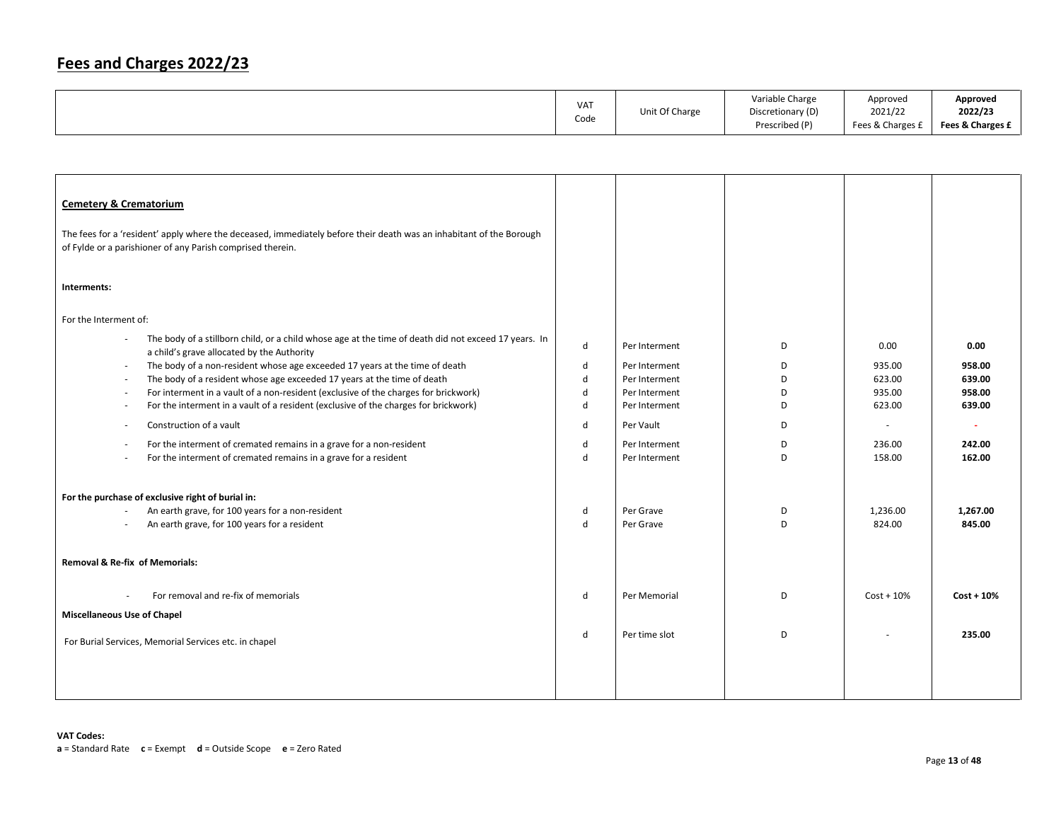|  | VA <sub>1</sub><br>Code | Unit Of Charge | Variable Charge<br>Discretionary (D)<br>Prescribed (P) | Approved<br>2021/22<br>Fees & Charges £ | Approved<br>2022/23<br>Fees & Charges £ |
|--|-------------------------|----------------|--------------------------------------------------------|-----------------------------------------|-----------------------------------------|
|--|-------------------------|----------------|--------------------------------------------------------|-----------------------------------------|-----------------------------------------|

| <b>Cemetery &amp; Crematorium</b><br>The fees for a 'resident' apply where the deceased, immediately before their death was an inhabitant of the Borough<br>of Fylde or a parishioner of any Parish comprised therein. |             |                                |        |                          |                  |
|------------------------------------------------------------------------------------------------------------------------------------------------------------------------------------------------------------------------|-------------|--------------------------------|--------|--------------------------|------------------|
| Interments:                                                                                                                                                                                                            |             |                                |        |                          |                  |
| For the Interment of:                                                                                                                                                                                                  |             |                                |        |                          |                  |
| The body of a stillborn child, or a child whose age at the time of death did not exceed 17 years. In<br>$\sim$<br>a child's grave allocated by the Authority                                                           | d           | Per Interment                  | D      | 0.00                     | 0.00             |
| The body of a non-resident whose age exceeded 17 years at the time of death<br>$\omega$<br>The body of a resident whose age exceeded 17 years at the time of death<br>$\sim$                                           | d<br>d      | Per Interment<br>Per Interment | D<br>D | 935.00<br>623.00         | 958.00<br>639.00 |
| For interment in a vault of a non-resident (exclusive of the charges for brickwork)<br>$\overline{\phantom{a}}$                                                                                                        | d           | Per Interment                  | D      | 935.00                   | 958.00           |
| For the interment in a vault of a resident (exclusive of the charges for brickwork)<br>$\overline{\phantom{a}}$                                                                                                        | d           | Per Interment                  | D      | 623.00                   | 639.00           |
| Construction of a vault<br>÷,                                                                                                                                                                                          | d           | Per Vault                      | D      | $\overline{\phantom{a}}$ | $\sim$           |
| For the interment of cremated remains in a grave for a non-resident<br>$\overline{\phantom{a}}$                                                                                                                        | d           | Per Interment                  | D      | 236.00                   | 242.00           |
| For the interment of cremated remains in a grave for a resident<br>$\sim$                                                                                                                                              | d           | Per Interment                  | D      | 158.00                   | 162.00           |
| For the purchase of exclusive right of burial in:                                                                                                                                                                      |             |                                |        |                          |                  |
| An earth grave, for 100 years for a non-resident<br>$\overline{\phantom{a}}$                                                                                                                                           | d           | Per Grave                      | D      | 1,236.00                 | 1,267.00         |
| An earth grave, for 100 years for a resident                                                                                                                                                                           | $\mathbf d$ | Per Grave                      | D      | 824.00                   | 845.00           |
|                                                                                                                                                                                                                        |             |                                |        |                          |                  |
| <b>Removal &amp; Re-fix of Memorials:</b>                                                                                                                                                                              |             |                                |        |                          |                  |
| For removal and re-fix of memorials                                                                                                                                                                                    | d           | Per Memorial                   | D      | $Cost + 10%$             | $Cost + 10%$     |
| <b>Miscellaneous Use of Chapel</b>                                                                                                                                                                                     |             |                                |        |                          |                  |
| For Burial Services, Memorial Services etc. in chapel                                                                                                                                                                  | d           | Per time slot                  | D      |                          | 235.00           |
|                                                                                                                                                                                                                        |             |                                |        |                          |                  |
|                                                                                                                                                                                                                        |             |                                |        |                          |                  |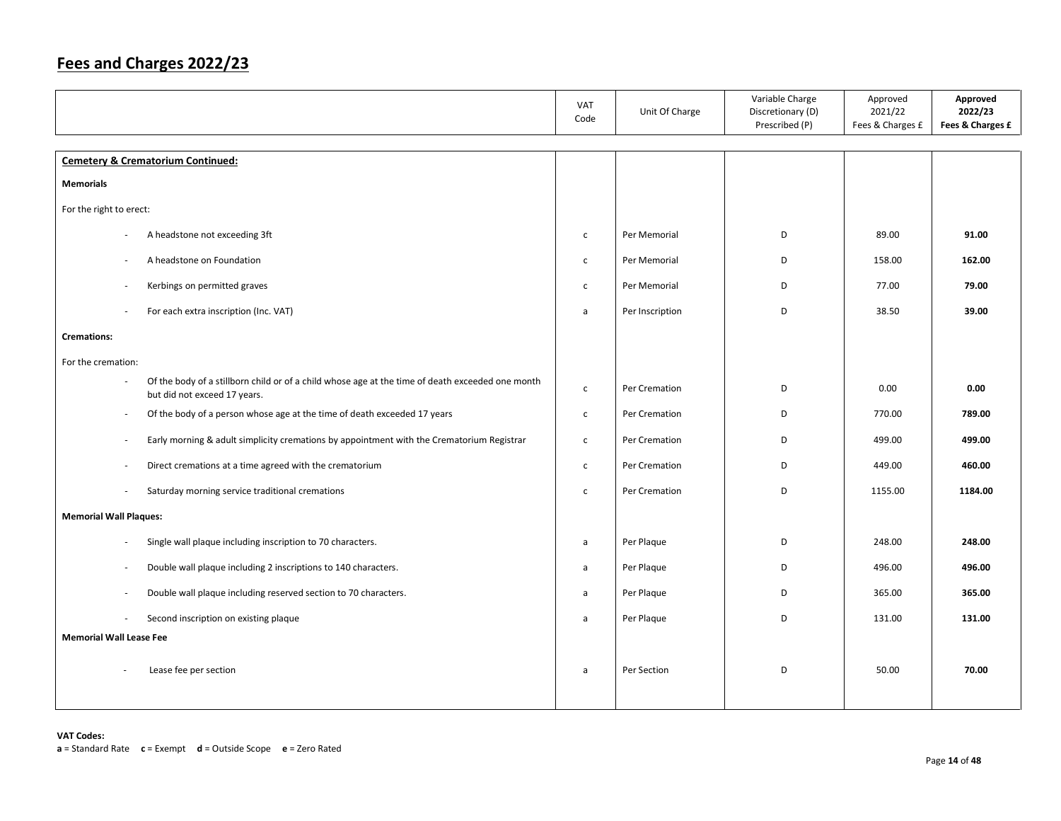|                                |                                                                                                                                  | VAT<br>Code  | Unit Of Charge  | Variable Charge<br>Discretionary (D)<br>Prescribed (P) | Approved<br>2021/22<br>Fees & Charges £ | Approved<br>2022/23<br>Fees & Charges £ |
|--------------------------------|----------------------------------------------------------------------------------------------------------------------------------|--------------|-----------------|--------------------------------------------------------|-----------------------------------------|-----------------------------------------|
|                                | <b>Cemetery &amp; Crematorium Continued:</b>                                                                                     |              |                 |                                                        |                                         |                                         |
| <b>Memorials</b>               |                                                                                                                                  |              |                 |                                                        |                                         |                                         |
| For the right to erect:        |                                                                                                                                  |              |                 |                                                        |                                         |                                         |
|                                | A headstone not exceeding 3ft                                                                                                    | $\mathsf{C}$ | Per Memorial    | D                                                      | 89.00                                   | 91.00                                   |
| ÷.                             | A headstone on Foundation                                                                                                        | $\mathsf{C}$ | Per Memorial    | D                                                      | 158.00                                  | 162.00                                  |
|                                | Kerbings on permitted graves                                                                                                     | $\mathsf{C}$ | Per Memorial    | D                                                      | 77.00                                   | 79.00                                   |
|                                | For each extra inscription (Inc. VAT)                                                                                            | a            | Per Inscription | D                                                      | 38.50                                   | 39.00                                   |
| <b>Cremations:</b>             |                                                                                                                                  |              |                 |                                                        |                                         |                                         |
| For the cremation:             |                                                                                                                                  |              |                 |                                                        |                                         |                                         |
|                                | Of the body of a stillborn child or of a child whose age at the time of death exceeded one month<br>but did not exceed 17 years. | $\mathsf{C}$ | Per Cremation   | D                                                      | 0.00                                    | 0.00                                    |
| $\overline{\phantom{a}}$       | Of the body of a person whose age at the time of death exceeded 17 years                                                         | $\mathsf{C}$ | Per Cremation   | D                                                      | 770.00                                  | 789.00                                  |
| $\overline{\phantom{a}}$       | Early morning & adult simplicity cremations by appointment with the Crematorium Registrar                                        | $\mathsf{C}$ | Per Cremation   | D                                                      | 499.00                                  | 499.00                                  |
| $\sim$                         | Direct cremations at a time agreed with the crematorium                                                                          | $\mathsf{C}$ | Per Cremation   | D                                                      | 449.00                                  | 460.00                                  |
| $\overline{\phantom{a}}$       | Saturday morning service traditional cremations                                                                                  | $\mathsf{C}$ | Per Cremation   | D                                                      | 1155.00                                 | 1184.00                                 |
| <b>Memorial Wall Plaques:</b>  |                                                                                                                                  |              |                 |                                                        |                                         |                                         |
| ×,                             | Single wall plaque including inscription to 70 characters.                                                                       | a            | Per Plaque      | D                                                      | 248.00                                  | 248.00                                  |
| $\sim$                         | Double wall plaque including 2 inscriptions to 140 characters.                                                                   | a            | Per Plaque      | D                                                      | 496.00                                  | 496.00                                  |
| ×,                             | Double wall plaque including reserved section to 70 characters.                                                                  | a            | Per Plaque      | D                                                      | 365.00                                  | 365.00                                  |
|                                | Second inscription on existing plaque                                                                                            | a            | Per Plaque      | D                                                      | 131.00                                  | 131.00                                  |
| <b>Memorial Wall Lease Fee</b> |                                                                                                                                  |              |                 |                                                        |                                         |                                         |
|                                | Lease fee per section                                                                                                            | a            | Per Section     | D                                                      | 50.00                                   | 70.00                                   |
|                                |                                                                                                                                  |              |                 |                                                        |                                         |                                         |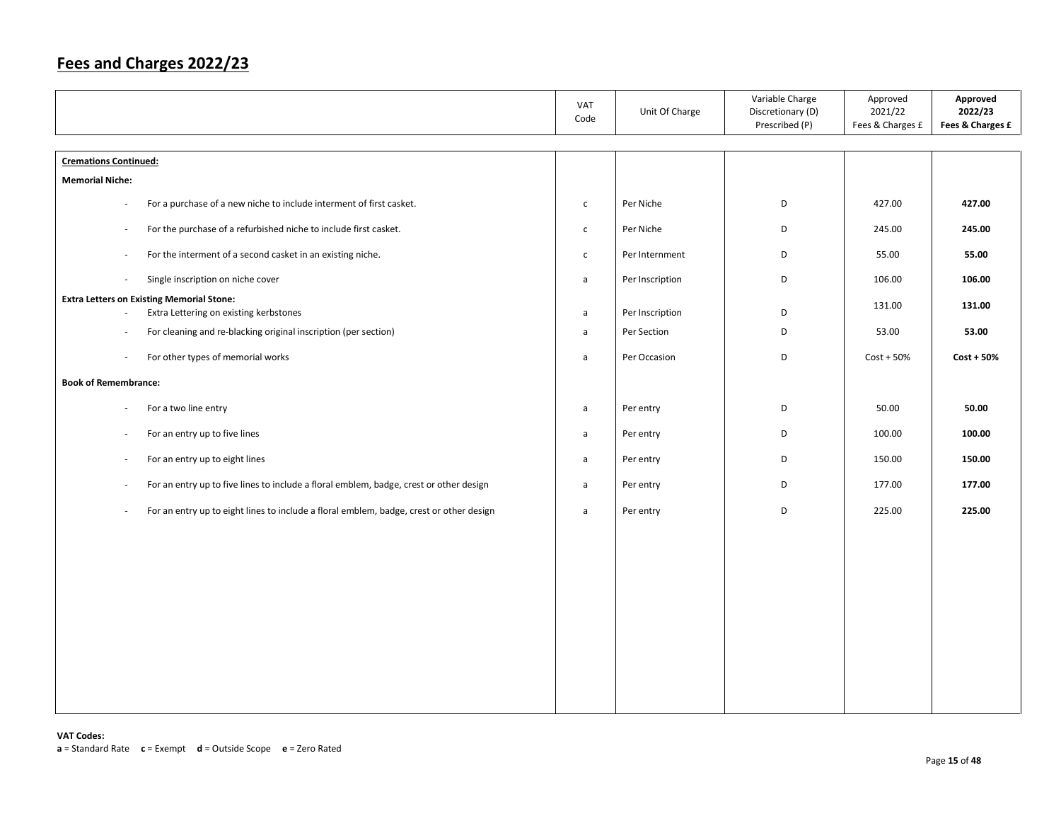|                                                                                                   | VAT<br>Code  | Unit Of Charge  | Variable Charge<br>Discretionary (D)<br>Prescribed (P) | Approved<br>2021/22<br>Fees & Charges £ | Approved<br>2022/23<br>Fees & Charges £ |
|---------------------------------------------------------------------------------------------------|--------------|-----------------|--------------------------------------------------------|-----------------------------------------|-----------------------------------------|
| <b>Cremations Continued:</b>                                                                      |              |                 |                                                        |                                         |                                         |
| <b>Memorial Niche:</b>                                                                            |              |                 |                                                        |                                         |                                         |
| For a purchase of a new niche to include interment of first casket.<br>$\sim$                     | $\mathsf{C}$ | Per Niche       | D                                                      | 427.00                                  | 427.00                                  |
| For the purchase of a refurbished niche to include first casket.<br>$\sim$                        | $\mathsf{C}$ | Per Niche       | D                                                      | 245.00                                  | 245.00                                  |
| For the interment of a second casket in an existing niche.<br>$\sim$                              | $\mathsf{C}$ | Per Internment  | D                                                      | 55.00                                   | 55.00                                   |
| Single inscription on niche cover<br>$\sim$                                                       | $\mathsf{a}$ | Per Inscription | D                                                      | 106.00                                  | 106.00                                  |
| <b>Extra Letters on Existing Memorial Stone:</b><br>Extra Lettering on existing kerbstones        | a            | Per Inscription | D                                                      | 131.00                                  | 131.00                                  |
| For cleaning and re-blacking original inscription (per section)<br>$\overline{\phantom{a}}$       | $\mathsf{a}$ | Per Section     | D                                                      | 53.00                                   | 53.00                                   |
| For other types of memorial works<br>$\overline{\phantom{a}}$                                     | $\mathsf{a}$ | Per Occasion    | D                                                      | $Cost + 50%$                            | $Cost + 50%$                            |
| <b>Book of Remembrance:</b>                                                                       |              |                 |                                                        |                                         |                                         |
| For a two line entry<br>$\sim$                                                                    | a            | Per entry       | D                                                      | 50.00                                   | 50.00                                   |
| For an entry up to five lines<br>$\sim$                                                           | a            | Per entry       | D                                                      | 100.00                                  | 100.00                                  |
| For an entry up to eight lines<br>$\sim$                                                          | a            | Per entry       | D                                                      | 150.00                                  | 150.00                                  |
| For an entry up to five lines to include a floral emblem, badge, crest or other design<br>$\sim$  | $\mathsf{a}$ | Per entry       | D                                                      | 177.00                                  | 177.00                                  |
| For an entry up to eight lines to include a floral emblem, badge, crest or other design<br>$\sim$ | $\mathsf{a}$ | Per entry       | D                                                      | 225.00                                  | 225.00                                  |
|                                                                                                   |              |                 |                                                        |                                         |                                         |
|                                                                                                   |              |                 |                                                        |                                         |                                         |
|                                                                                                   |              |                 |                                                        |                                         |                                         |
|                                                                                                   |              |                 |                                                        |                                         |                                         |
|                                                                                                   |              |                 |                                                        |                                         |                                         |
|                                                                                                   |              |                 |                                                        |                                         |                                         |
|                                                                                                   |              |                 |                                                        |                                         |                                         |
|                                                                                                   |              |                 |                                                        |                                         |                                         |
|                                                                                                   |              |                 |                                                        |                                         |                                         |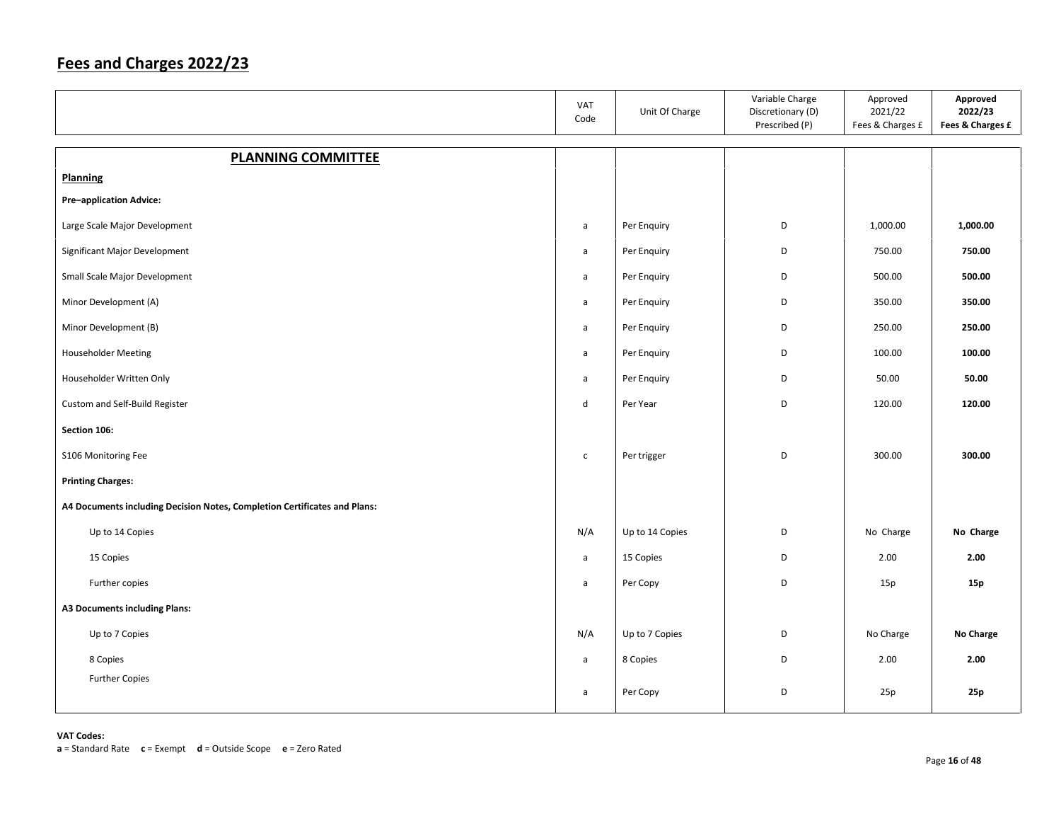|                                                                           | VAT<br>Code  | Unit Of Charge  | Variable Charge<br>Discretionary (D)<br>Prescribed (P) | Approved<br>2021/22<br>Fees & Charges £ | Approved<br>2022/23<br>Fees & Charges £ |
|---------------------------------------------------------------------------|--------------|-----------------|--------------------------------------------------------|-----------------------------------------|-----------------------------------------|
| <b>PLANNING COMMITTEE</b>                                                 |              |                 |                                                        |                                         |                                         |
| <b>Planning</b>                                                           |              |                 |                                                        |                                         |                                         |
| <b>Pre-application Advice:</b>                                            |              |                 |                                                        |                                         |                                         |
| Large Scale Major Development                                             | $\mathsf{a}$ | Per Enquiry     | D                                                      | 1,000.00                                | 1,000.00                                |
| Significant Major Development                                             | $\mathsf{a}$ | Per Enquiry     | D                                                      | 750.00                                  | 750.00                                  |
| Small Scale Major Development                                             | a            | Per Enquiry     | D                                                      | 500.00                                  | 500.00                                  |
| Minor Development (A)                                                     | a            | Per Enquiry     | D                                                      | 350.00                                  | 350.00                                  |
| Minor Development (B)                                                     | a            | Per Enquiry     | D                                                      | 250.00                                  | 250.00                                  |
| Householder Meeting                                                       | $\mathsf{a}$ | Per Enquiry     | D                                                      | 100.00                                  | 100.00                                  |
| Householder Written Only                                                  | $\mathsf{a}$ | Per Enquiry     | D                                                      | 50.00                                   | 50.00                                   |
| Custom and Self-Build Register                                            | d            | Per Year        | D                                                      | 120.00                                  | 120.00                                  |
| Section 106:                                                              |              |                 |                                                        |                                         |                                         |
| S106 Monitoring Fee                                                       | $\mathsf{C}$ | Per trigger     | D                                                      | 300.00                                  | 300.00                                  |
| <b>Printing Charges:</b>                                                  |              |                 |                                                        |                                         |                                         |
| A4 Documents including Decision Notes, Completion Certificates and Plans: |              |                 |                                                        |                                         |                                         |
| Up to 14 Copies                                                           | N/A          | Up to 14 Copies | D                                                      | No Charge                               | No Charge                               |
| 15 Copies                                                                 | $\mathsf{a}$ | 15 Copies       | D                                                      | 2.00                                    | 2.00                                    |
| Further copies                                                            | $\mathsf{a}$ | Per Copy        | D                                                      | 15p                                     | 15p                                     |
| <b>A3 Documents including Plans:</b>                                      |              |                 |                                                        |                                         |                                         |
| Up to 7 Copies                                                            | N/A          | Up to 7 Copies  | D                                                      | No Charge                               | No Charge                               |
| 8 Copies                                                                  | a            | 8 Copies        | D                                                      | 2.00                                    | 2.00                                    |
| <b>Further Copies</b>                                                     | a            | Per Copy        | D                                                      | 25p                                     | 25p                                     |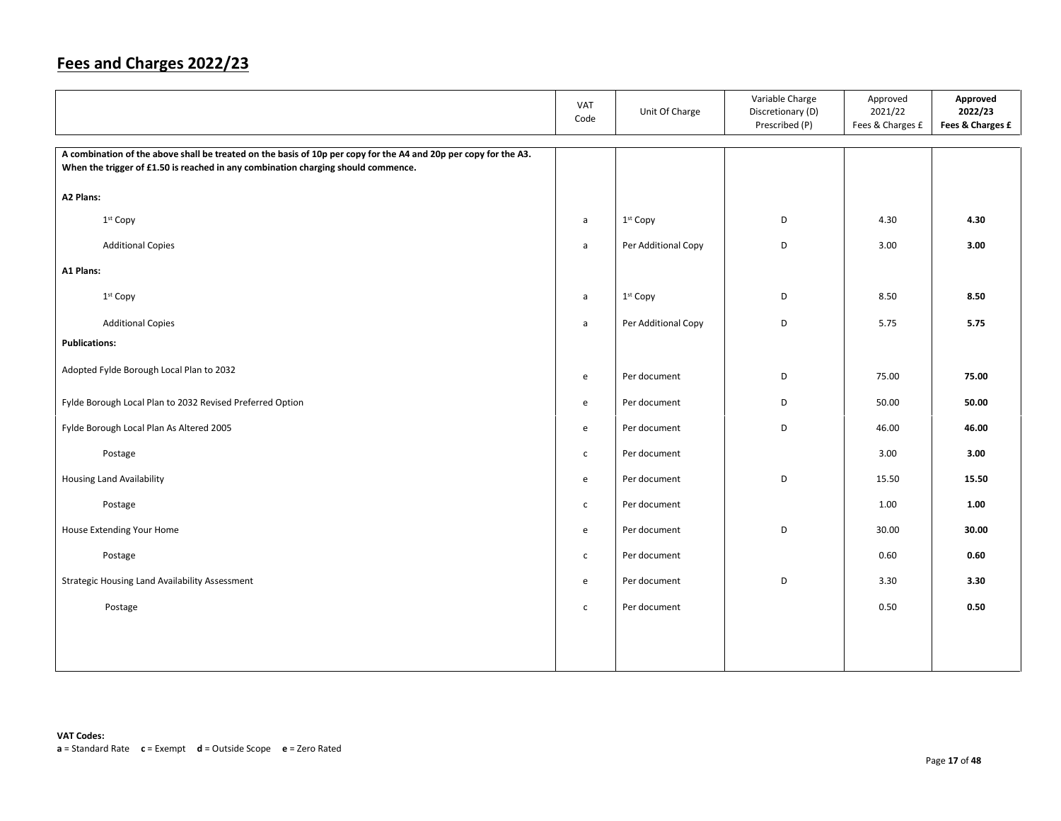|                                                                                                                                                                                                       | <b>VAT</b><br>Code | Unit Of Charge       | Variable Charge<br>Discretionary (D)<br>Prescribed (P) | Approved<br>2021/22<br>Fees & Charges £ | Approved<br>2022/23<br>Fees & Charges £ |
|-------------------------------------------------------------------------------------------------------------------------------------------------------------------------------------------------------|--------------------|----------------------|--------------------------------------------------------|-----------------------------------------|-----------------------------------------|
| A combination of the above shall be treated on the basis of 10p per copy for the A4 and 20p per copy for the A3.<br>When the trigger of £1.50 is reached in any combination charging should commence. |                    |                      |                                                        |                                         |                                         |
| A2 Plans:                                                                                                                                                                                             |                    |                      |                                                        |                                         |                                         |
| 1 <sup>st</sup> Copy                                                                                                                                                                                  | a                  | 1st Copy             | D                                                      | 4.30                                    | 4.30                                    |
| <b>Additional Copies</b>                                                                                                                                                                              | $\mathsf{a}$       | Per Additional Copy  | D                                                      | 3.00                                    | 3.00                                    |
| A1 Plans:                                                                                                                                                                                             |                    |                      |                                                        |                                         |                                         |
| 1 <sup>st</sup> Copy                                                                                                                                                                                  | a                  | 1 <sup>st</sup> Copy | D                                                      | 8.50                                    | 8.50                                    |
| <b>Additional Copies</b>                                                                                                                                                                              | a                  | Per Additional Copy  | D                                                      | 5.75                                    | 5.75                                    |
| <b>Publications:</b>                                                                                                                                                                                  |                    |                      |                                                        |                                         |                                         |
| Adopted Fylde Borough Local Plan to 2032                                                                                                                                                              | e                  | Per document         | D                                                      | 75.00                                   | 75.00                                   |
| Fylde Borough Local Plan to 2032 Revised Preferred Option                                                                                                                                             | e                  | Per document         | D                                                      | 50.00                                   | 50.00                                   |
| Fylde Borough Local Plan As Altered 2005                                                                                                                                                              | e                  | Per document         | D                                                      | 46.00                                   | 46.00                                   |
| Postage                                                                                                                                                                                               | $\mathsf{C}$       | Per document         |                                                        | 3.00                                    | 3.00                                    |
| <b>Housing Land Availability</b>                                                                                                                                                                      | e                  | Per document         | D                                                      | 15.50                                   | 15.50                                   |
| Postage                                                                                                                                                                                               | $\mathsf{C}$       | Per document         |                                                        | 1.00                                    | 1.00                                    |
| House Extending Your Home                                                                                                                                                                             | $\mathsf{e}$       | Per document         | D                                                      | 30.00                                   | 30.00                                   |
| Postage                                                                                                                                                                                               | $\mathsf{C}$       | Per document         |                                                        | 0.60                                    | 0.60                                    |
| Strategic Housing Land Availability Assessment                                                                                                                                                        | e                  | Per document         | D                                                      | 3.30                                    | 3.30                                    |
| Postage                                                                                                                                                                                               | $\mathsf{C}$       | Per document         |                                                        | 0.50                                    | 0.50                                    |
|                                                                                                                                                                                                       |                    |                      |                                                        |                                         |                                         |
|                                                                                                                                                                                                       |                    |                      |                                                        |                                         |                                         |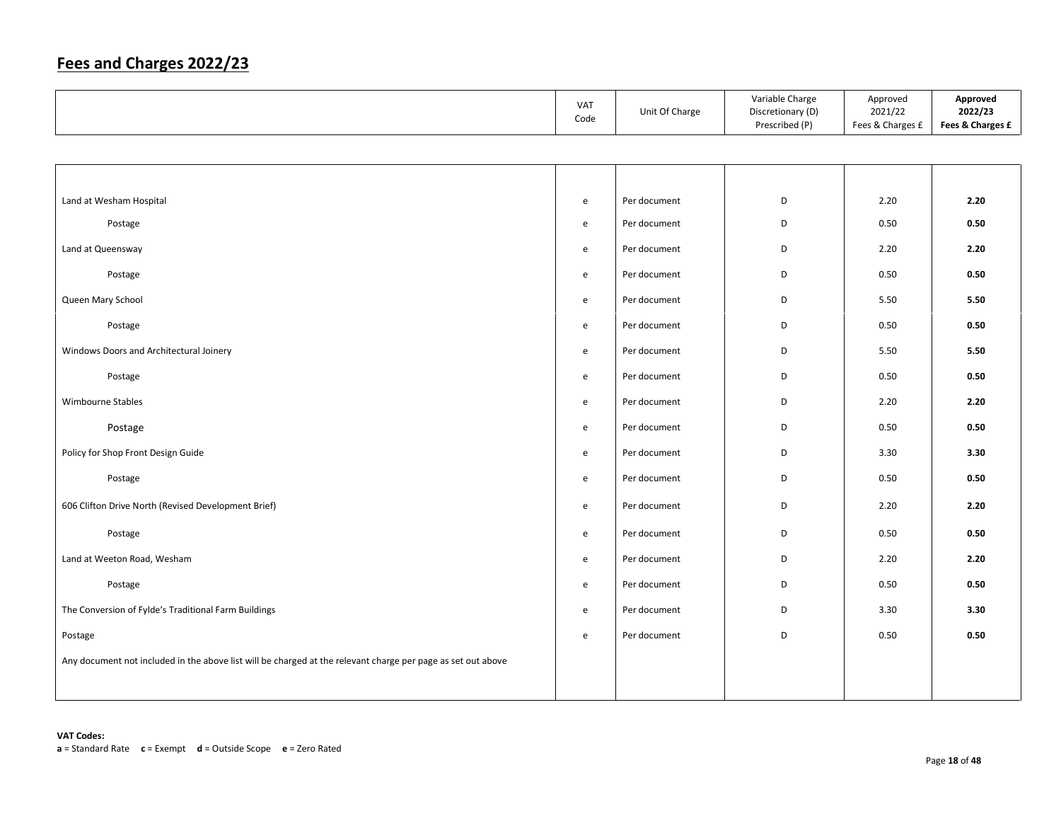|                                                                                                              | VAT<br>Code                       | Unit Of Charge | Variable Charge<br>Discretionary (D)<br>Prescribed (P) | Approved<br>2021/22<br>Fees & Charges £ | Approved<br>2022/23<br>Fees & Charges £ |
|--------------------------------------------------------------------------------------------------------------|-----------------------------------|----------------|--------------------------------------------------------|-----------------------------------------|-----------------------------------------|
|                                                                                                              |                                   |                |                                                        |                                         |                                         |
|                                                                                                              |                                   |                |                                                        |                                         |                                         |
| Land at Wesham Hospital                                                                                      | e                                 | Per document   | D                                                      | 2.20                                    | 2.20                                    |
| Postage                                                                                                      | e                                 | Per document   | D                                                      | 0.50                                    | 0.50                                    |
| Land at Queensway                                                                                            | e                                 | Per document   | D                                                      | 2.20                                    | 2.20                                    |
| Postage                                                                                                      | e                                 | Per document   | D                                                      | 0.50                                    | 0.50                                    |
| Queen Mary School                                                                                            | e                                 | Per document   | D                                                      | 5.50                                    | 5.50                                    |
| Postage                                                                                                      | e                                 | Per document   | D                                                      | 0.50                                    | 0.50                                    |
| Windows Doors and Architectural Joinery                                                                      | e                                 | Per document   | D                                                      | 5.50                                    | 5.50                                    |
| Postage                                                                                                      | e                                 | Per document   | D                                                      | 0.50                                    | 0.50                                    |
| Wimbourne Stables                                                                                            | e                                 | Per document   | D                                                      | 2.20                                    | 2.20                                    |
| Postage                                                                                                      | e                                 | Per document   | D                                                      | 0.50                                    | 0.50                                    |
| Policy for Shop Front Design Guide                                                                           | e                                 | Per document   | D                                                      | 3.30                                    | 3.30                                    |
| Postage                                                                                                      | e                                 | Per document   | D                                                      | 0.50                                    | 0.50                                    |
| 606 Clifton Drive North (Revised Development Brief)                                                          | $\mathsf{e}% _{t}\left( t\right)$ | Per document   | D                                                      | 2.20                                    | 2.20                                    |
| Postage                                                                                                      | e                                 | Per document   | D                                                      | 0.50                                    | 0.50                                    |
| Land at Weeton Road, Wesham                                                                                  | e                                 | Per document   | D                                                      | 2.20                                    | 2.20                                    |
| Postage                                                                                                      | e                                 | Per document   | D                                                      | 0.50                                    | 0.50                                    |
| The Conversion of Fylde's Traditional Farm Buildings                                                         | e                                 | Per document   | D                                                      | 3.30                                    | 3.30                                    |
| Postage                                                                                                      | $\mathsf{e}$                      | Per document   | D                                                      | 0.50                                    | 0.50                                    |
| Any document not included in the above list will be charged at the relevant charge per page as set out above |                                   |                |                                                        |                                         |                                         |
|                                                                                                              |                                   |                |                                                        |                                         |                                         |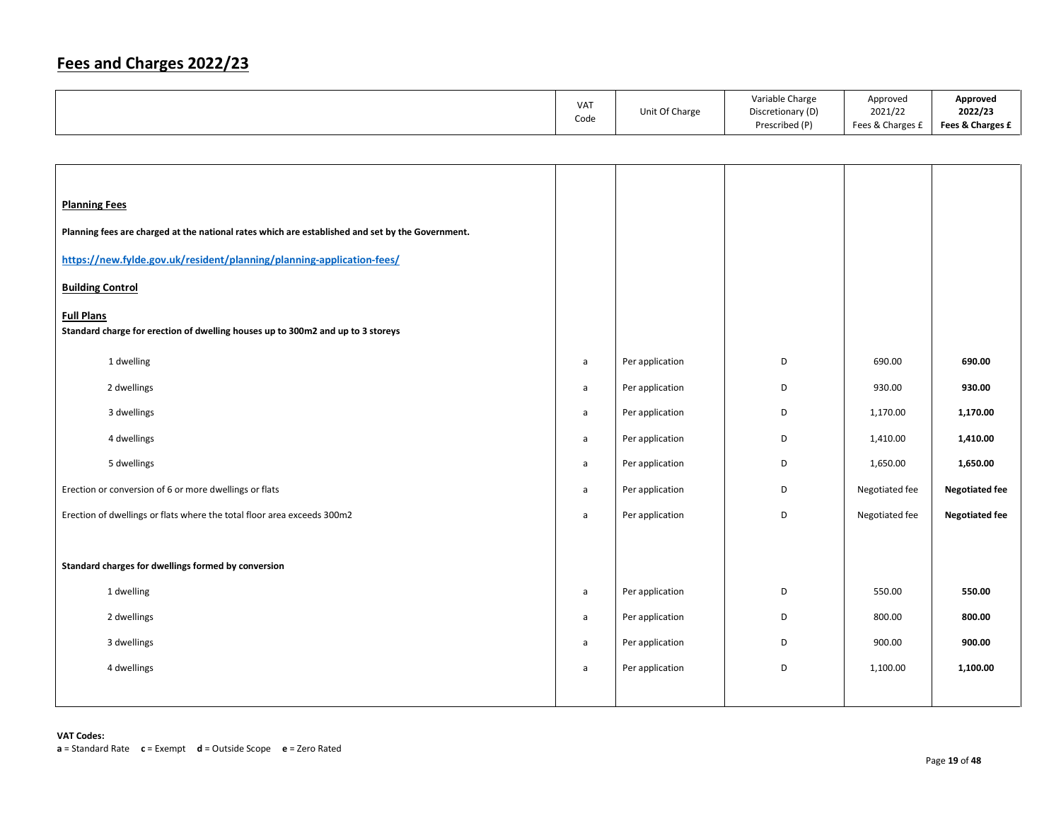| <b>VAT</b> |                | Variable Charge   | Approved         | Approved         |
|------------|----------------|-------------------|------------------|------------------|
|            | Unit Of Charge | Discretionary (D) | 2021/22          | 2022/23          |
| Code       |                | Prescribed (P)    | Fees & Charges £ | Fees & Charges £ |

| <b>Planning Fees</b><br>Planning fees are charged at the national rates which are established and set by the Government.<br>https://new.fylde.gov.uk/resident/planning/planning-application-fees/<br><b>Building Control</b><br><b>Full Plans</b><br>Standard charge for erection of dwelling houses up to 300m2 and up to 3 storeys |              |                 |   |                |                       |
|--------------------------------------------------------------------------------------------------------------------------------------------------------------------------------------------------------------------------------------------------------------------------------------------------------------------------------------|--------------|-----------------|---|----------------|-----------------------|
| 1 dwelling                                                                                                                                                                                                                                                                                                                           | $\mathsf{a}$ | Per application | D | 690.00         | 690.00                |
| 2 dwellings                                                                                                                                                                                                                                                                                                                          | a            | Per application | D | 930.00         | 930.00                |
| 3 dwellings                                                                                                                                                                                                                                                                                                                          | a            | Per application | D | 1,170.00       | 1,170.00              |
| 4 dwellings                                                                                                                                                                                                                                                                                                                          | $\mathsf{a}$ | Per application | D | 1,410.00       | 1,410.00              |
| 5 dwellings                                                                                                                                                                                                                                                                                                                          | a            | Per application | D | 1,650.00       | 1,650.00              |
| Erection or conversion of 6 or more dwellings or flats                                                                                                                                                                                                                                                                               | a            | Per application | D | Negotiated fee | <b>Negotiated fee</b> |
| Erection of dwellings or flats where the total floor area exceeds 300m2                                                                                                                                                                                                                                                              | a            | Per application | D | Negotiated fee | <b>Negotiated fee</b> |
|                                                                                                                                                                                                                                                                                                                                      |              |                 |   |                |                       |
| Standard charges for dwellings formed by conversion                                                                                                                                                                                                                                                                                  |              |                 |   |                |                       |
| 1 dwelling                                                                                                                                                                                                                                                                                                                           | $\mathsf{a}$ | Per application | D | 550.00         | 550.00                |
| 2 dwellings                                                                                                                                                                                                                                                                                                                          | a            | Per application | D | 800.00         | 800.00                |
| 3 dwellings                                                                                                                                                                                                                                                                                                                          | a            | Per application | D | 900.00         | 900.00                |
| 4 dwellings                                                                                                                                                                                                                                                                                                                          | a            | Per application | D | 1,100.00       | 1,100.00              |
|                                                                                                                                                                                                                                                                                                                                      |              |                 |   |                |                       |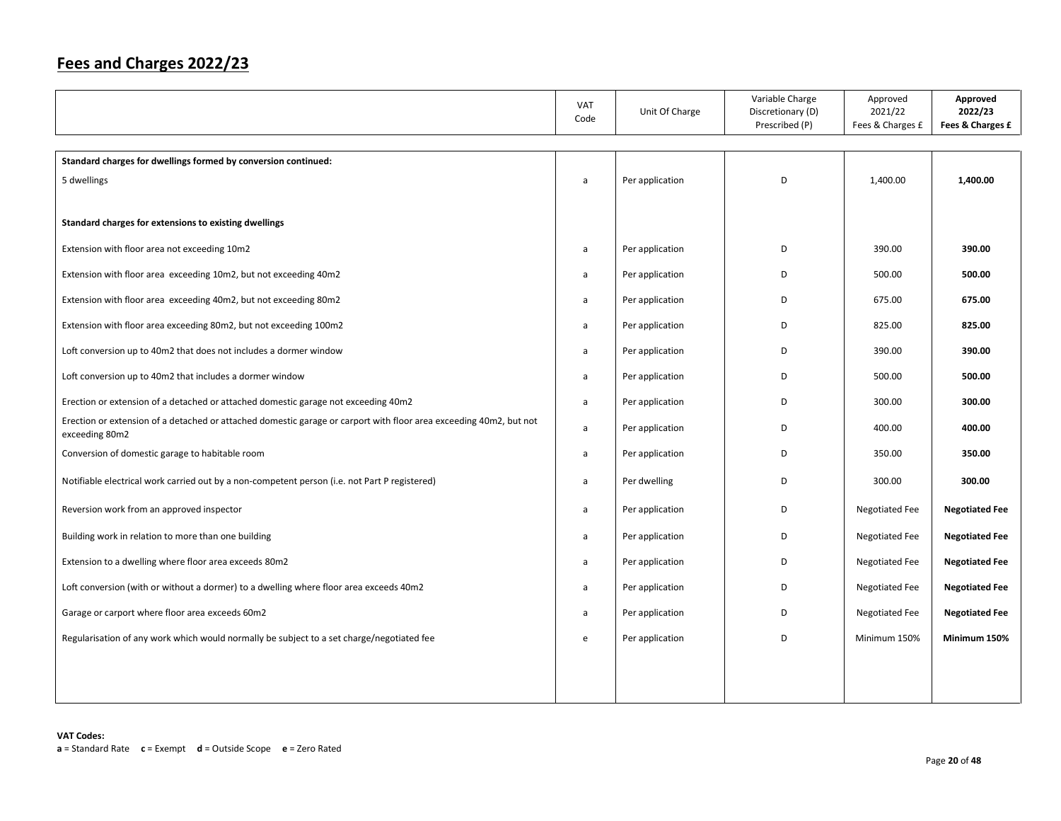|                                                                                                                                      | VAT<br>Code | Unit Of Charge  | Variable Charge<br>Discretionary (D)<br>Prescribed (P) | Approved<br>2021/22<br>Fees & Charges £ | Approved<br>2022/23<br>Fees & Charges £ |
|--------------------------------------------------------------------------------------------------------------------------------------|-------------|-----------------|--------------------------------------------------------|-----------------------------------------|-----------------------------------------|
| Standard charges for dwellings formed by conversion continued:                                                                       |             |                 |                                                        |                                         |                                         |
| 5 dwellings                                                                                                                          | a           | Per application | D                                                      | 1,400.00                                | 1,400.00                                |
|                                                                                                                                      |             |                 |                                                        |                                         |                                         |
| Standard charges for extensions to existing dwellings                                                                                |             |                 |                                                        |                                         |                                         |
| Extension with floor area not exceeding 10m2                                                                                         | a           | Per application | D                                                      | 390.00                                  | 390.00                                  |
| Extension with floor area exceeding 10m2, but not exceeding 40m2                                                                     | a           | Per application | D                                                      | 500.00                                  | 500.00                                  |
| Extension with floor area exceeding 40m2, but not exceeding 80m2                                                                     | a           | Per application | D                                                      | 675.00                                  | 675.00                                  |
| Extension with floor area exceeding 80m2, but not exceeding 100m2                                                                    | a           | Per application | D                                                      | 825.00                                  | 825.00                                  |
| Loft conversion up to 40m2 that does not includes a dormer window                                                                    | a           | Per application | D                                                      | 390.00                                  | 390.00                                  |
| Loft conversion up to 40m2 that includes a dormer window                                                                             | a           | Per application | D                                                      | 500.00                                  | 500.00                                  |
| Erection or extension of a detached or attached domestic garage not exceeding 40m2                                                   | a           | Per application | D                                                      | 300.00                                  | 300.00                                  |
| Erection or extension of a detached or attached domestic garage or carport with floor area exceeding 40m2, but not<br>exceeding 80m2 | a           | Per application | D                                                      | 400.00                                  | 400.00                                  |
| Conversion of domestic garage to habitable room                                                                                      | a           | Per application | D                                                      | 350.00                                  | 350.00                                  |
| Notifiable electrical work carried out by a non-competent person (i.e. not Part P registered)                                        | a           | Per dwelling    | D                                                      | 300.00                                  | 300.00                                  |
| Reversion work from an approved inspector                                                                                            | a           | Per application | D                                                      | Negotiated Fee                          | <b>Negotiated Fee</b>                   |
| Building work in relation to more than one building                                                                                  | a           | Per application | D                                                      | <b>Negotiated Fee</b>                   | <b>Negotiated Fee</b>                   |
| Extension to a dwelling where floor area exceeds 80m2                                                                                | a           | Per application | D                                                      | <b>Negotiated Fee</b>                   | <b>Negotiated Fee</b>                   |
| Loft conversion (with or without a dormer) to a dwelling where floor area exceeds 40m2                                               | a           | Per application | D                                                      | <b>Negotiated Fee</b>                   | <b>Negotiated Fee</b>                   |
| Garage or carport where floor area exceeds 60m2                                                                                      | a           | Per application | D                                                      | <b>Negotiated Fee</b>                   | <b>Negotiated Fee</b>                   |
| Regularisation of any work which would normally be subject to a set charge/negotiated fee                                            | e           | Per application | D                                                      | Minimum 150%                            | Minimum 150%                            |
|                                                                                                                                      |             |                 |                                                        |                                         |                                         |
|                                                                                                                                      |             |                 |                                                        |                                         |                                         |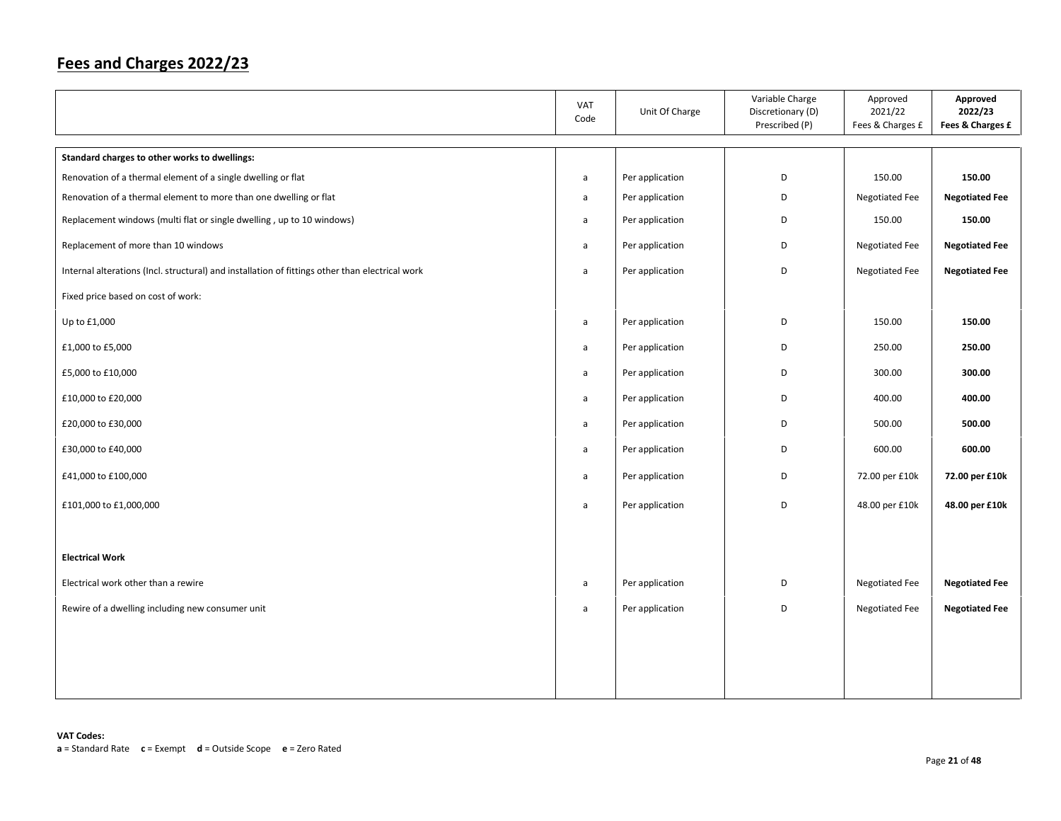|                                                                                                 | <b>VAT</b><br>Code | Unit Of Charge  | Variable Charge<br>Discretionary (D)<br>Prescribed (P) | Approved<br>2021/22<br>Fees & Charges £ | Approved<br>2022/23<br>Fees & Charges £ |
|-------------------------------------------------------------------------------------------------|--------------------|-----------------|--------------------------------------------------------|-----------------------------------------|-----------------------------------------|
| Standard charges to other works to dwellings:                                                   |                    |                 |                                                        |                                         |                                         |
| Renovation of a thermal element of a single dwelling or flat                                    | $\mathsf{a}$       | Per application | D                                                      | 150.00                                  | 150.00                                  |
| Renovation of a thermal element to more than one dwelling or flat                               | a                  | Per application | D                                                      | Negotiated Fee                          | <b>Negotiated Fee</b>                   |
| Replacement windows (multi flat or single dwelling, up to 10 windows)                           | a                  | Per application | D                                                      | 150.00                                  | 150.00                                  |
| Replacement of more than 10 windows                                                             | a                  | Per application | D                                                      | Negotiated Fee                          | <b>Negotiated Fee</b>                   |
| Internal alterations (Incl. structural) and installation of fittings other than electrical work | $\mathsf{a}$       | Per application | D                                                      | Negotiated Fee                          | <b>Negotiated Fee</b>                   |
| Fixed price based on cost of work:                                                              |                    |                 |                                                        |                                         |                                         |
| Up to £1,000                                                                                    | $\mathsf{a}$       | Per application | D                                                      | 150.00                                  | 150.00                                  |
| £1,000 to £5,000                                                                                | a                  | Per application | D                                                      | 250.00                                  | 250.00                                  |
| £5,000 to £10,000                                                                               | a                  | Per application | D                                                      | 300.00                                  | 300.00                                  |
| £10,000 to £20,000                                                                              | a                  | Per application | D                                                      | 400.00                                  | 400.00                                  |
| £20,000 to £30,000                                                                              | a                  | Per application | D                                                      | 500.00                                  | 500.00                                  |
| £30,000 to £40,000                                                                              | a                  | Per application | D                                                      | 600.00                                  | 600.00                                  |
| £41,000 to £100,000                                                                             | a                  | Per application | D                                                      | 72.00 per £10k                          | 72.00 per £10k                          |
| £101,000 to £1,000,000                                                                          | $\mathsf{a}$       | Per application | D                                                      | 48.00 per £10k                          | 48.00 per £10k                          |
|                                                                                                 |                    |                 |                                                        |                                         |                                         |
| <b>Electrical Work</b>                                                                          |                    |                 |                                                        |                                         |                                         |
| Electrical work other than a rewire                                                             | a                  | Per application | D                                                      | Negotiated Fee                          | <b>Negotiated Fee</b>                   |
| Rewire of a dwelling including new consumer unit                                                | a                  | Per application | D                                                      | Negotiated Fee                          | <b>Negotiated Fee</b>                   |
|                                                                                                 |                    |                 |                                                        |                                         |                                         |
|                                                                                                 |                    |                 |                                                        |                                         |                                         |
|                                                                                                 |                    |                 |                                                        |                                         |                                         |
|                                                                                                 |                    |                 |                                                        |                                         |                                         |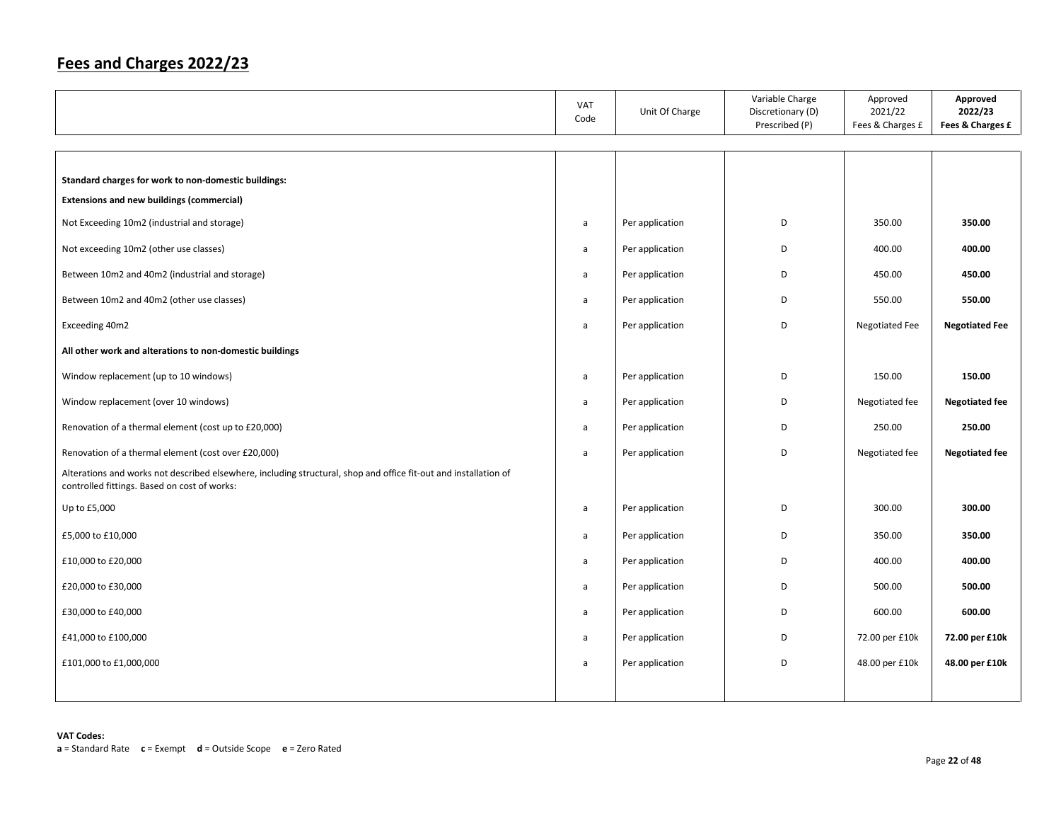|                                                                                                                                                                  | <b>VAT</b><br>Code | Unit Of Charge  | Variable Charge<br>Discretionary (D)<br>Prescribed (P) | Approved<br>2021/22<br>Fees & Charges £ | Approved<br>2022/23<br>Fees & Charges £ |
|------------------------------------------------------------------------------------------------------------------------------------------------------------------|--------------------|-----------------|--------------------------------------------------------|-----------------------------------------|-----------------------------------------|
|                                                                                                                                                                  |                    |                 |                                                        |                                         |                                         |
| Standard charges for work to non-domestic buildings:                                                                                                             |                    |                 |                                                        |                                         |                                         |
| <b>Extensions and new buildings (commercial)</b>                                                                                                                 |                    |                 |                                                        |                                         |                                         |
| Not Exceeding 10m2 (industrial and storage)                                                                                                                      | a                  | Per application | D                                                      | 350.00                                  | 350.00                                  |
| Not exceeding 10m2 (other use classes)                                                                                                                           | $\mathsf{a}$       | Per application | D                                                      | 400.00                                  | 400.00                                  |
| Between 10m2 and 40m2 (industrial and storage)                                                                                                                   | $\mathsf{a}$       | Per application | D                                                      | 450.00                                  | 450.00                                  |
| Between 10m2 and 40m2 (other use classes)                                                                                                                        | $\mathsf{a}$       | Per application | D                                                      | 550.00                                  | 550.00                                  |
| Exceeding 40m2                                                                                                                                                   | $\mathsf{a}$       | Per application | D                                                      | Negotiated Fee                          | <b>Negotiated Fee</b>                   |
| All other work and alterations to non-domestic buildings                                                                                                         |                    |                 |                                                        |                                         |                                         |
| Window replacement (up to 10 windows)                                                                                                                            | $\mathsf{a}$       | Per application | D                                                      | 150.00                                  | 150.00                                  |
| Window replacement (over 10 windows)                                                                                                                             | $\mathsf{a}$       | Per application | D                                                      | Negotiated fee                          | <b>Negotiated fee</b>                   |
| Renovation of a thermal element (cost up to £20,000)                                                                                                             | a                  | Per application | D                                                      | 250.00                                  | 250.00                                  |
| Renovation of a thermal element (cost over £20,000)                                                                                                              | a                  | Per application | D                                                      | Negotiated fee                          | <b>Negotiated fee</b>                   |
| Alterations and works not described elsewhere, including structural, shop and office fit-out and installation of<br>controlled fittings. Based on cost of works: |                    |                 |                                                        |                                         |                                         |
| Up to £5,000                                                                                                                                                     | a                  | Per application | D                                                      | 300.00                                  | 300.00                                  |
| £5,000 to £10,000                                                                                                                                                | a                  | Per application | D                                                      | 350.00                                  | 350.00                                  |
| £10,000 to £20,000                                                                                                                                               | a                  | Per application | D                                                      | 400.00                                  | 400.00                                  |
| £20,000 to £30,000                                                                                                                                               | a                  | Per application | D                                                      | 500.00                                  | 500.00                                  |
| £30,000 to £40,000                                                                                                                                               | a                  | Per application | D                                                      | 600.00                                  | 600.00                                  |
| £41,000 to £100,000                                                                                                                                              | a                  | Per application | D                                                      | 72.00 per £10k                          | 72.00 per £10k                          |
| £101,000 to £1,000,000                                                                                                                                           | a                  | Per application | D                                                      | 48.00 per £10k                          | 48.00 per £10k                          |
|                                                                                                                                                                  |                    |                 |                                                        |                                         |                                         |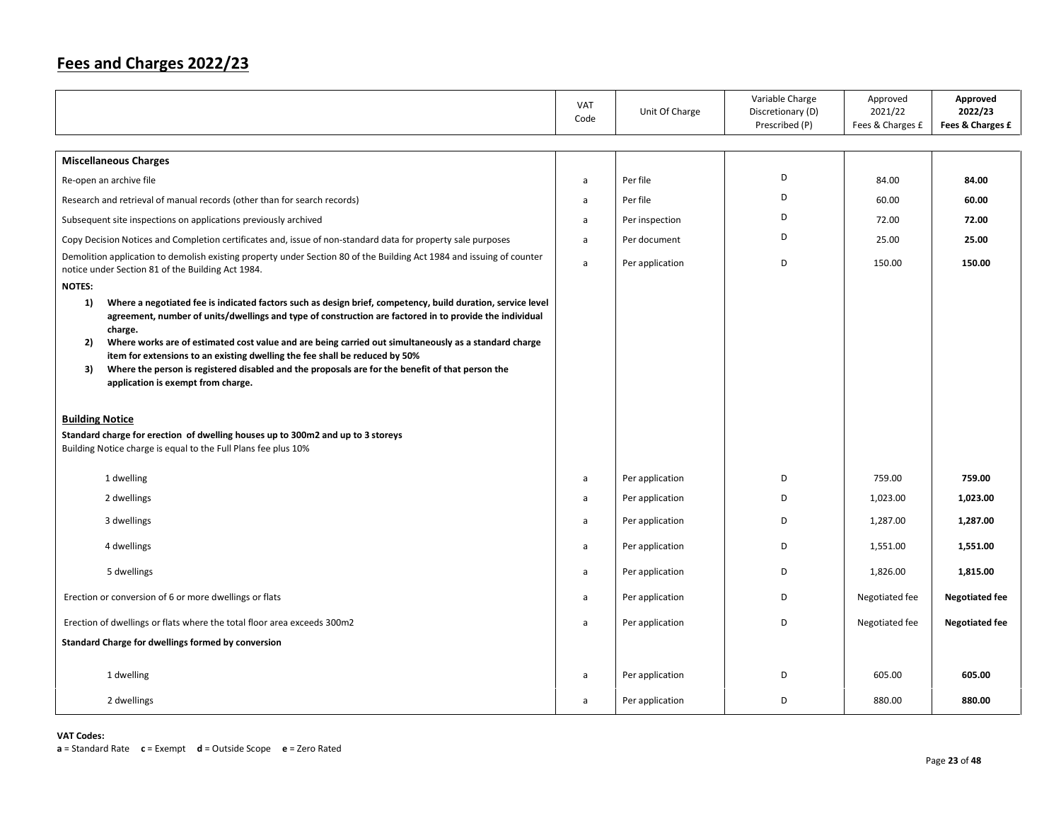|                                                                                                                                                                                                                                                                                                                                            | VAT<br>Code | Unit Of Charge  | Variable Charge<br>Discretionary (D)<br>Prescribed (P) | Approved<br>2021/22<br>Fees & Charges £ | Approved<br>2022/23<br>Fees & Charges £ |
|--------------------------------------------------------------------------------------------------------------------------------------------------------------------------------------------------------------------------------------------------------------------------------------------------------------------------------------------|-------------|-----------------|--------------------------------------------------------|-----------------------------------------|-----------------------------------------|
| <b>Miscellaneous Charges</b>                                                                                                                                                                                                                                                                                                               |             |                 |                                                        |                                         |                                         |
| Re-open an archive file                                                                                                                                                                                                                                                                                                                    | a           | Per file        | D                                                      | 84.00                                   | 84.00                                   |
| Research and retrieval of manual records (other than for search records)                                                                                                                                                                                                                                                                   | a           | Per file        | D                                                      | 60.00                                   | 60.00                                   |
| Subsequent site inspections on applications previously archived                                                                                                                                                                                                                                                                            | a           | Per inspection  | D                                                      | 72.00                                   | 72.00                                   |
| Copy Decision Notices and Completion certificates and, issue of non-standard data for property sale purposes                                                                                                                                                                                                                               | a           | Per document    | D                                                      | 25.00                                   | 25.00                                   |
| Demolition application to demolish existing property under Section 80 of the Building Act 1984 and issuing of counter<br>notice under Section 81 of the Building Act 1984.                                                                                                                                                                 | a           | Per application | D                                                      | 150.00                                  | 150.00                                  |
| <b>NOTES:</b>                                                                                                                                                                                                                                                                                                                              |             |                 |                                                        |                                         |                                         |
| Where a negotiated fee is indicated factors such as design brief, competency, build duration, service level<br>1)<br>agreement, number of units/dwellings and type of construction are factored in to provide the individual<br>charge.                                                                                                    |             |                 |                                                        |                                         |                                         |
| Where works are of estimated cost value and are being carried out simultaneously as a standard charge<br>2)<br>item for extensions to an existing dwelling the fee shall be reduced by 50%<br>Where the person is registered disabled and the proposals are for the benefit of that person the<br>3)<br>application is exempt from charge. |             |                 |                                                        |                                         |                                         |
| <b>Building Notice</b><br>Standard charge for erection of dwelling houses up to 300m2 and up to 3 storeys<br>Building Notice charge is equal to the Full Plans fee plus 10%                                                                                                                                                                |             |                 |                                                        |                                         |                                         |
| 1 dwelling                                                                                                                                                                                                                                                                                                                                 | a           | Per application | D                                                      | 759.00                                  | 759.00                                  |
| 2 dwellings                                                                                                                                                                                                                                                                                                                                | a           | Per application | D                                                      | 1,023.00                                | 1,023.00                                |
| 3 dwellings                                                                                                                                                                                                                                                                                                                                | a           | Per application | D                                                      | 1,287.00                                | 1,287.00                                |
| 4 dwellings                                                                                                                                                                                                                                                                                                                                | a           | Per application | D                                                      | 1,551.00                                | 1,551.00                                |
| 5 dwellings                                                                                                                                                                                                                                                                                                                                | a           | Per application | D                                                      | 1,826.00                                | 1,815.00                                |
| Erection or conversion of 6 or more dwellings or flats                                                                                                                                                                                                                                                                                     | a           | Per application | D                                                      | Negotiated fee                          | <b>Negotiated fee</b>                   |
| Erection of dwellings or flats where the total floor area exceeds 300m2                                                                                                                                                                                                                                                                    | a           | Per application | D                                                      | Negotiated fee                          | <b>Negotiated fee</b>                   |
| Standard Charge for dwellings formed by conversion                                                                                                                                                                                                                                                                                         |             |                 |                                                        |                                         |                                         |
| 1 dwelling                                                                                                                                                                                                                                                                                                                                 | a           | Per application | D                                                      | 605.00                                  | 605.00                                  |
| 2 dwellings                                                                                                                                                                                                                                                                                                                                | a           | Per application | D                                                      | 880.00                                  | 880.00                                  |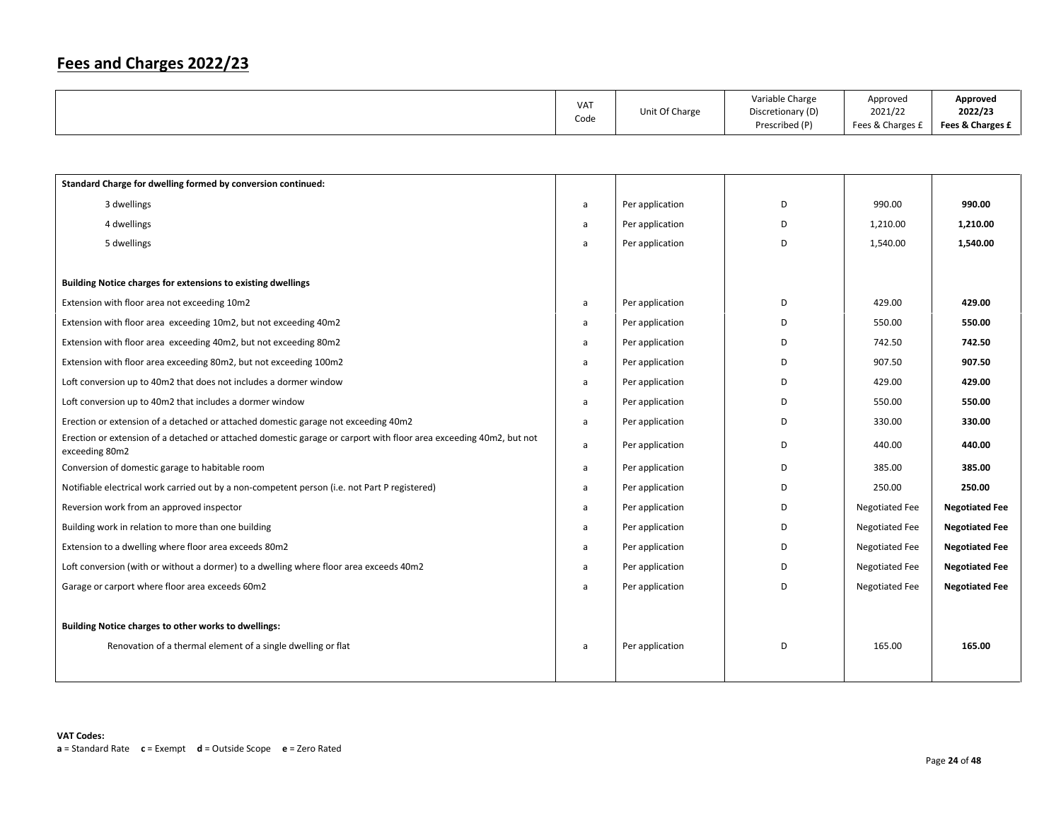|  | VA <sub>1</sub><br>Code | Unit Of Charge | Variable Charge<br>Discretionary (D)<br>Prescribed (P) | Approved<br>2021/22<br>Fees & Charges £ | Approved<br>2022/23<br>Fees & Charges £ |
|--|-------------------------|----------------|--------------------------------------------------------|-----------------------------------------|-----------------------------------------|
|--|-------------------------|----------------|--------------------------------------------------------|-----------------------------------------|-----------------------------------------|

| Standard Charge for dwelling formed by conversion continued:                                                                         |   |                 |   |                       |                       |
|--------------------------------------------------------------------------------------------------------------------------------------|---|-----------------|---|-----------------------|-----------------------|
| 3 dwellings                                                                                                                          | a | Per application | D | 990.00                | 990.00                |
| 4 dwellings                                                                                                                          | a | Per application | D | 1,210.00              | 1,210.00              |
| 5 dwellings                                                                                                                          | a | Per application | D | 1,540.00              | 1,540.00              |
|                                                                                                                                      |   |                 |   |                       |                       |
| Building Notice charges for extensions to existing dwellings                                                                         |   |                 |   |                       |                       |
| Extension with floor area not exceeding 10m2                                                                                         | a | Per application | D | 429.00                | 429.00                |
| Extension with floor area exceeding 10m2, but not exceeding 40m2                                                                     | a | Per application | D | 550.00                | 550.00                |
| Extension with floor area exceeding 40m2, but not exceeding 80m2                                                                     | a | Per application | D | 742.50                | 742.50                |
| Extension with floor area exceeding 80m2, but not exceeding 100m2                                                                    | a | Per application | D | 907.50                | 907.50                |
| Loft conversion up to 40m2 that does not includes a dormer window                                                                    | a | Per application | D | 429.00                | 429.00                |
| Loft conversion up to 40m2 that includes a dormer window                                                                             | a | Per application | D | 550.00                | 550.00                |
| Erection or extension of a detached or attached domestic garage not exceeding 40m2                                                   | a | Per application | D | 330.00                | 330.00                |
| Erection or extension of a detached or attached domestic garage or carport with floor area exceeding 40m2, but not<br>exceeding 80m2 | a | Per application | D | 440.00                | 440.00                |
| Conversion of domestic garage to habitable room                                                                                      | a | Per application | D | 385.00                | 385.00                |
| Notifiable electrical work carried out by a non-competent person (i.e. not Part P registered)                                        | a | Per application | D | 250.00                | 250.00                |
| Reversion work from an approved inspector                                                                                            | a | Per application | D | <b>Negotiated Fee</b> | <b>Negotiated Fee</b> |
| Building work in relation to more than one building                                                                                  | a | Per application | D | Negotiated Fee        | <b>Negotiated Fee</b> |
| Extension to a dwelling where floor area exceeds 80m2                                                                                | a | Per application | D | Negotiated Fee        | <b>Negotiated Fee</b> |
| Loft conversion (with or without a dormer) to a dwelling where floor area exceeds 40m2                                               | a | Per application | D | <b>Negotiated Fee</b> | <b>Negotiated Fee</b> |
| Garage or carport where floor area exceeds 60m2                                                                                      | a | Per application | D | <b>Negotiated Fee</b> | <b>Negotiated Fee</b> |
|                                                                                                                                      |   |                 |   |                       |                       |
| Building Notice charges to other works to dwellings:                                                                                 |   |                 |   |                       |                       |
| Renovation of a thermal element of a single dwelling or flat                                                                         | a | Per application | D | 165.00                | 165.00                |
|                                                                                                                                      |   |                 |   |                       |                       |
|                                                                                                                                      |   |                 |   |                       |                       |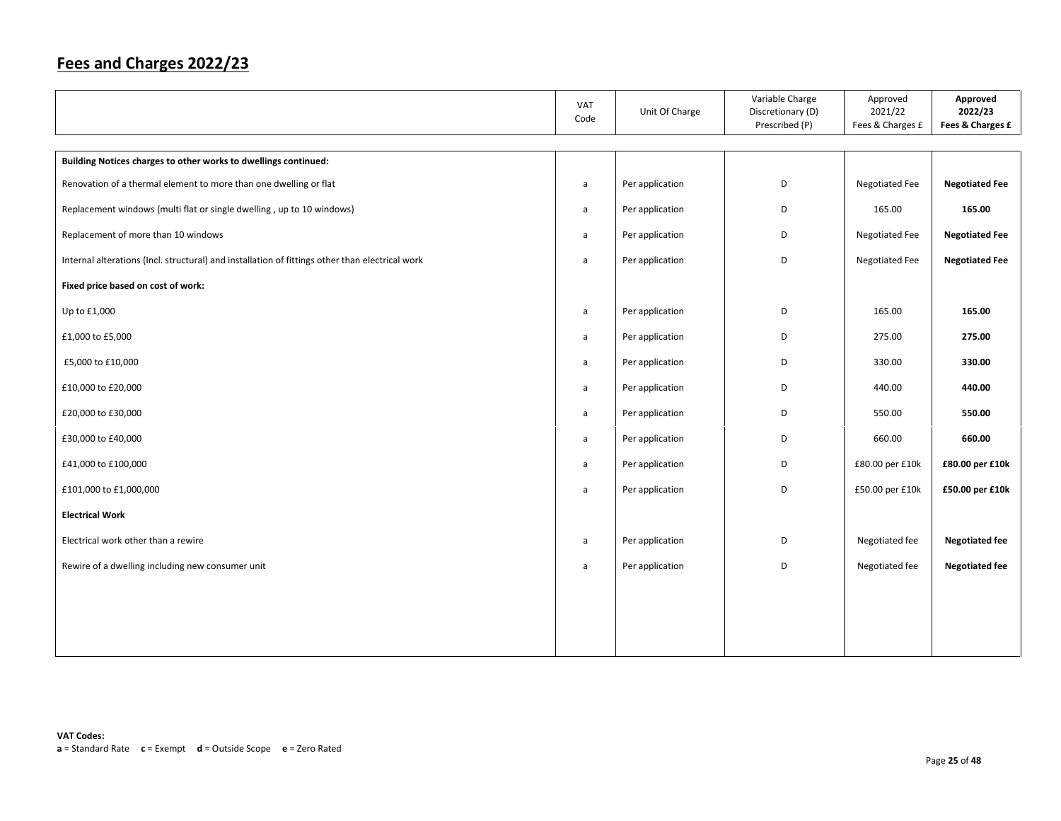|                                                                                                 | VAT<br>Code  | Unit Of Charge  | Variable Charge<br>Discretionary (D)<br>Prescribed (P) | Approved<br>2021/22<br>Fees & Charges £ | Approved<br>2022/23<br>Fees & Charges £ |
|-------------------------------------------------------------------------------------------------|--------------|-----------------|--------------------------------------------------------|-----------------------------------------|-----------------------------------------|
|                                                                                                 |              |                 |                                                        |                                         |                                         |
| Building Notices charges to other works to dwellings continued:                                 |              |                 |                                                        |                                         |                                         |
| Renovation of a thermal element to more than one dwelling or flat                               | a            | Per application | D                                                      | <b>Negotiated Fee</b>                   | <b>Negotiated Fee</b>                   |
| Replacement windows (multi flat or single dwelling, up to 10 windows)                           | a            | Per application | D                                                      | 165.00                                  | 165.00                                  |
| Replacement of more than 10 windows                                                             | a            | Per application | D                                                      | Negotiated Fee                          | <b>Negotiated Fee</b>                   |
| Internal alterations (Incl. structural) and installation of fittings other than electrical work | $\mathsf{a}$ | Per application | D                                                      | Negotiated Fee                          | <b>Negotiated Fee</b>                   |
| Fixed price based on cost of work:                                                              |              |                 |                                                        |                                         |                                         |
| Up to £1,000                                                                                    | a            | Per application | D                                                      | 165.00                                  | 165.00                                  |
| £1,000 to £5,000                                                                                | a            | Per application | D                                                      | 275.00                                  | 275.00                                  |
| £5,000 to £10,000                                                                               | a            | Per application | D                                                      | 330.00                                  | 330.00                                  |
| £10,000 to £20,000                                                                              | a            | Per application | D                                                      | 440.00                                  | 440.00                                  |
| £20,000 to £30,000                                                                              | a            | Per application | D                                                      | 550.00                                  | 550.00                                  |
| £30,000 to £40,000                                                                              | a            | Per application | D                                                      | 660.00                                  | 660.00                                  |
| £41,000 to £100,000                                                                             | a            | Per application | D                                                      | £80.00 per £10k                         | £80.00 per £10k                         |
| £101,000 to £1,000,000                                                                          | a            | Per application | D                                                      | £50.00 per £10k                         | £50.00 per £10k                         |
| <b>Electrical Work</b>                                                                          |              |                 |                                                        |                                         |                                         |
| Electrical work other than a rewire                                                             | a            | Per application | D                                                      | Negotiated fee                          | <b>Negotiated fee</b>                   |
| Rewire of a dwelling including new consumer unit                                                | a            | Per application | D                                                      | Negotiated fee                          | <b>Negotiated fee</b>                   |
|                                                                                                 |              |                 |                                                        |                                         |                                         |
|                                                                                                 |              |                 |                                                        |                                         |                                         |
|                                                                                                 |              |                 |                                                        |                                         |                                         |
|                                                                                                 |              |                 |                                                        |                                         |                                         |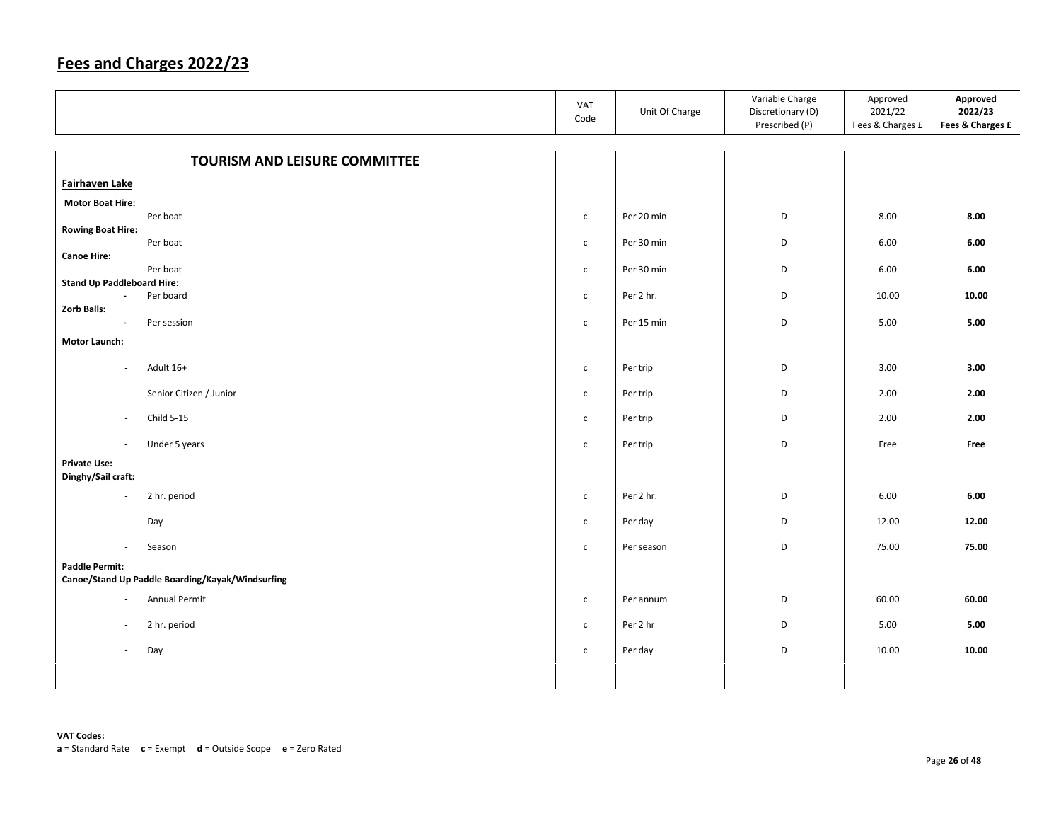|                                                                           |                                      | VAT<br>Code  | Unit Of Charge | Variable Charge<br>Discretionary (D)<br>Prescribed (P) | Approved<br>2021/22<br>Fees & Charges £ | Approved<br>2022/23<br>Fees & Charges £ |
|---------------------------------------------------------------------------|--------------------------------------|--------------|----------------|--------------------------------------------------------|-----------------------------------------|-----------------------------------------|
|                                                                           |                                      |              |                |                                                        |                                         |                                         |
|                                                                           | <b>TOURISM AND LEISURE COMMITTEE</b> |              |                |                                                        |                                         |                                         |
| Fairhaven Lake                                                            |                                      |              |                |                                                        |                                         |                                         |
| <b>Motor Boat Hire:</b>                                                   |                                      |              |                |                                                        |                                         |                                         |
| Per boat<br>$\mathcal{L}_{\mathcal{A}}$<br><b>Rowing Boat Hire:</b>       |                                      | $\mathsf{C}$ | Per 20 min     | D                                                      | 8.00                                    | 8.00                                    |
| Per boat<br>$\sim$                                                        |                                      | $\mathsf{C}$ | Per 30 min     | D                                                      | 6.00                                    | 6.00                                    |
| <b>Canoe Hire:</b>                                                        |                                      |              |                |                                                        |                                         |                                         |
| Per boat<br>$\sim$<br><b>Stand Up Paddleboard Hire:</b>                   |                                      | $\mathsf{C}$ | Per 30 min     | D                                                      | 6.00                                    | 6.00                                    |
| Per board<br>$\blacksquare$                                               |                                      | $\mathsf{C}$ | Per 2 hr.      | D                                                      | 10.00                                   | 10.00                                   |
| <b>Zorb Balls:</b><br>Per session<br>$\overline{\phantom{a}}$             |                                      | $\mathsf{C}$ | Per 15 min     | D                                                      | 5.00                                    | 5.00                                    |
| <b>Motor Launch:</b>                                                      |                                      |              |                |                                                        |                                         |                                         |
|                                                                           |                                      |              |                |                                                        |                                         |                                         |
| Adult 16+<br>$\sim$                                                       |                                      | $\mathsf{C}$ | Per trip       | D                                                      | 3.00                                    | 3.00                                    |
| $\overline{\phantom{a}}$                                                  | Senior Citizen / Junior              | $\mathsf{C}$ | Per trip       | D                                                      | 2.00                                    | 2.00                                    |
| Child 5-15<br>$\overline{\phantom{a}}$                                    |                                      | $\mathsf{C}$ | Per trip       | D                                                      | 2.00                                    | 2.00                                    |
| Under 5 years<br>$\mathcal{L}_{\mathcal{A}}$                              |                                      | $\mathsf{C}$ | Per trip       | D                                                      | Free                                    | Free                                    |
| <b>Private Use:</b><br>Dinghy/Sail craft:                                 |                                      |              |                |                                                        |                                         |                                         |
| 2 hr. period<br>$\overline{\phantom{a}}$                                  |                                      | $\mathsf{C}$ | Per 2 hr.      | D                                                      | 6.00                                    | $6.00\,$                                |
| Day<br>$\overline{\phantom{a}}$                                           |                                      | $\mathsf{C}$ | Per day        | D                                                      | 12.00                                   | 12.00                                   |
| Season<br>$\sim$                                                          |                                      | $\mathsf{C}$ | Per season     | D                                                      | 75.00                                   | 75.00                                   |
| <b>Paddle Permit:</b><br>Canoe/Stand Up Paddle Boarding/Kayak/Windsurfing |                                      |              |                |                                                        |                                         |                                         |
| Annual Permit<br>$\sim$                                                   |                                      | $\mathsf{C}$ | Per annum      | D                                                      | 60.00                                   | 60.00                                   |
| 2 hr. period<br>$\sim$                                                    |                                      | $\mathsf{C}$ | Per 2 hr       | D                                                      | 5.00                                    | 5.00                                    |
| Day<br>$\omega$                                                           |                                      | $\mathsf{C}$ | Per day        | D                                                      | 10.00                                   | 10.00                                   |
|                                                                           |                                      |              |                |                                                        |                                         |                                         |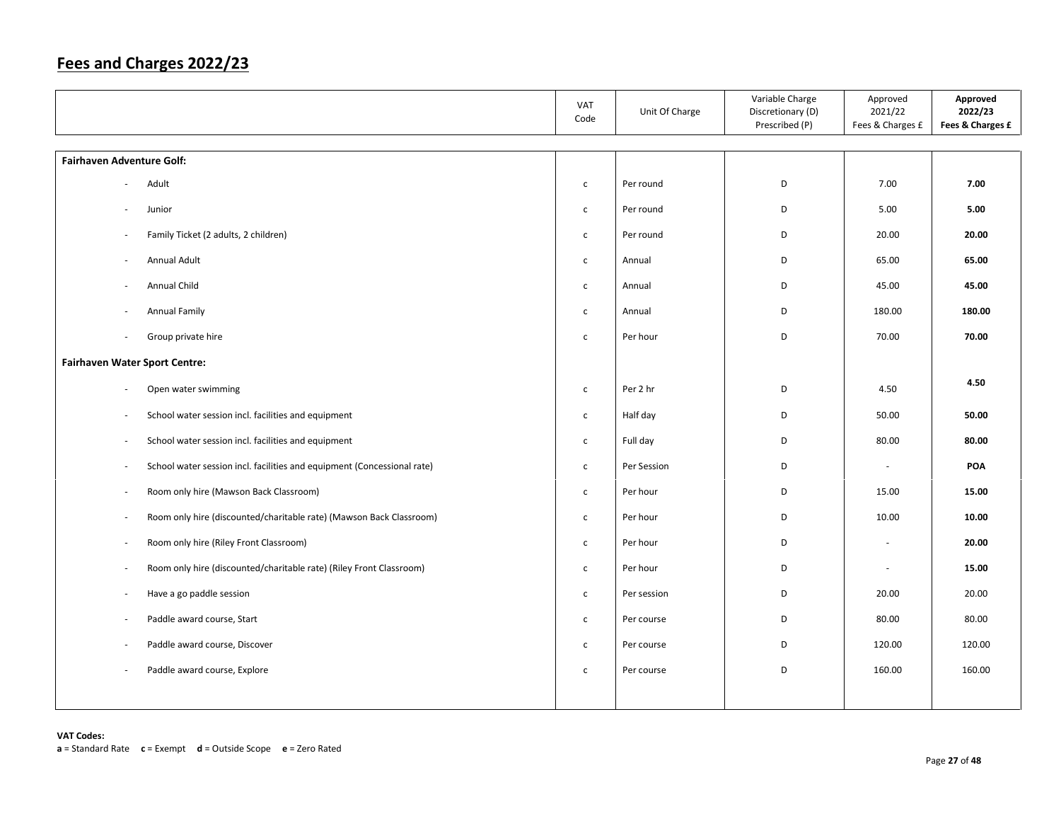|                                                                                                 | VAT<br>Code  | Unit Of Charge | Variable Charge<br>Discretionary (D)<br>Prescribed (P) | Approved<br>2021/22<br>Fees & Charges £ | Approved<br>2022/23<br>Fees & Charges £ |
|-------------------------------------------------------------------------------------------------|--------------|----------------|--------------------------------------------------------|-----------------------------------------|-----------------------------------------|
| <b>Fairhaven Adventure Golf:</b>                                                                |              |                |                                                        |                                         |                                         |
| Adult                                                                                           | $\mathsf{C}$ | Per round      | D                                                      | 7.00                                    | 7.00                                    |
| Junior                                                                                          | $\mathsf{c}$ | Per round      | D                                                      | 5.00                                    | 5.00                                    |
| Family Ticket (2 adults, 2 children)                                                            | $\mathsf{C}$ | Per round      | D                                                      | 20.00                                   | 20.00                                   |
| Annual Adult<br>$\overline{\phantom{a}}$                                                        | $\mathsf{C}$ | Annual         | D                                                      | 65.00                                   | 65.00                                   |
| Annual Child<br>$\overline{\phantom{a}}$                                                        | $\mathsf{C}$ | Annual         | D                                                      | 45.00                                   | 45.00                                   |
| Annual Family                                                                                   | $\mathsf{c}$ | Annual         | D                                                      | 180.00                                  | 180.00                                  |
| Group private hire                                                                              | $\mathsf{C}$ | Per hour       | D                                                      | 70.00                                   | 70.00                                   |
| <b>Fairhaven Water Sport Centre:</b>                                                            |              |                |                                                        |                                         |                                         |
| Open water swimming<br>$\overline{\phantom{a}}$                                                 | $\mathsf{c}$ | Per 2 hr       | D                                                      | 4.50                                    | 4.50                                    |
| School water session incl. facilities and equipment<br>ä,                                       | $\mathsf{C}$ | Half day       | D                                                      | 50.00                                   | 50.00                                   |
| School water session incl. facilities and equipment<br>$\overline{\phantom{a}}$                 | $\mathsf{C}$ | Full day       | D                                                      | 80.00                                   | 80.00                                   |
| School water session incl. facilities and equipment (Concessional rate)<br>÷,                   | $\mathsf{C}$ | Per Session    | D                                                      | $\sim$                                  | POA                                     |
| Room only hire (Mawson Back Classroom)<br>÷,                                                    | $\mathsf{C}$ | Per hour       | D                                                      | 15.00                                   | 15.00                                   |
| Room only hire (discounted/charitable rate) (Mawson Back Classroom)<br>$\overline{\phantom{a}}$ | $\mathsf{c}$ | Per hour       | D                                                      | 10.00                                   | 10.00                                   |
| Room only hire (Riley Front Classroom)<br>÷,                                                    | $\mathsf{C}$ | Per hour       | D                                                      | $\overline{\phantom{a}}$                | 20.00                                   |
| Room only hire (discounted/charitable rate) (Riley Front Classroom)<br>÷,                       | $\mathsf{C}$ | Per hour       | D                                                      | ×.                                      | 15.00                                   |
| Have a go paddle session<br>÷,                                                                  | $\mathsf{C}$ | Per session    | D                                                      | 20.00                                   | 20.00                                   |
| Paddle award course, Start<br>÷,                                                                | $\mathsf{C}$ | Per course     | D                                                      | 80.00                                   | 80.00                                   |
| Paddle award course, Discover                                                                   | $\mathsf{C}$ | Per course     | D                                                      | 120.00                                  | 120.00                                  |
| Paddle award course, Explore                                                                    | $\mathsf{C}$ | Per course     | D                                                      | 160.00                                  | 160.00                                  |
|                                                                                                 |              |                |                                                        |                                         |                                         |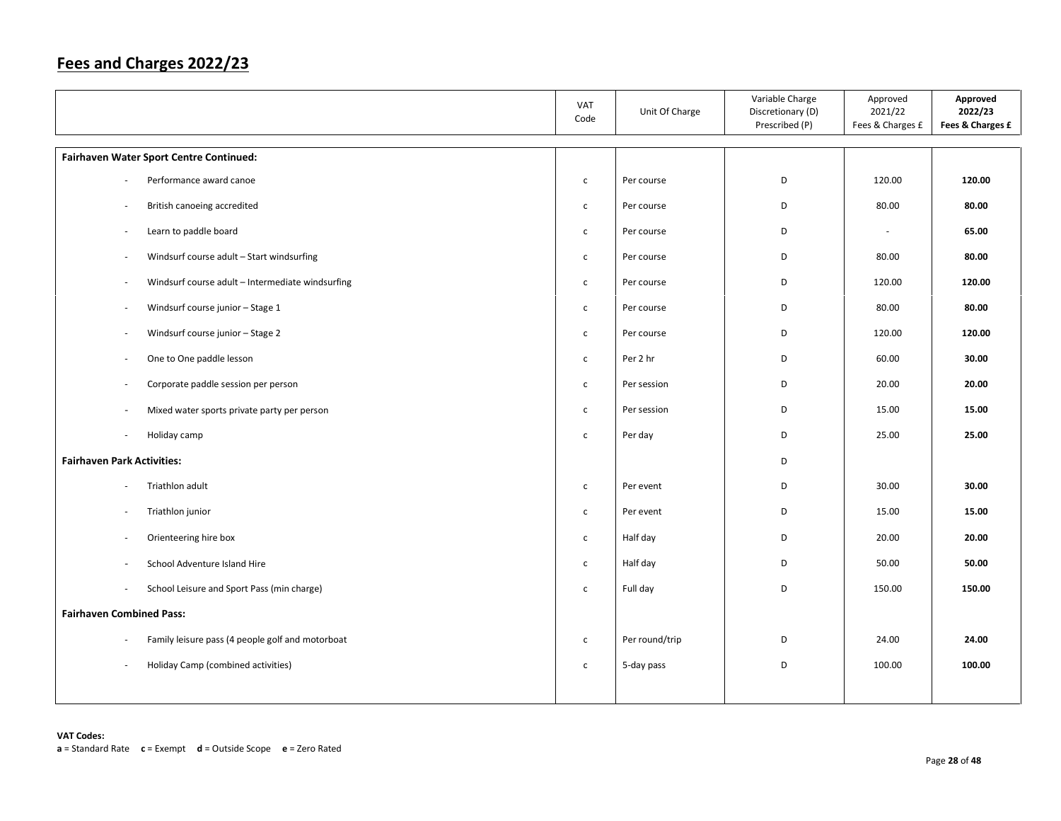|                                                                        | VAT<br>Code  | Unit Of Charge | Variable Charge<br>Discretionary (D)<br>Prescribed (P) | Approved<br>2021/22<br>Fees & Charges £ | Approved<br>2022/23<br>Fees & Charges £ |
|------------------------------------------------------------------------|--------------|----------------|--------------------------------------------------------|-----------------------------------------|-----------------------------------------|
| Fairhaven Water Sport Centre Continued:                                |              |                |                                                        |                                         |                                         |
| Performance award canoe                                                | $\mathsf{c}$ | Per course     | D                                                      | 120.00                                  | 120.00                                  |
| British canoeing accredited<br>$\overline{\phantom{a}}$                | $\mathsf{c}$ | Per course     | D                                                      | 80.00                                   | 80.00                                   |
| Learn to paddle board<br>÷,                                            | $\mathsf{C}$ | Per course     | D                                                      | $\overline{\phantom{a}}$                | 65.00                                   |
| Windsurf course adult - Start windsurfing<br>÷,                        | $\mathsf{C}$ | Per course     | D                                                      | 80.00                                   | 80.00                                   |
| Windsurf course adult - Intermediate windsurfing                       | $\mathsf{C}$ | Per course     | D                                                      | 120.00                                  | 120.00                                  |
| Windsurf course junior - Stage 1<br>$\overline{\phantom{a}}$           | $\mathsf{C}$ | Per course     | D                                                      | 80.00                                   | 80.00                                   |
| Windsurf course junior - Stage 2<br>٠                                  | $\mathsf{C}$ | Per course     | D                                                      | 120.00                                  | 120.00                                  |
| One to One paddle lesson<br>÷,                                         | $\mathsf{C}$ | Per 2 hr       | D                                                      | 60.00                                   | 30.00                                   |
| Corporate paddle session per person                                    | $\mathsf{C}$ | Per session    | D                                                      | 20.00                                   | 20.00                                   |
| Mixed water sports private party per person                            | $\mathsf{C}$ | Per session    | D                                                      | 15.00                                   | 15.00                                   |
| Holiday camp<br>$\overline{\phantom{a}}$                               | $\mathsf{c}$ | Per day        | D                                                      | 25.00                                   | 25.00                                   |
| <b>Fairhaven Park Activities:</b>                                      |              |                | D                                                      |                                         |                                         |
| Triathlon adult<br>٠                                                   | $\mathsf{c}$ | Per event      | D                                                      | 30.00                                   | 30.00                                   |
| Triathlon junior                                                       | $\mathsf{C}$ | Per event      | D                                                      | 15.00                                   | 15.00                                   |
| Orienteering hire box<br>$\sim$                                        | $\mathsf{c}$ | Half day       | D                                                      | 20.00                                   | 20.00                                   |
| School Adventure Island Hire                                           | $\mathsf{C}$ | Half day       | D                                                      | 50.00                                   | 50.00                                   |
| School Leisure and Sport Pass (min charge)<br>$\overline{\phantom{a}}$ | $\mathsf{C}$ | Full day       | D                                                      | 150.00                                  | 150.00                                  |
| <b>Fairhaven Combined Pass:</b>                                        |              |                |                                                        |                                         |                                         |
| Family leisure pass (4 people golf and motorboat                       | $\mathsf{c}$ | Per round/trip | D                                                      | 24.00                                   | 24.00                                   |
| Holiday Camp (combined activities)<br>$\sim$                           | $\mathsf{C}$ | 5-day pass     | D                                                      | 100.00                                  | 100.00                                  |
|                                                                        |              |                |                                                        |                                         |                                         |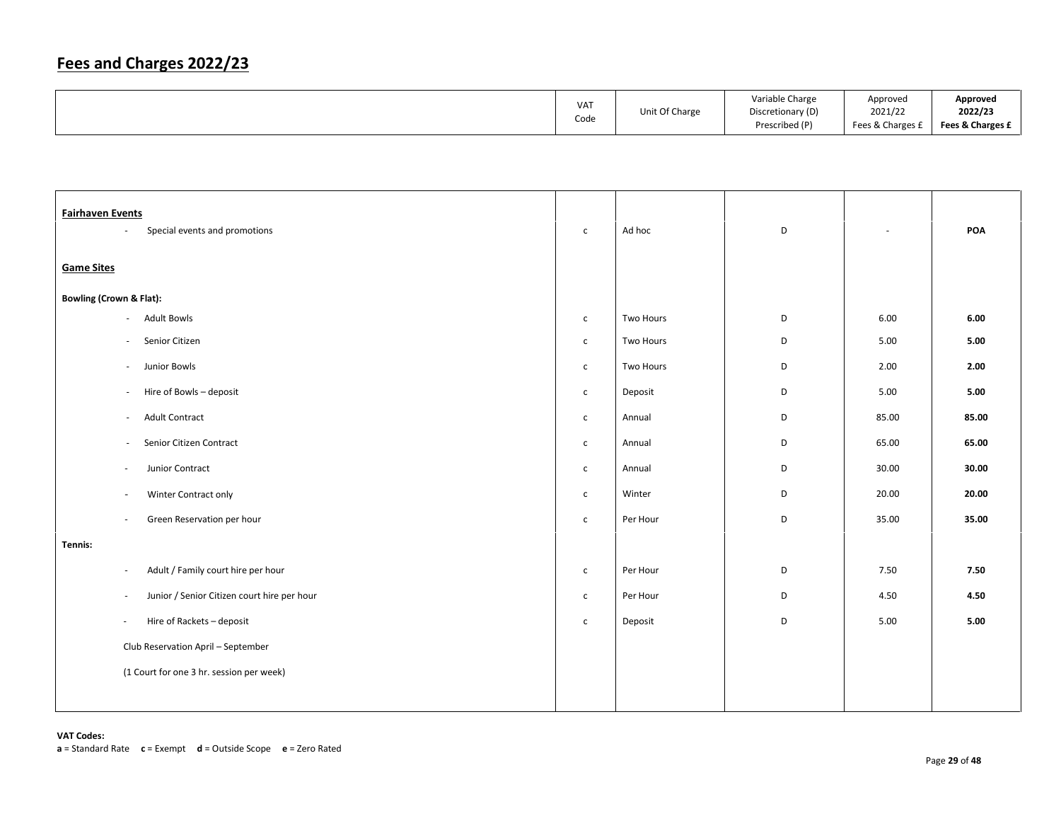|  | <b>VAT</b><br>Code | Unit Of Charge | Variable Charge<br>Discretionary (D)<br>Prescribed (P) | Approved<br>2021/22<br>Fees & Charges £ | Approved<br>2022/23<br>Fees & Charges £ |
|--|--------------------|----------------|--------------------------------------------------------|-----------------------------------------|-----------------------------------------|
|--|--------------------|----------------|--------------------------------------------------------|-----------------------------------------|-----------------------------------------|

| <b>Fairhaven Events</b>            | Special events and promotions<br>÷                    | $\mathsf{C}$ | Ad hoc    | D           |       | POA   |
|------------------------------------|-------------------------------------------------------|--------------|-----------|-------------|-------|-------|
|                                    |                                                       |              |           |             |       |       |
| <b>Game Sites</b>                  |                                                       |              |           |             |       |       |
| <b>Bowling (Crown &amp; Flat):</b> |                                                       |              |           |             |       |       |
|                                    | <b>Adult Bowls</b><br>$\overline{\phantom{a}}$        | $\mathsf{C}$ | Two Hours | D           | 6.00  | 6.00  |
|                                    | Senior Citizen<br>$\overline{\phantom{a}}$            | $\mathsf{C}$ | Two Hours | D           | 5.00  | 5.00  |
|                                    | Junior Bowls<br>$\overline{\phantom{a}}$              | $\mathsf{C}$ | Two Hours | D           | 2.00  | 2.00  |
|                                    | Hire of Bowls - deposit<br>$\overline{\phantom{a}}$   | $\mathsf{C}$ | Deposit   | $\mathsf D$ | 5.00  | 5.00  |
|                                    | <b>Adult Contract</b><br>$\overline{\phantom{a}}$     | $\mathsf{C}$ | Annual    | D           | 85.00 | 85.00 |
|                                    | Senior Citizen Contract<br>$\overline{\phantom{a}}$   | $\mathsf{C}$ | Annual    | D           | 65.00 | 65.00 |
|                                    | Junior Contract<br>$\sim$                             | $\mathsf{C}$ | Annual    | D           | 30.00 | 30.00 |
|                                    | Winter Contract only<br>$\overline{\phantom{a}}$      | $\mathsf{C}$ | Winter    | D           | 20.00 | 20.00 |
|                                    | Green Reservation per hour<br>$\sim$                  | $\mathsf{C}$ | Per Hour  | $\mathsf D$ | 35.00 | 35.00 |
| Tennis:                            |                                                       |              |           |             |       |       |
|                                    | Adult / Family court hire per hour<br>$\sim$          | $\mathsf{C}$ | Per Hour  | D           | 7.50  | 7.50  |
|                                    | Junior / Senior Citizen court hire per hour<br>$\sim$ | $\mathsf{C}$ | Per Hour  | D           | 4.50  | 4.50  |
|                                    | Hire of Rackets - deposit<br>$\overline{\phantom{a}}$ | $\mathsf{C}$ | Deposit   | D           | 5.00  | 5.00  |
|                                    | Club Reservation April - September                    |              |           |             |       |       |
|                                    | (1 Court for one 3 hr. session per week)              |              |           |             |       |       |
|                                    |                                                       |              |           |             |       |       |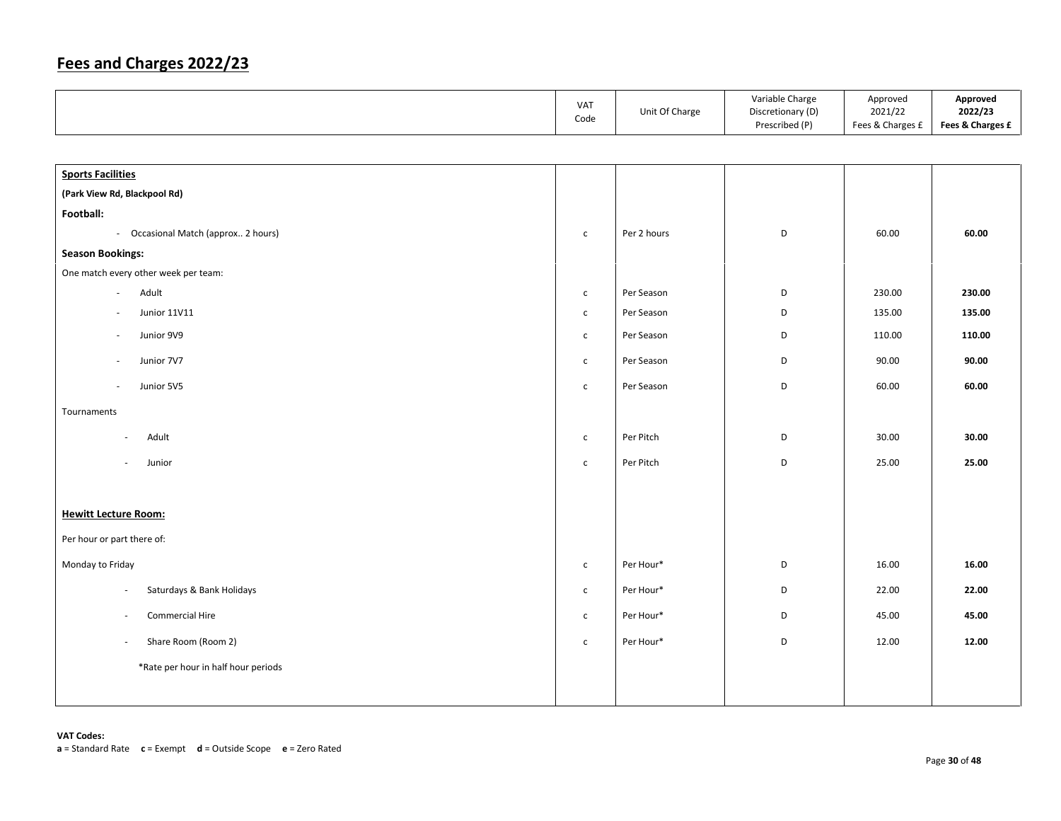|                                      | VAT<br>Code  | Unit Of Charge | Variable Charge<br>Discretionary (D)<br>Prescribed (P) | Approved<br>2021/22<br>Fees & Charges £ | Approved<br>2022/23<br>Fees & Charges £ |
|--------------------------------------|--------------|----------------|--------------------------------------------------------|-----------------------------------------|-----------------------------------------|
|                                      |              |                |                                                        |                                         |                                         |
| <b>Sports Facilities</b>             |              |                |                                                        |                                         |                                         |
| (Park View Rd, Blackpool Rd)         |              |                |                                                        |                                         |                                         |
| Football:                            |              |                |                                                        |                                         |                                         |
| - Occasional Match (approx 2 hours)  | $\mathsf{C}$ | Per 2 hours    | D                                                      | 60.00                                   | 60.00                                   |
| <b>Season Bookings:</b>              |              |                |                                                        |                                         |                                         |
| One match every other week per team: |              |                |                                                        |                                         |                                         |
| Adult<br>$\omega$                    | $\mathsf{C}$ | Per Season     | $\mathsf D$                                            | 230.00                                  | 230.00                                  |
| <b>Junior 11V11</b>                  | $\mathsf{C}$ | Per Season     | D                                                      | 135.00                                  | 135.00                                  |
| Junior 9V9                           | $\mathsf{c}$ | Per Season     | D                                                      | 110.00                                  | 110.00                                  |
| Junior 7V7                           | $\mathsf{C}$ | Per Season     | D                                                      | 90.00                                   | 90.00                                   |
| Junior 5V5<br>÷,                     | $\mathsf{c}$ | Per Season     | D                                                      | 60.00                                   | 60.00                                   |
| Tournaments                          |              |                |                                                        |                                         |                                         |
| Adult<br>$\sim$                      | $\mathsf{C}$ | Per Pitch      | D                                                      | 30.00                                   | 30.00                                   |
| Junior<br>$\sim$                     | $\mathsf{c}$ | Per Pitch      | D                                                      | 25.00                                   | 25.00                                   |
|                                      |              |                |                                                        |                                         |                                         |
| <b>Hewitt Lecture Room:</b>          |              |                |                                                        |                                         |                                         |
| Per hour or part there of:           |              |                |                                                        |                                         |                                         |
| Monday to Friday                     | $\mathsf{c}$ | Per Hour*      | D                                                      | 16.00                                   | 16.00                                   |
| Saturdays & Bank Holidays<br>$\sim$  | $\mathsf{C}$ | Per Hour*      | D                                                      | 22.00                                   | 22.00                                   |
| Commercial Hire<br>$\sim$            | $\mathsf{C}$ | Per Hour*      | D                                                      | 45.00                                   | 45.00                                   |
| Share Room (Room 2)<br>$\sim$        | $\mathsf{C}$ | Per Hour*      | D                                                      | 12.00                                   | 12.00                                   |
| *Rate per hour in half hour periods  |              |                |                                                        |                                         |                                         |
|                                      |              |                |                                                        |                                         |                                         |
|                                      |              |                |                                                        |                                         |                                         |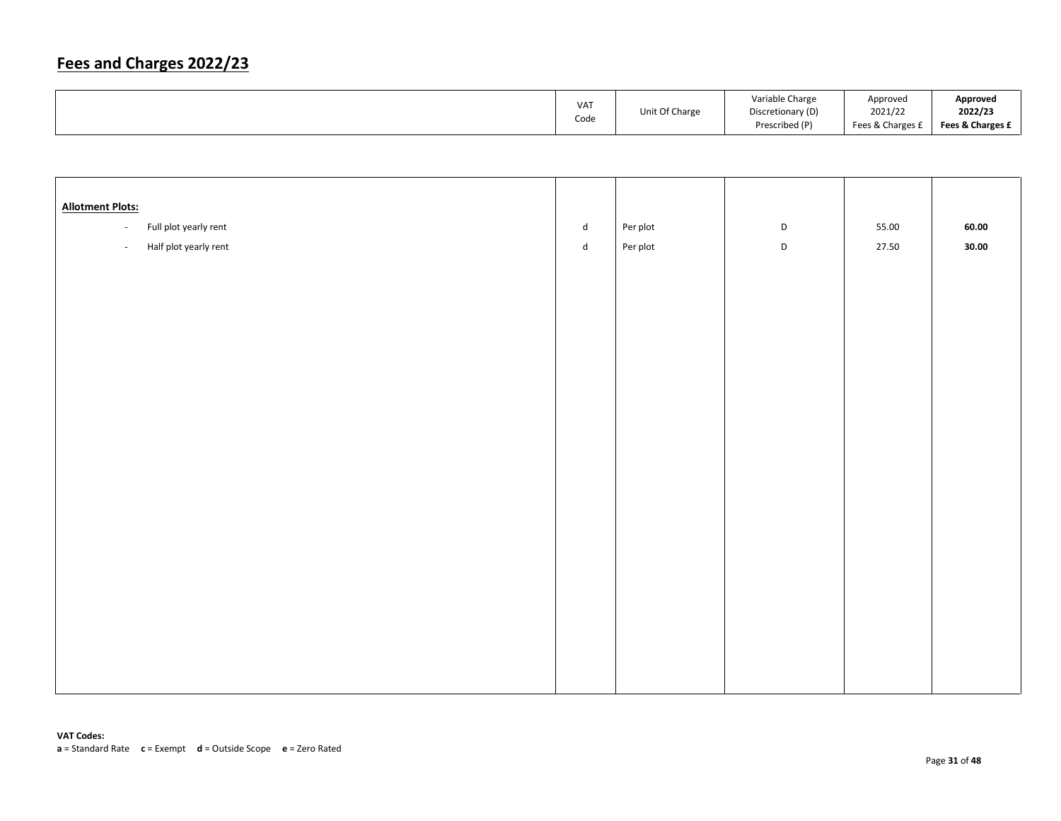| VA <sub>1</sub><br>Code | Unit Of Charge | Variable Charge<br>Discretionary (D)<br>Prescribed (P) | Approved<br>2021/22<br>Fees & Charges £ | Approved<br>2022/23<br>Fees & Charges £ |
|-------------------------|----------------|--------------------------------------------------------|-----------------------------------------|-----------------------------------------|
|                         |                |                                                        |                                         |                                         |

| <b>Allotment Plots:</b>           |                             |          |             |       |       |
|-----------------------------------|-----------------------------|----------|-------------|-------|-------|
| Full plot yearly rent<br>$\omega$ | $\operatorname{\mathsf{d}}$ | Per plot | $\mathsf D$ | 55.00 | 60.00 |
| Half plot yearly rent<br>$\omega$ | $\operatorname{\mathsf{d}}$ | Per plot | $\mathsf D$ | 27.50 | 30.00 |
|                                   |                             |          |             |       |       |
|                                   |                             |          |             |       |       |
|                                   |                             |          |             |       |       |
|                                   |                             |          |             |       |       |
|                                   |                             |          |             |       |       |
|                                   |                             |          |             |       |       |
|                                   |                             |          |             |       |       |
|                                   |                             |          |             |       |       |
|                                   |                             |          |             |       |       |
|                                   |                             |          |             |       |       |
|                                   |                             |          |             |       |       |
|                                   |                             |          |             |       |       |
|                                   |                             |          |             |       |       |
|                                   |                             |          |             |       |       |
|                                   |                             |          |             |       |       |
|                                   |                             |          |             |       |       |
|                                   |                             |          |             |       |       |
|                                   |                             |          |             |       |       |
|                                   |                             |          |             |       |       |
|                                   |                             |          |             |       |       |
|                                   |                             |          |             |       |       |
|                                   |                             |          |             |       |       |
|                                   |                             |          |             |       |       |
|                                   |                             |          |             |       |       |
|                                   |                             |          |             |       |       |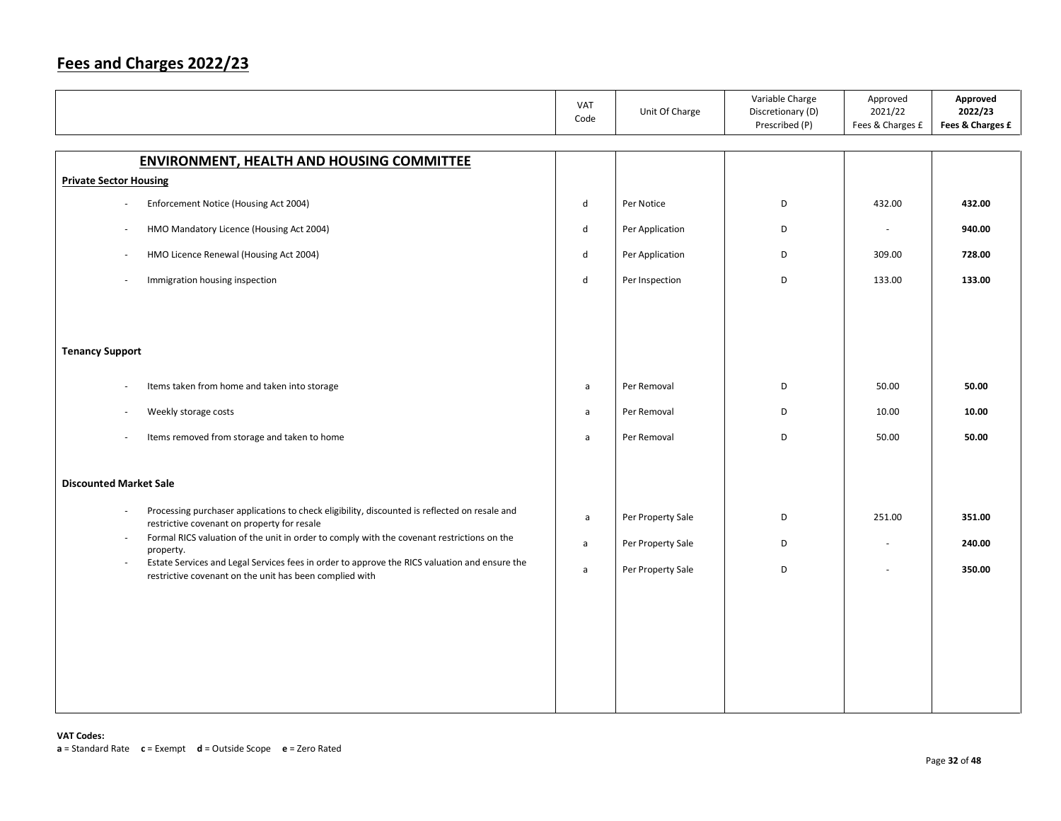|                                                                                                                                                                    | VAT<br>Code  | Unit Of Charge    | Variable Charge<br>Discretionary (D)<br>Prescribed (P) | Approved<br>2021/22<br>Fees & Charges £ | Approved<br>2022/23<br>Fees & Charges £ |
|--------------------------------------------------------------------------------------------------------------------------------------------------------------------|--------------|-------------------|--------------------------------------------------------|-----------------------------------------|-----------------------------------------|
| <b>ENVIRONMENT, HEALTH AND HOUSING COMMITTEE</b>                                                                                                                   |              |                   |                                                        |                                         |                                         |
| <b>Private Sector Housing</b>                                                                                                                                      |              |                   |                                                        |                                         |                                         |
| Enforcement Notice (Housing Act 2004)<br>$\sim$                                                                                                                    | $\mathsf{d}$ | Per Notice        | D                                                      | 432.00                                  | 432.00                                  |
| HMO Mandatory Licence (Housing Act 2004)<br>×.                                                                                                                     | d            | Per Application   | D                                                      | ÷,                                      | 940.00                                  |
| HMO Licence Renewal (Housing Act 2004)<br>$\overline{\phantom{a}}$                                                                                                 | d            | Per Application   | D                                                      | 309.00                                  | 728.00                                  |
| Immigration housing inspection                                                                                                                                     | $\mathsf{d}$ | Per Inspection    | D                                                      | 133.00                                  | 133.00                                  |
|                                                                                                                                                                    |              |                   |                                                        |                                         |                                         |
|                                                                                                                                                                    |              |                   |                                                        |                                         |                                         |
| <b>Tenancy Support</b>                                                                                                                                             |              |                   |                                                        |                                         |                                         |
| Items taken from home and taken into storage<br>$\overline{\phantom{a}}$                                                                                           | a            | Per Removal       | D                                                      | 50.00                                   | 50.00                                   |
| Weekly storage costs<br>$\overline{\phantom{a}}$                                                                                                                   | $\mathsf{a}$ | Per Removal       | D                                                      | 10.00                                   | 10.00                                   |
| Items removed from storage and taken to home                                                                                                                       | $\mathsf{a}$ | Per Removal       | D                                                      | 50.00                                   | 50.00                                   |
| <b>Discounted Market Sale</b>                                                                                                                                      |              |                   |                                                        |                                         |                                         |
| Processing purchaser applications to check eligibility, discounted is reflected on resale and<br>$\sim$<br>restrictive covenant on property for resale             | $\mathsf{a}$ | Per Property Sale | D                                                      | 251.00                                  | 351.00                                  |
| Formal RICS valuation of the unit in order to comply with the covenant restrictions on the<br>$\sim$<br>property.                                                  | $\mathsf{a}$ | Per Property Sale | D                                                      | $\overline{\phantom{a}}$                | 240.00                                  |
| Estate Services and Legal Services fees in order to approve the RICS valuation and ensure the<br>$\sim$<br>restrictive covenant on the unit has been complied with | $\mathsf{a}$ | Per Property Sale | D                                                      | ÷,                                      | 350.00                                  |
|                                                                                                                                                                    |              |                   |                                                        |                                         |                                         |
|                                                                                                                                                                    |              |                   |                                                        |                                         |                                         |
|                                                                                                                                                                    |              |                   |                                                        |                                         |                                         |
|                                                                                                                                                                    |              |                   |                                                        |                                         |                                         |
|                                                                                                                                                                    |              |                   |                                                        |                                         |                                         |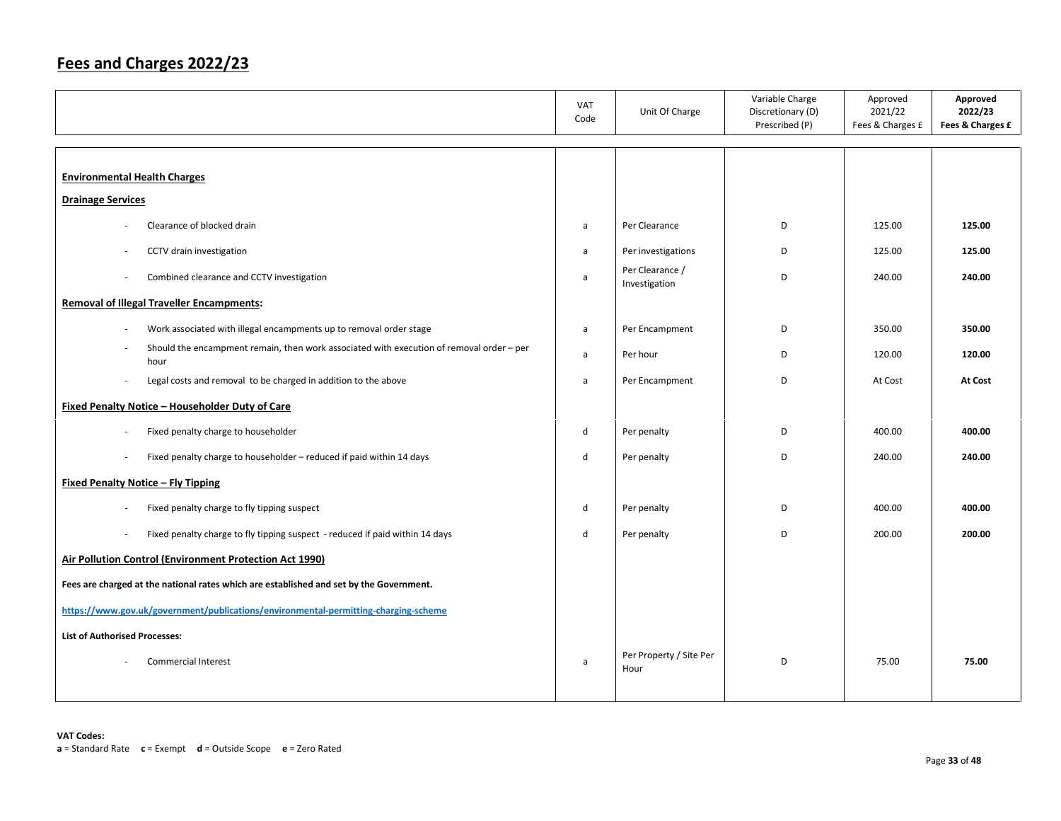|                                                                                                  | <b>VAT</b><br>Code | Unit Of Charge                   | Variable Charge<br>Discretionary (D)<br>Prescribed (P) | Approved<br>2021/22<br>Fees & Charges £ | Approved<br>2022/23<br>Fees & Charges £ |
|--------------------------------------------------------------------------------------------------|--------------------|----------------------------------|--------------------------------------------------------|-----------------------------------------|-----------------------------------------|
|                                                                                                  |                    |                                  |                                                        |                                         |                                         |
| <b>Environmental Health Charges</b>                                                              |                    |                                  |                                                        |                                         |                                         |
| <b>Drainage Services</b>                                                                         |                    |                                  |                                                        |                                         |                                         |
| Clearance of blocked drain                                                                       | a                  | Per Clearance                    | D                                                      | 125.00                                  | 125.00                                  |
| CCTV drain investigation                                                                         | a                  | Per investigations               | D                                                      | 125.00                                  | 125.00                                  |
| Combined clearance and CCTV investigation<br>÷,                                                  | a                  | Per Clearance /<br>Investigation | D                                                      | 240.00                                  | 240.00                                  |
| <b>Removal of Illegal Traveller Encampments:</b>                                                 |                    |                                  |                                                        |                                         |                                         |
| Work associated with illegal encampments up to removal order stage<br>×,                         | a                  | Per Encampment                   | D                                                      | 350.00                                  | 350.00                                  |
| Should the encampment remain, then work associated with execution of removal order - per<br>hour | a                  | Per hour                         | D                                                      | 120.00                                  | 120.00                                  |
| Legal costs and removal to be charged in addition to the above                                   | a                  | Per Encampment                   | D                                                      | At Cost                                 | <b>At Cost</b>                          |
| Fixed Penalty Notice - Householder Duty of Care                                                  |                    |                                  |                                                        |                                         |                                         |
| Fixed penalty charge to householder<br>$\overline{\phantom{a}}$                                  | d                  | Per penalty                      | D                                                      | 400.00                                  | 400.00                                  |
| Fixed penalty charge to householder - reduced if paid within 14 days<br>÷,                       | d                  | Per penalty                      | D                                                      | 240.00                                  | 240.00                                  |
| <b>Fixed Penalty Notice - Fly Tipping</b>                                                        |                    |                                  |                                                        |                                         |                                         |
| Fixed penalty charge to fly tipping suspect                                                      | d                  | Per penalty                      | D                                                      | 400.00                                  | 400.00                                  |
| Fixed penalty charge to fly tipping suspect - reduced if paid within 14 days<br>÷,               | d                  | Per penalty                      | D                                                      | 200.00                                  | 200.00                                  |
| Air Pollution Control (Environment Protection Act 1990)                                          |                    |                                  |                                                        |                                         |                                         |
| Fees are charged at the national rates which are established and set by the Government.          |                    |                                  |                                                        |                                         |                                         |
| https://www.gov.uk/government/publications/environmental-permitting-charging-scheme              |                    |                                  |                                                        |                                         |                                         |
| <b>List of Authorised Processes:</b>                                                             |                    |                                  |                                                        |                                         |                                         |
| <b>Commercial Interest</b>                                                                       | a                  | Per Property / Site Per<br>Hour  | D                                                      | 75.00                                   | 75.00                                   |
|                                                                                                  |                    |                                  |                                                        |                                         |                                         |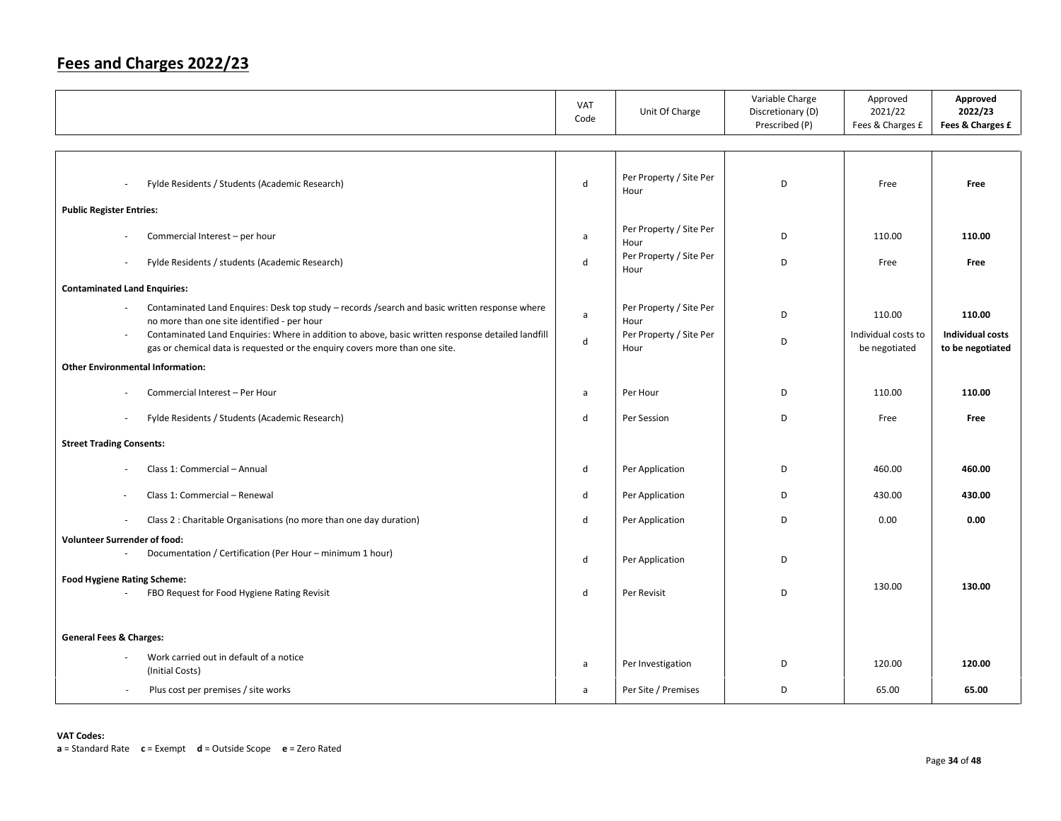|                                                                                                                                                                                            | <b>VAT</b><br>Code | Unit Of Charge                  | Variable Charge<br>Discretionary (D)<br>Prescribed (P) | Approved<br>2021/22<br>Fees & Charges £ | Approved<br>2022/23<br>Fees & Charges £     |
|--------------------------------------------------------------------------------------------------------------------------------------------------------------------------------------------|--------------------|---------------------------------|--------------------------------------------------------|-----------------------------------------|---------------------------------------------|
|                                                                                                                                                                                            |                    |                                 |                                                        |                                         |                                             |
| Fylde Residents / Students (Academic Research)<br>$\overline{\phantom{a}}$                                                                                                                 | d                  | Per Property / Site Per<br>Hour | D                                                      | Free                                    | Free                                        |
| <b>Public Register Entries:</b>                                                                                                                                                            |                    |                                 |                                                        |                                         |                                             |
| Commercial Interest - per hour                                                                                                                                                             | a                  | Per Property / Site Per<br>Hour | D                                                      | 110.00                                  | 110.00                                      |
| Fylde Residents / students (Academic Research)<br>÷,                                                                                                                                       | d                  | Per Property / Site Per<br>Hour | D                                                      | Free                                    | Free                                        |
| <b>Contaminated Land Enquiries:</b>                                                                                                                                                        |                    |                                 |                                                        |                                         |                                             |
| Contaminated Land Enquires: Desk top study - records / search and basic written response where<br>no more than one site identified - per hour                                              | a                  | Per Property / Site Per<br>Hour | D                                                      | 110.00                                  | 110.00                                      |
| Contaminated Land Enquiries: Where in addition to above, basic written response detailed landfill<br>$\sim$<br>gas or chemical data is requested or the enquiry covers more than one site. | d                  | Per Property / Site Per<br>Hour | D                                                      | Individual costs to<br>be negotiated    | <b>Individual costs</b><br>to be negotiated |
| <b>Other Environmental Information:</b>                                                                                                                                                    |                    |                                 |                                                        |                                         |                                             |
| Commercial Interest - Per Hour                                                                                                                                                             | a                  | Per Hour                        | D                                                      | 110.00                                  | 110.00                                      |
| Fylde Residents / Students (Academic Research)<br>÷,                                                                                                                                       | d                  | Per Session                     | D                                                      | Free                                    | Free                                        |
| <b>Street Trading Consents:</b>                                                                                                                                                            |                    |                                 |                                                        |                                         |                                             |
| Class 1: Commercial - Annual                                                                                                                                                               | d                  | Per Application                 | D                                                      | 460.00                                  | 460.00                                      |
| Class 1: Commercial - Renewal                                                                                                                                                              | d                  | Per Application                 | D                                                      | 430.00                                  | 430.00                                      |
| Class 2 : Charitable Organisations (no more than one day duration)<br>$\overline{\phantom{a}}$                                                                                             | d                  | Per Application                 | D                                                      | 0.00                                    | 0.00                                        |
| <b>Volunteer Surrender of food:</b><br>Documentation / Certification (Per Hour - minimum 1 hour)<br>×.                                                                                     |                    |                                 |                                                        |                                         |                                             |
|                                                                                                                                                                                            | d                  | Per Application                 | D                                                      |                                         |                                             |
| <b>Food Hygiene Rating Scheme:</b><br>FBO Request for Food Hygiene Rating Revisit<br>ä,                                                                                                    | d                  | Per Revisit                     | D                                                      | 130.00                                  | 130.00                                      |
|                                                                                                                                                                                            |                    |                                 |                                                        |                                         |                                             |
| <b>General Fees &amp; Charges:</b>                                                                                                                                                         |                    |                                 |                                                        |                                         |                                             |
| Work carried out in default of a notice<br>(Initial Costs)                                                                                                                                 | a                  | Per Investigation               | D                                                      | 120.00                                  | 120.00                                      |
| Plus cost per premises / site works<br>$\sim$                                                                                                                                              | a                  | Per Site / Premises             | D                                                      | 65.00                                   | 65.00                                       |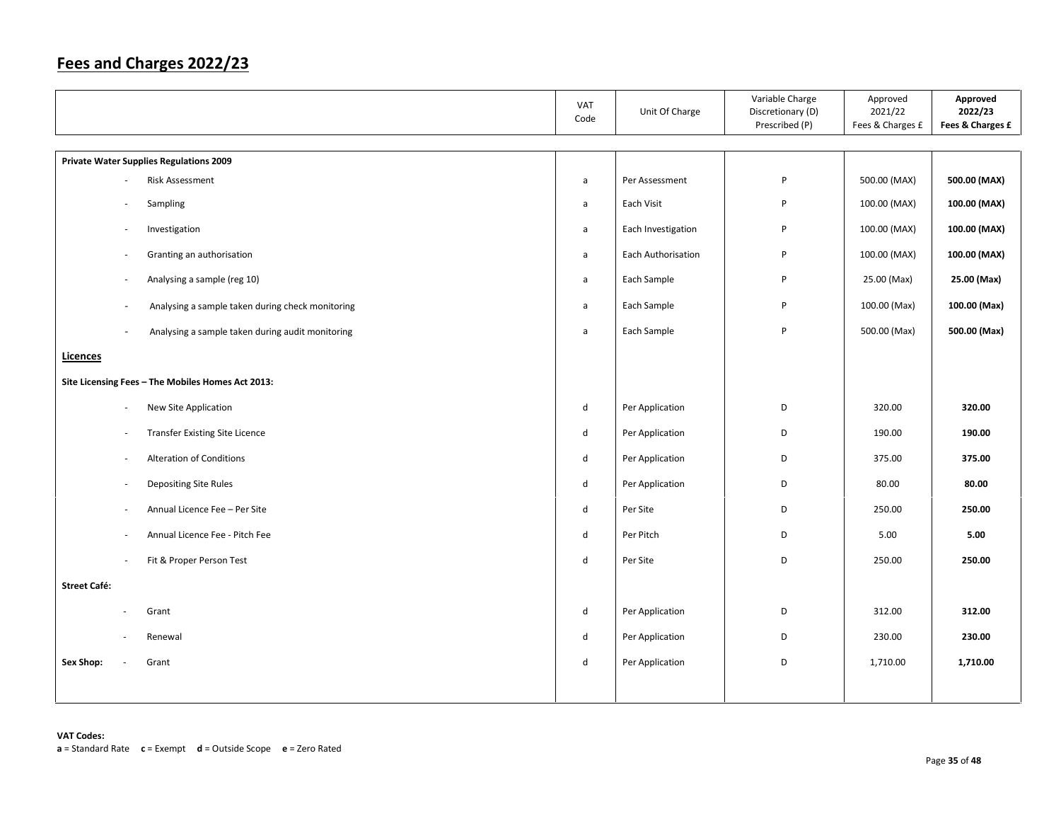|                                                                              | VAT<br>Code                 | Unit Of Charge     | Variable Charge<br>Discretionary (D)<br>Prescribed (P) | Approved<br>2021/22<br>Fees & Charges £ | Approved<br>2022/23<br>Fees & Charges £ |
|------------------------------------------------------------------------------|-----------------------------|--------------------|--------------------------------------------------------|-----------------------------------------|-----------------------------------------|
| <b>Private Water Supplies Regulations 2009</b>                               |                             |                    |                                                        |                                         |                                         |
| Risk Assessment                                                              | $\mathsf{a}$                | Per Assessment     | P                                                      | 500.00 (MAX)                            | 500.00 (MAX)                            |
| Sampling                                                                     | $\mathsf{a}$                | Each Visit         | P                                                      | 100.00 (MAX)                            | 100.00 (MAX)                            |
| Investigation<br>÷.                                                          | a                           | Each Investigation | P                                                      | 100.00 (MAX)                            | 100.00 (MAX)                            |
| Granting an authorisation<br>$\sim$                                          | $\mathsf{a}$                | Each Authorisation | P                                                      | 100.00 (MAX)                            | 100.00 (MAX)                            |
| Analysing a sample (reg 10)<br>$\sim$                                        | $\mathsf{a}$                | Each Sample        | P                                                      | 25.00 (Max)                             | 25.00 (Max)                             |
| Analysing a sample taken during check monitoring<br>$\overline{\phantom{a}}$ | $\mathsf{a}$                | Each Sample        | P                                                      | 100.00 (Max)                            | 100.00 (Max)                            |
| Analysing a sample taken during audit monitoring                             | $\mathsf{a}$                | Each Sample        | P                                                      | 500.00 (Max)                            | 500.00 (Max)                            |
| Licences                                                                     |                             |                    |                                                        |                                         |                                         |
| Site Licensing Fees - The Mobiles Homes Act 2013:                            |                             |                    |                                                        |                                         |                                         |
| New Site Application<br>$\sim$                                               | ${\sf d}$                   | Per Application    | D                                                      | 320.00                                  | 320.00                                  |
| <b>Transfer Existing Site Licence</b><br>$\overline{\phantom{a}}$            | $\mathsf{d}$                | Per Application    | D                                                      | 190.00                                  | 190.00                                  |
| <b>Alteration of Conditions</b>                                              | $\mathsf{d}$                | Per Application    | D                                                      | 375.00                                  | 375.00                                  |
| Depositing Site Rules<br>$\sim$                                              | $\mathsf{d}$                | Per Application    | D                                                      | 80.00                                   | 80.00                                   |
| Annual Licence Fee - Per Site<br>$\sim$                                      | ${\sf d}$                   | Per Site           | D                                                      | 250.00                                  | 250.00                                  |
| Annual Licence Fee - Pitch Fee<br>$\sim$                                     | $\operatorname{\mathsf{d}}$ | Per Pitch          | D                                                      | 5.00                                    | 5.00                                    |
| Fit & Proper Person Test                                                     | $\mathsf{d}$                | Per Site           | D                                                      | 250.00                                  | 250.00                                  |
| <b>Street Café:</b>                                                          |                             |                    |                                                        |                                         |                                         |
| Grant                                                                        | ${\sf d}$                   | Per Application    | D                                                      | 312.00                                  | 312.00                                  |
| Renewal<br>÷.                                                                | d                           | Per Application    | D                                                      | 230.00                                  | 230.00                                  |
| Sex Shop:<br>Grant                                                           | $\sf d$                     | Per Application    | D                                                      | 1,710.00                                | 1,710.00                                |
|                                                                              |                             |                    |                                                        |                                         |                                         |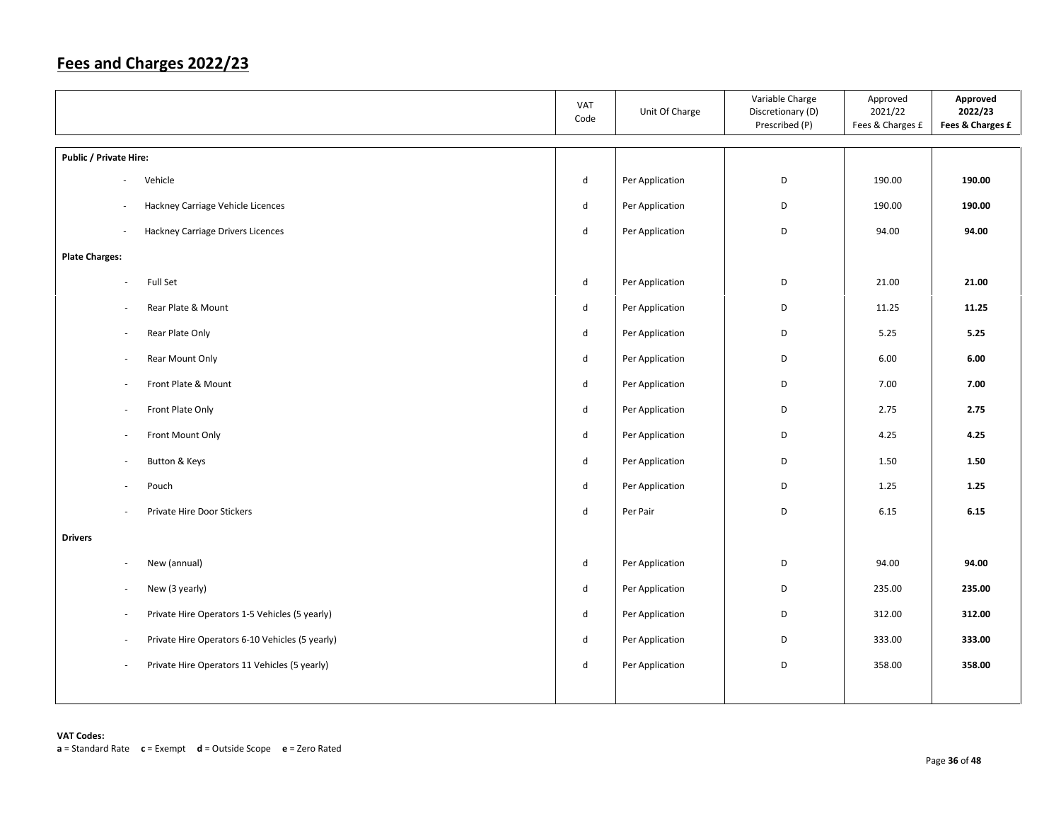|                                                                            | VAT<br>Code                 | Unit Of Charge  | Variable Charge<br>Discretionary (D)<br>Prescribed (P) | Approved<br>2021/22<br>Fees & Charges £ | Approved<br>2022/23<br>Fees & Charges £ |
|----------------------------------------------------------------------------|-----------------------------|-----------------|--------------------------------------------------------|-----------------------------------------|-----------------------------------------|
| Public / Private Hire:                                                     |                             |                 |                                                        |                                         |                                         |
| Vehicle<br>$\overline{\phantom{a}}$                                        | d                           | Per Application | D                                                      | 190.00                                  | 190.00                                  |
| Hackney Carriage Vehicle Licences<br>÷,                                    | d                           | Per Application | D                                                      | 190.00                                  | 190.00                                  |
| <b>Hackney Carriage Drivers Licences</b><br>÷,                             | d                           | Per Application | D                                                      | 94.00                                   | 94.00                                   |
| <b>Plate Charges:</b>                                                      |                             |                 |                                                        |                                         |                                         |
| Full Set<br>$\sim$                                                         | d                           | Per Application | D                                                      | 21.00                                   | 21.00                                   |
| Rear Plate & Mount<br>$\overline{\phantom{a}}$                             | d                           | Per Application | D                                                      | 11.25                                   | 11.25                                   |
| Rear Plate Only<br>$\sim$                                                  | $\operatorname{\mathsf{d}}$ | Per Application | D                                                      | 5.25                                    | 5.25                                    |
| Rear Mount Only<br>$\overline{\phantom{a}}$                                | d                           | Per Application | D                                                      | 6.00                                    | 6.00                                    |
| Front Plate & Mount<br>$\sim$                                              | d                           | Per Application | D                                                      | 7.00                                    | 7.00                                    |
| Front Plate Only<br>$\overline{\phantom{a}}$                               | d                           | Per Application | D                                                      | 2.75                                    | 2.75                                    |
| Front Mount Only<br>$\sim$                                                 | d                           | Per Application | D                                                      | 4.25                                    | 4.25                                    |
| Button & Keys<br>$\bar{a}$                                                 | d                           | Per Application | D                                                      | 1.50                                    | 1.50                                    |
| Pouch<br>×.                                                                | d                           | Per Application | D                                                      | 1.25                                    | 1.25                                    |
| Private Hire Door Stickers<br>$\overline{\phantom{a}}$                     | d                           | Per Pair        | D                                                      | 6.15                                    | 6.15                                    |
| <b>Drivers</b>                                                             |                             |                 |                                                        |                                         |                                         |
| New (annual)<br>$\sim$                                                     | d                           | Per Application | D                                                      | 94.00                                   | 94.00                                   |
| New (3 yearly)<br>$\sim$                                                   | d                           | Per Application | D                                                      | 235.00                                  | 235.00                                  |
| Private Hire Operators 1-5 Vehicles (5 yearly)<br>$\overline{\phantom{a}}$ | d                           | Per Application | D                                                      | 312.00                                  | 312.00                                  |
| Private Hire Operators 6-10 Vehicles (5 yearly)<br>÷,                      | d                           | Per Application | D                                                      | 333.00                                  | 333.00                                  |
| Private Hire Operators 11 Vehicles (5 yearly)<br>$\sim$                    | d                           | Per Application | D                                                      | 358.00                                  | 358.00                                  |
|                                                                            |                             |                 |                                                        |                                         |                                         |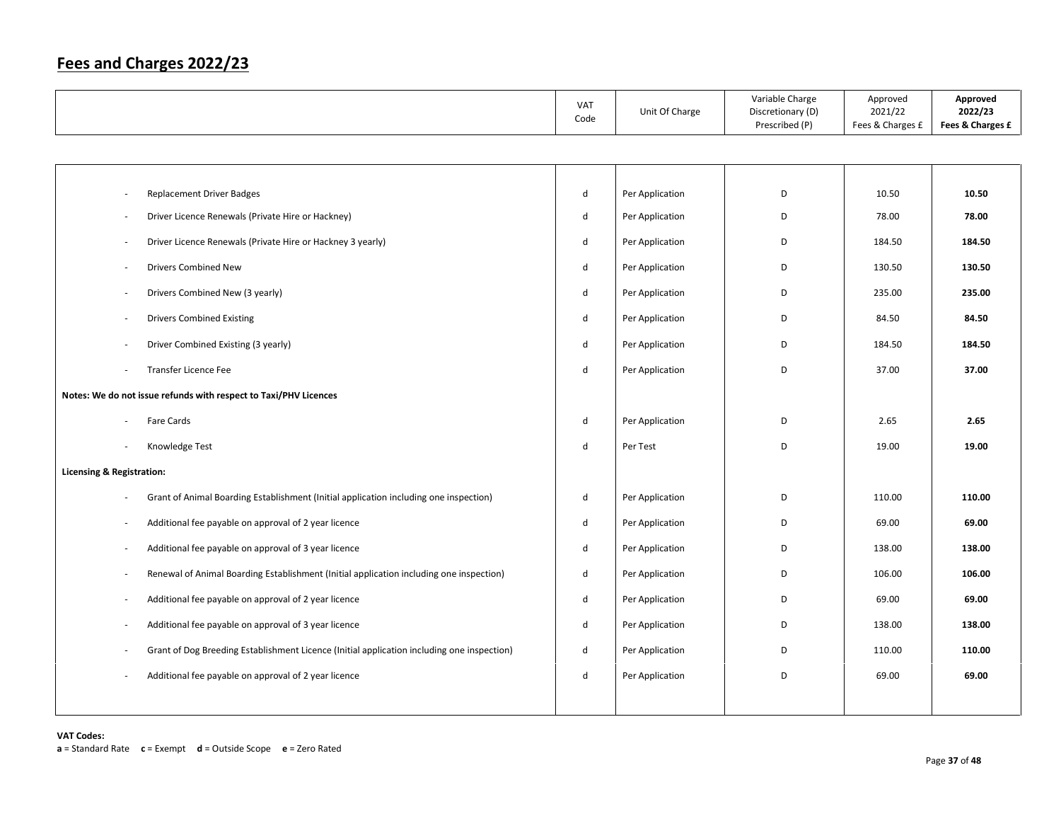|                                                                                            | VAT<br>Code                 | Unit Of Charge  | Variable Charge<br>Discretionary (D)<br>Prescribed (P) | Approved<br>2021/22<br>Fees & Charges £ | Approved<br>2022/23<br>Fees & Charges £ |
|--------------------------------------------------------------------------------------------|-----------------------------|-----------------|--------------------------------------------------------|-----------------------------------------|-----------------------------------------|
|                                                                                            |                             |                 |                                                        |                                         |                                         |
|                                                                                            |                             |                 |                                                        |                                         |                                         |
| <b>Replacement Driver Badges</b>                                                           | $\operatorname{\mathsf{d}}$ | Per Application | D                                                      | 10.50                                   | 10.50                                   |
| Driver Licence Renewals (Private Hire or Hackney)                                          | d                           | Per Application | D                                                      | 78.00                                   | 78.00                                   |
| Driver Licence Renewals (Private Hire or Hackney 3 yearly)                                 | $\mathsf{d}$                | Per Application | D                                                      | 184.50                                  | 184.50                                  |
| <b>Drivers Combined New</b>                                                                | $\mathsf{d}$                | Per Application | D                                                      | 130.50                                  | 130.50                                  |
| Drivers Combined New (3 yearly)                                                            | d                           | Per Application | D                                                      | 235.00                                  | 235.00                                  |
| <b>Drivers Combined Existing</b>                                                           | d                           | Per Application | D                                                      | 84.50                                   | 84.50                                   |
| Driver Combined Existing (3 yearly)                                                        | d                           | Per Application | D                                                      | 184.50                                  | 184.50                                  |
| Transfer Licence Fee                                                                       | d                           | Per Application | D                                                      | 37.00                                   | 37.00                                   |
| Notes: We do not issue refunds with respect to Taxi/PHV Licences                           |                             |                 |                                                        |                                         |                                         |
| Fare Cards                                                                                 | d                           | Per Application | D                                                      | 2.65                                    | 2.65                                    |
| Knowledge Test                                                                             | $\mathsf{d}$                | Per Test        | D                                                      | 19.00                                   | 19.00                                   |
| Licensing & Registration:                                                                  |                             |                 |                                                        |                                         |                                         |
| Grant of Animal Boarding Establishment (Initial application including one inspection)      | d                           | Per Application | D                                                      | 110.00                                  | 110.00                                  |
| Additional fee payable on approval of 2 year licence                                       | d                           | Per Application | D                                                      | 69.00                                   | 69.00                                   |
| Additional fee payable on approval of 3 year licence                                       | d                           | Per Application | D                                                      | 138.00                                  | 138.00                                  |
| Renewal of Animal Boarding Establishment (Initial application including one inspection)    | d                           | Per Application | D                                                      | 106.00                                  | 106.00                                  |
| Additional fee payable on approval of 2 year licence                                       | d                           | Per Application | D                                                      | 69.00                                   | 69.00                                   |
| Additional fee payable on approval of 3 year licence                                       | d                           | Per Application | D                                                      | 138.00                                  | 138.00                                  |
| Grant of Dog Breeding Establishment Licence (Initial application including one inspection) | d                           | Per Application | D                                                      | 110.00                                  | 110.00                                  |
| Additional fee payable on approval of 2 year licence                                       | d                           | Per Application | D                                                      | 69.00                                   | 69.00                                   |
|                                                                                            |                             |                 |                                                        |                                         |                                         |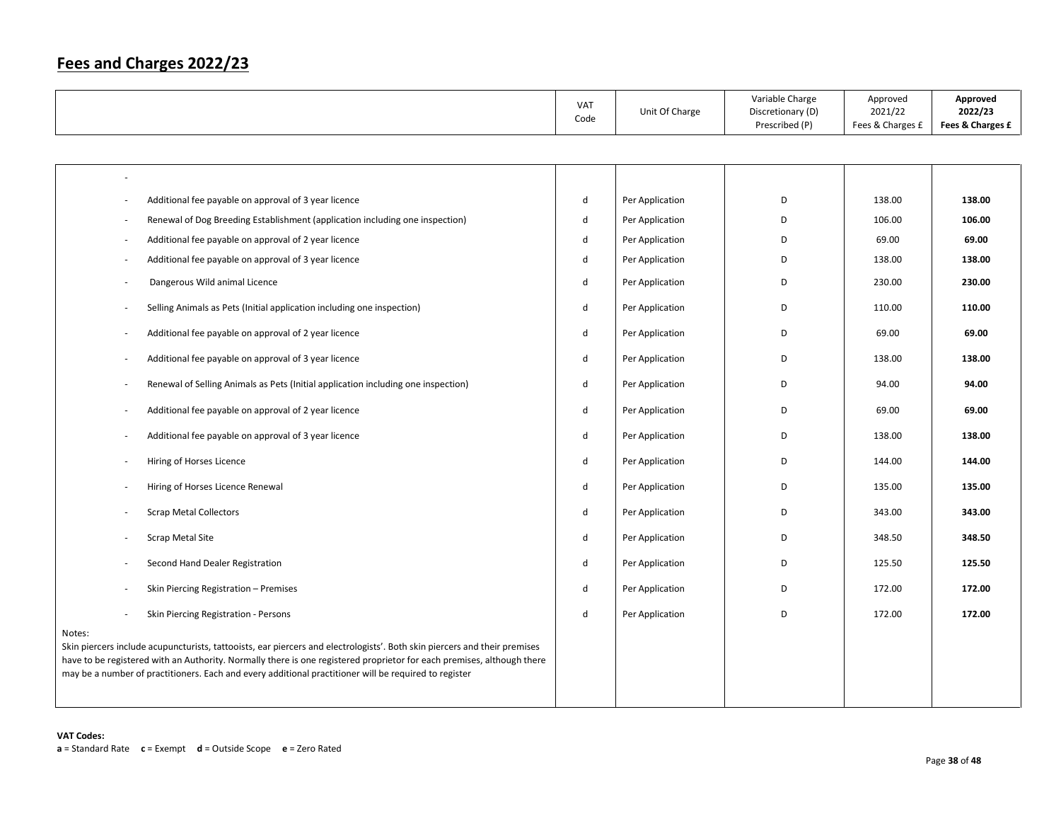|                                                                                                                                                                                                                                                                                                                                                                        | VAT<br>Code | Unit Of Charge  | Variable Charge<br>Discretionary (D)<br>Prescribed (P) | Approved<br>2021/22<br>Fees & Charges £ | Approved<br>2022/23<br>Fees & Charges £ |
|------------------------------------------------------------------------------------------------------------------------------------------------------------------------------------------------------------------------------------------------------------------------------------------------------------------------------------------------------------------------|-------------|-----------------|--------------------------------------------------------|-----------------------------------------|-----------------------------------------|
|                                                                                                                                                                                                                                                                                                                                                                        |             |                 |                                                        |                                         |                                         |
|                                                                                                                                                                                                                                                                                                                                                                        |             |                 |                                                        |                                         |                                         |
| Additional fee payable on approval of 3 year licence                                                                                                                                                                                                                                                                                                                   | d           | Per Application | D                                                      | 138.00                                  | 138.00                                  |
| Renewal of Dog Breeding Establishment (application including one inspection)                                                                                                                                                                                                                                                                                           | d           | Per Application | D                                                      | 106.00                                  | 106.00                                  |
| Additional fee payable on approval of 2 year licence                                                                                                                                                                                                                                                                                                                   | d           | Per Application | D                                                      | 69.00                                   | 69.00                                   |
| Additional fee payable on approval of 3 year licence                                                                                                                                                                                                                                                                                                                   | d           | Per Application | D                                                      | 138.00                                  | 138.00                                  |
| Dangerous Wild animal Licence                                                                                                                                                                                                                                                                                                                                          | d           | Per Application | D                                                      | 230.00                                  | 230.00                                  |
| Selling Animals as Pets (Initial application including one inspection)                                                                                                                                                                                                                                                                                                 | d           | Per Application | D                                                      | 110.00                                  | 110.00                                  |
| Additional fee payable on approval of 2 year licence                                                                                                                                                                                                                                                                                                                   | d           | Per Application | D                                                      | 69.00                                   | 69.00                                   |
| Additional fee payable on approval of 3 year licence                                                                                                                                                                                                                                                                                                                   | d           | Per Application | D                                                      | 138.00                                  | 138.00                                  |
| Renewal of Selling Animals as Pets (Initial application including one inspection)                                                                                                                                                                                                                                                                                      | d           | Per Application | D                                                      | 94.00                                   | 94.00                                   |
| Additional fee payable on approval of 2 year licence                                                                                                                                                                                                                                                                                                                   | d           | Per Application | D                                                      | 69.00                                   | 69.00                                   |
| Additional fee payable on approval of 3 year licence                                                                                                                                                                                                                                                                                                                   | d           | Per Application | D                                                      | 138.00                                  | 138.00                                  |
| Hiring of Horses Licence                                                                                                                                                                                                                                                                                                                                               | d           | Per Application | D                                                      | 144.00                                  | 144.00                                  |
| Hiring of Horses Licence Renewal                                                                                                                                                                                                                                                                                                                                       | d           | Per Application | D                                                      | 135.00                                  | 135.00                                  |
| <b>Scrap Metal Collectors</b>                                                                                                                                                                                                                                                                                                                                          | d           | Per Application | D                                                      | 343.00                                  | 343.00                                  |
| Scrap Metal Site                                                                                                                                                                                                                                                                                                                                                       | d           | Per Application | D                                                      | 348.50                                  | 348.50                                  |
| Second Hand Dealer Registration                                                                                                                                                                                                                                                                                                                                        | d           | Per Application | D                                                      | 125.50                                  | 125.50                                  |
| Skin Piercing Registration - Premises                                                                                                                                                                                                                                                                                                                                  | d           | Per Application | D                                                      | 172.00                                  | 172.00                                  |
| Skin Piercing Registration - Persons                                                                                                                                                                                                                                                                                                                                   | d           | Per Application | D                                                      | 172.00                                  | 172.00                                  |
| Notes:<br>Skin piercers include acupuncturists, tattooists, ear piercers and electrologists'. Both skin piercers and their premises<br>have to be registered with an Authority. Normally there is one registered proprietor for each premises, although there<br>may be a number of practitioners. Each and every additional practitioner will be required to register |             |                 |                                                        |                                         |                                         |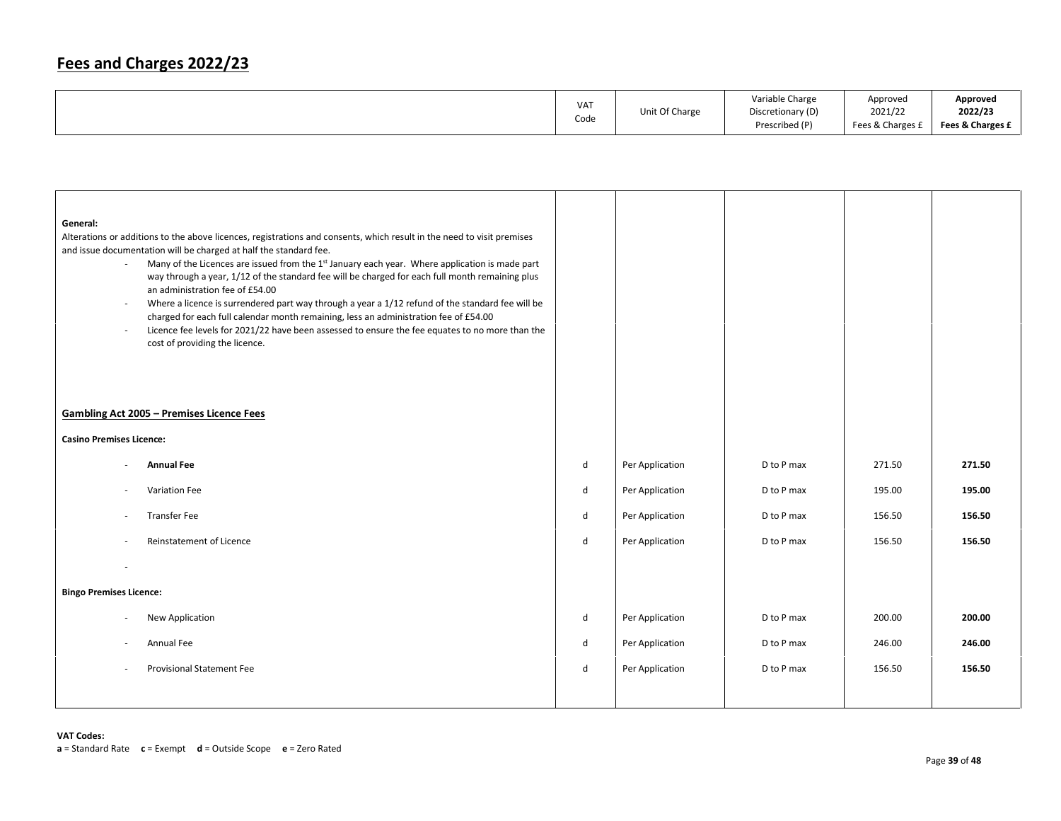|            | Unit Of Charge | Variable Charge   | Approved         | Approved         |
|------------|----------------|-------------------|------------------|------------------|
| <b>VAT</b> |                | Discretionary (D) | 2021/22          | 2022/23          |
| Code       |                | Prescribed (P)    | Fees & Charges £ | Fees & Charges £ |

| General:<br>$\sim$<br>$\sim$<br>$\overline{\phantom{a}}$ | Alterations or additions to the above licences, registrations and consents, which result in the need to visit premises<br>and issue documentation will be charged at half the standard fee.<br>Many of the Licences are issued from the 1st January each year. Where application is made part<br>way through a year, 1/12 of the standard fee will be charged for each full month remaining plus<br>an administration fee of £54.00<br>Where a licence is surrendered part way through a year a 1/12 refund of the standard fee will be<br>charged for each full calendar month remaining, less an administration fee of £54.00<br>Licence fee levels for 2021/22 have been assessed to ensure the fee equates to no more than the<br>cost of providing the licence. |   |                 |            |        |        |
|----------------------------------------------------------|----------------------------------------------------------------------------------------------------------------------------------------------------------------------------------------------------------------------------------------------------------------------------------------------------------------------------------------------------------------------------------------------------------------------------------------------------------------------------------------------------------------------------------------------------------------------------------------------------------------------------------------------------------------------------------------------------------------------------------------------------------------------|---|-----------------|------------|--------|--------|
|                                                          | <b>Gambling Act 2005 - Premises Licence Fees</b>                                                                                                                                                                                                                                                                                                                                                                                                                                                                                                                                                                                                                                                                                                                     |   |                 |            |        |        |
| <b>Casino Premises Licence:</b>                          |                                                                                                                                                                                                                                                                                                                                                                                                                                                                                                                                                                                                                                                                                                                                                                      |   |                 |            |        |        |
|                                                          | <b>Annual Fee</b>                                                                                                                                                                                                                                                                                                                                                                                                                                                                                                                                                                                                                                                                                                                                                    | d | Per Application | D to P max | 271.50 | 271.50 |
| ٠                                                        | Variation Fee                                                                                                                                                                                                                                                                                                                                                                                                                                                                                                                                                                                                                                                                                                                                                        | d | Per Application | D to P max | 195.00 | 195.00 |
| $\sim$                                                   | <b>Transfer Fee</b>                                                                                                                                                                                                                                                                                                                                                                                                                                                                                                                                                                                                                                                                                                                                                  | d | Per Application | D to P max | 156.50 | 156.50 |
|                                                          | <b>Reinstatement of Licence</b>                                                                                                                                                                                                                                                                                                                                                                                                                                                                                                                                                                                                                                                                                                                                      | d | Per Application | D to P max | 156.50 | 156.50 |
|                                                          |                                                                                                                                                                                                                                                                                                                                                                                                                                                                                                                                                                                                                                                                                                                                                                      |   |                 |            |        |        |
| <b>Bingo Premises Licence:</b>                           |                                                                                                                                                                                                                                                                                                                                                                                                                                                                                                                                                                                                                                                                                                                                                                      |   |                 |            |        |        |
|                                                          | New Application                                                                                                                                                                                                                                                                                                                                                                                                                                                                                                                                                                                                                                                                                                                                                      | d | Per Application | D to P max | 200.00 | 200.00 |
|                                                          | Annual Fee                                                                                                                                                                                                                                                                                                                                                                                                                                                                                                                                                                                                                                                                                                                                                           | d | Per Application | D to P max | 246.00 | 246.00 |
| ٠                                                        | <b>Provisional Statement Fee</b>                                                                                                                                                                                                                                                                                                                                                                                                                                                                                                                                                                                                                                                                                                                                     | d | Per Application | D to P max | 156.50 | 156.50 |
|                                                          |                                                                                                                                                                                                                                                                                                                                                                                                                                                                                                                                                                                                                                                                                                                                                                      |   |                 |            |        |        |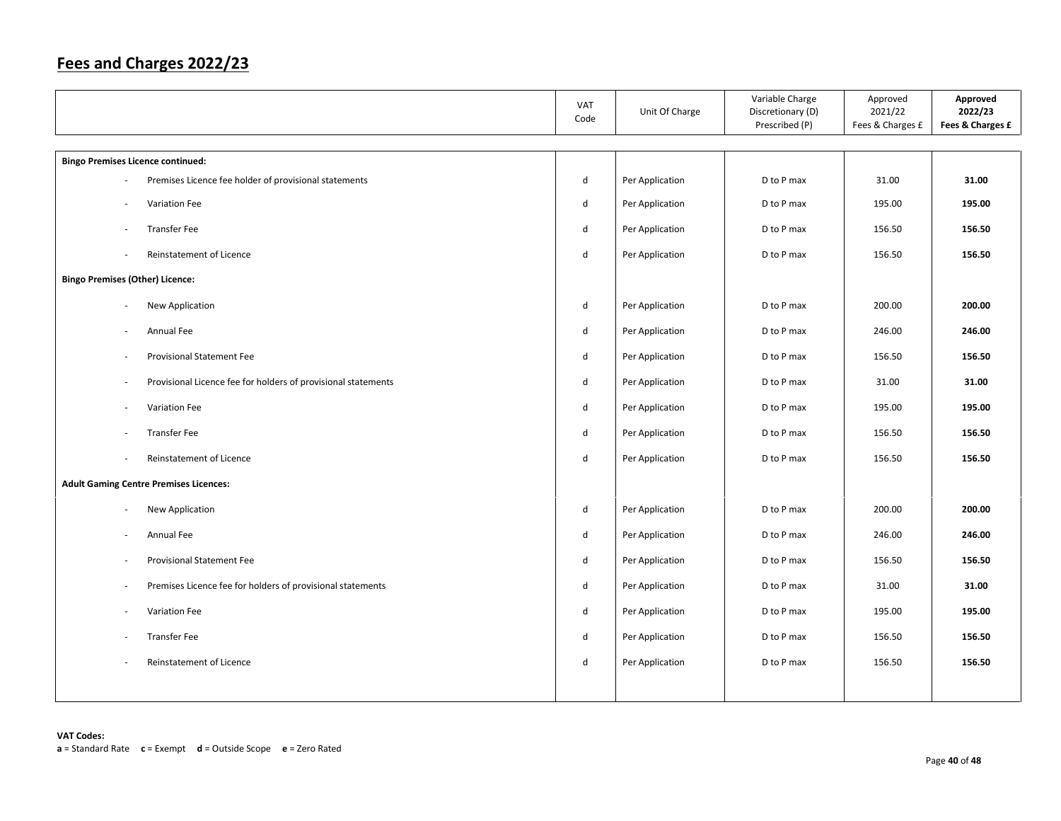|                                          |                                                               | <b>VAT</b><br>Code | Unit Of Charge  | Variable Charge<br>Discretionary (D)<br>Prescribed (P) | Approved<br>2021/22<br>Fees & Charges £ | Approved<br>2022/23<br>Fees & Charges £ |
|------------------------------------------|---------------------------------------------------------------|--------------------|-----------------|--------------------------------------------------------|-----------------------------------------|-----------------------------------------|
| <b>Bingo Premises Licence continued:</b> |                                                               |                    |                 |                                                        |                                         |                                         |
|                                          | Premises Licence fee holder of provisional statements         | d                  | Per Application | D to P max                                             | 31.00                                   | 31.00                                   |
| $\overline{\phantom{a}}$                 | Variation Fee                                                 | $\sf d$            | Per Application | D to P max                                             | 195.00                                  | 195.00                                  |
|                                          | <b>Transfer Fee</b>                                           | d                  | Per Application | D to P max                                             | 156.50                                  | 156.50                                  |
| $\overline{\phantom{a}}$                 | Reinstatement of Licence                                      | $\sf d$            | Per Application | D to P max                                             | 156.50                                  | 156.50                                  |
| <b>Bingo Premises (Other) Licence:</b>   |                                                               |                    |                 |                                                        |                                         |                                         |
| $\sim$                                   | New Application                                               | d                  | Per Application | D to P max                                             | 200.00                                  | 200.00                                  |
|                                          | Annual Fee                                                    | $\sf d$            | Per Application | D to P max                                             | 246.00                                  | 246.00                                  |
| $\sim$                                   | Provisional Statement Fee                                     | d                  | Per Application | D to P max                                             | 156.50                                  | 156.50                                  |
| $\overline{\phantom{a}}$                 | Provisional Licence fee for holders of provisional statements | d                  | Per Application | D to P max                                             | 31.00                                   | 31.00                                   |
| $\overline{\phantom{a}}$                 | Variation Fee                                                 | d                  | Per Application | D to P max                                             | 195.00                                  | 195.00                                  |
|                                          | <b>Transfer Fee</b>                                           | $\sf d$            | Per Application | D to P max                                             | 156.50                                  | 156.50                                  |
| ÷,                                       | Reinstatement of Licence                                      | $\sf d$            | Per Application | D to P max                                             | 156.50                                  | 156.50                                  |
|                                          | <b>Adult Gaming Centre Premises Licences:</b>                 |                    |                 |                                                        |                                         |                                         |
| $\overline{\phantom{a}}$                 | New Application                                               | $\sf d$            | Per Application | D to P max                                             | 200.00                                  | 200.00                                  |
| ÷,                                       | Annual Fee                                                    | $\sf d$            | Per Application | D to P max                                             | 246.00                                  | 246.00                                  |
|                                          | Provisional Statement Fee                                     | $\sf d$            | Per Application | D to P max                                             | 156.50                                  | 156.50                                  |
| ÷,                                       | Premises Licence fee for holders of provisional statements    | $\sf d$            | Per Application | D to P max                                             | 31.00                                   | 31.00                                   |
| ÷,                                       | Variation Fee                                                 | $\sf d$            | Per Application | D to P max                                             | 195.00                                  | 195.00                                  |
| $\sim$                                   | <b>Transfer Fee</b>                                           | d                  | Per Application | D to P max                                             | 156.50                                  | 156.50                                  |
|                                          | Reinstatement of Licence                                      | $\sf d$            | Per Application | D to P max                                             | 156.50                                  | 156.50                                  |
|                                          |                                                               |                    |                 |                                                        |                                         |                                         |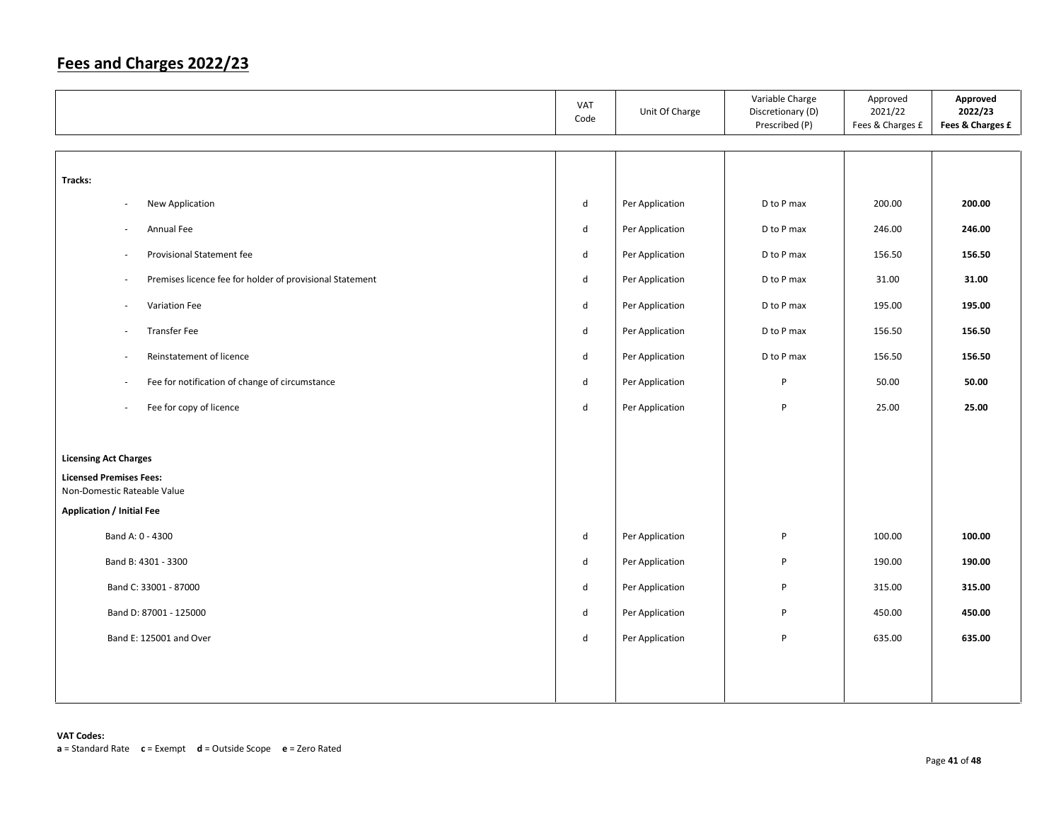|                                                                | VAT<br>Code | Unit Of Charge  | Variable Charge<br>Discretionary (D)<br>Prescribed (P) | Approved<br>2021/22<br>Fees & Charges £ | Approved<br>2022/23<br>Fees & Charges £ |
|----------------------------------------------------------------|-------------|-----------------|--------------------------------------------------------|-----------------------------------------|-----------------------------------------|
|                                                                |             |                 |                                                        |                                         |                                         |
| Tracks:                                                        |             |                 |                                                        |                                         |                                         |
| New Application<br>÷,                                          | d           | Per Application | D to P max                                             | 200.00                                  | 200.00                                  |
| Annual Fee<br>$\overline{\phantom{a}}$                         | d           | Per Application | D to P max                                             | 246.00                                  | 246.00                                  |
| Provisional Statement fee<br>ä,                                | d           | Per Application | D to P max                                             | 156.50                                  | 156.50                                  |
| Premises licence fee for holder of provisional Statement<br>÷, | d           | Per Application | D to P max                                             | 31.00                                   | 31.00                                   |
| Variation Fee<br>$\overline{\phantom{a}}$                      | d           | Per Application | D to P max                                             | 195.00                                  | 195.00                                  |
| <b>Transfer Fee</b><br>$\overline{\phantom{a}}$                | d           | Per Application | D to P max                                             | 156.50                                  | 156.50                                  |
| Reinstatement of licence<br>$\overline{\phantom{a}}$           | d           | Per Application | D to P max                                             | 156.50                                  | 156.50                                  |
| Fee for notification of change of circumstance<br>÷,           | d           | Per Application | $\sf P$                                                | 50.00                                   | 50.00                                   |
| Fee for copy of licence<br>÷,                                  | d           | Per Application | P                                                      | 25.00                                   | 25.00                                   |
|                                                                |             |                 |                                                        |                                         |                                         |
| <b>Licensing Act Charges</b>                                   |             |                 |                                                        |                                         |                                         |
| <b>Licensed Premises Fees:</b><br>Non-Domestic Rateable Value  |             |                 |                                                        |                                         |                                         |
| <b>Application / Initial Fee</b>                               |             |                 |                                                        |                                         |                                         |
| Band A: 0 - 4300                                               | d           | Per Application | P                                                      | 100.00                                  | 100.00                                  |
| Band B: 4301 - 3300                                            | d           | Per Application | P                                                      | 190.00                                  | 190.00                                  |
| Band C: 33001 - 87000                                          | d           | Per Application | P                                                      | 315.00                                  | 315.00                                  |
| Band D: 87001 - 125000                                         | d           | Per Application | P                                                      | 450.00                                  | 450.00                                  |
| Band E: 125001 and Over                                        | d           | Per Application | P                                                      | 635.00                                  | 635.00                                  |
|                                                                |             |                 |                                                        |                                         |                                         |
|                                                                |             |                 |                                                        |                                         |                                         |
|                                                                |             |                 |                                                        |                                         |                                         |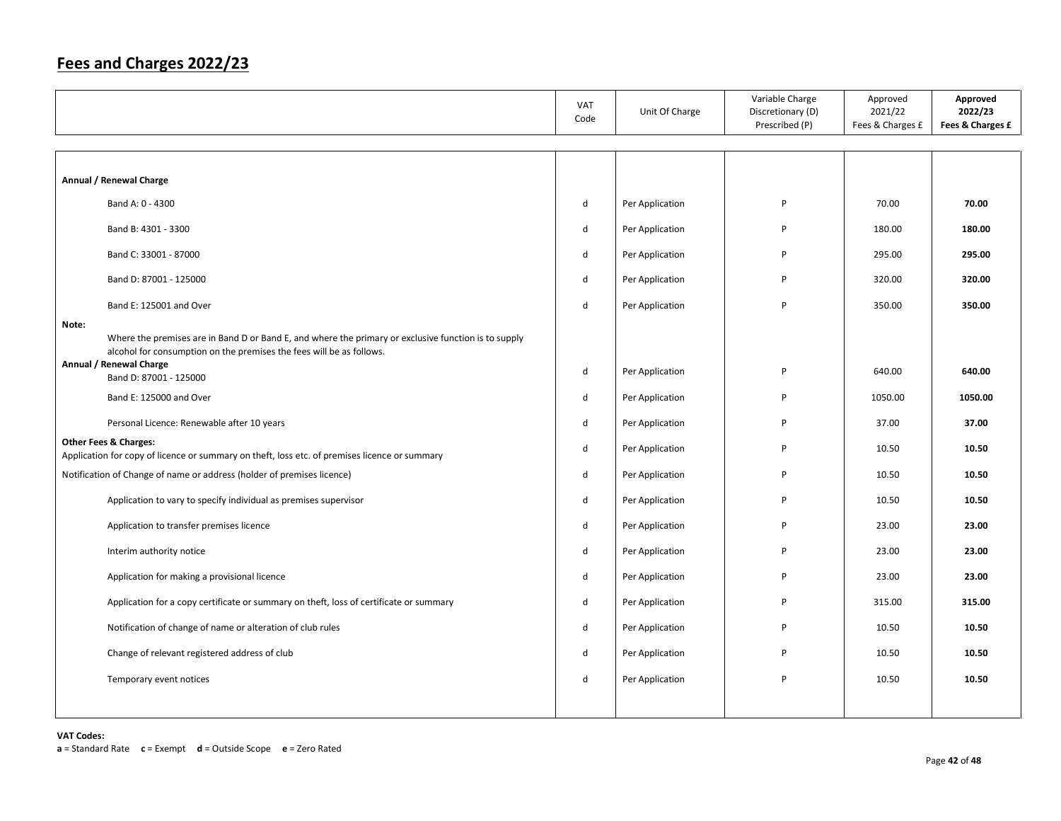|       |                                                                                                                                                                              | VAT<br>Code | Unit Of Charge  | Variable Charge<br>Discretionary (D)<br>Prescribed (P) | Approved<br>2021/22<br>Fees & Charges £ | Approved<br>2022/23<br>Fees & Charges £ |
|-------|------------------------------------------------------------------------------------------------------------------------------------------------------------------------------|-------------|-----------------|--------------------------------------------------------|-----------------------------------------|-----------------------------------------|
|       |                                                                                                                                                                              |             |                 |                                                        |                                         |                                         |
|       | Annual / Renewal Charge                                                                                                                                                      |             |                 |                                                        |                                         |                                         |
|       | Band A: 0 - 4300                                                                                                                                                             | d           | Per Application | P                                                      | 70.00                                   | 70.00                                   |
|       | Band B: 4301 - 3300                                                                                                                                                          | d           | Per Application | P                                                      | 180.00                                  | 180.00                                  |
|       | Band C: 33001 - 87000                                                                                                                                                        | d           | Per Application | P                                                      | 295.00                                  | 295.00                                  |
|       | Band D: 87001 - 125000                                                                                                                                                       | d           | Per Application | P                                                      | 320.00                                  | 320.00                                  |
|       | Band E: 125001 and Over                                                                                                                                                      | d           | Per Application | P                                                      | 350.00                                  | 350.00                                  |
| Note: | Where the premises are in Band D or Band E, and where the primary or exclusive function is to supply<br>alcohol for consumption on the premises the fees will be as follows. |             |                 |                                                        |                                         |                                         |
|       | Annual / Renewal Charge<br>Band D: 87001 - 125000                                                                                                                            | d           | Per Application | P                                                      | 640.00                                  | 640.00                                  |
|       | Band E: 125000 and Over                                                                                                                                                      | d           | Per Application | P                                                      | 1050.00                                 | 1050.00                                 |
|       | Personal Licence: Renewable after 10 years                                                                                                                                   | d           | Per Application | P                                                      | 37.00                                   | 37.00                                   |
|       | <b>Other Fees &amp; Charges:</b><br>Application for copy of licence or summary on theft, loss etc. of premises licence or summary                                            | d           | Per Application | P                                                      | 10.50                                   | 10.50                                   |
|       | Notification of Change of name or address (holder of premises licence)                                                                                                       | d           | Per Application | P                                                      | 10.50                                   | 10.50                                   |
|       | Application to vary to specify individual as premises supervisor                                                                                                             | d           | Per Application | P                                                      | 10.50                                   | 10.50                                   |
|       | Application to transfer premises licence                                                                                                                                     | d           | Per Application | P                                                      | 23.00                                   | 23.00                                   |
|       | Interim authority notice                                                                                                                                                     | d           | Per Application | P                                                      | 23.00                                   | 23.00                                   |
|       | Application for making a provisional licence                                                                                                                                 | d           | Per Application | P                                                      | 23.00                                   | 23.00                                   |
|       | Application for a copy certificate or summary on theft, loss of certificate or summary                                                                                       | d           | Per Application | P                                                      | 315.00                                  | 315.00                                  |
|       | Notification of change of name or alteration of club rules                                                                                                                   | d           | Per Application | P                                                      | 10.50                                   | 10.50                                   |
|       | Change of relevant registered address of club                                                                                                                                | d           | Per Application | P                                                      | 10.50                                   | 10.50                                   |
|       | Temporary event notices                                                                                                                                                      | d           | Per Application | P                                                      | 10.50                                   | 10.50                                   |
|       |                                                                                                                                                                              |             |                 |                                                        |                                         |                                         |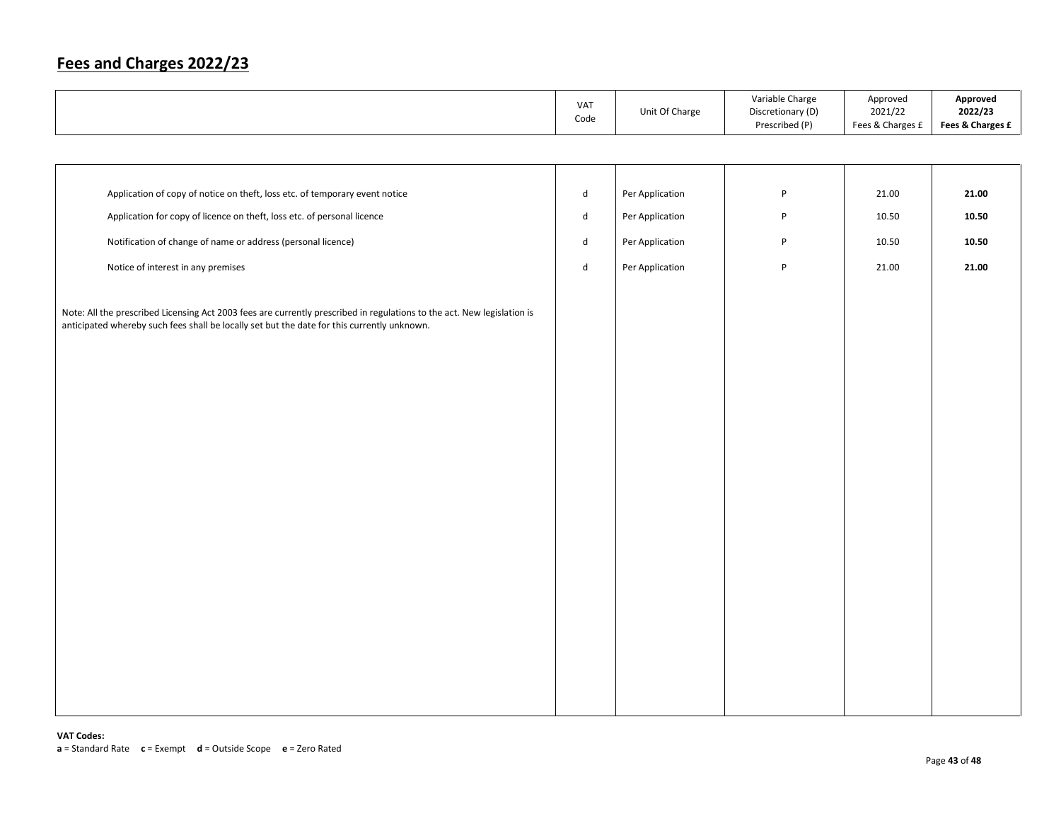|                                                                                                                                                                                                                        | VAT<br>Code                 | Unit Of Charge  | Variable Charge<br>Discretionary (D)<br>Prescribed (P) | Approved<br>2021/22<br>Fees & Charges £ | Approved<br>2022/23<br>Fees & Charges £ |
|------------------------------------------------------------------------------------------------------------------------------------------------------------------------------------------------------------------------|-----------------------------|-----------------|--------------------------------------------------------|-----------------------------------------|-----------------------------------------|
|                                                                                                                                                                                                                        |                             |                 |                                                        |                                         |                                         |
|                                                                                                                                                                                                                        |                             |                 |                                                        |                                         |                                         |
| Application of copy of notice on theft, loss etc. of temporary event notice                                                                                                                                            | $\operatorname{\mathsf{d}}$ | Per Application | $\sf P$                                                | 21.00                                   | 21.00                                   |
| Application for copy of licence on theft, loss etc. of personal licence                                                                                                                                                | d                           | Per Application | $\mathsf{P}$                                           | 10.50                                   | 10.50                                   |
| Notification of change of name or address (personal licence)                                                                                                                                                           | d                           | Per Application | $\mathsf{P}$                                           | 10.50                                   | 10.50                                   |
| Notice of interest in any premises                                                                                                                                                                                     | ${\sf d}$                   | Per Application | $\sf P$                                                | 21.00                                   | 21.00                                   |
| Note: All the prescribed Licensing Act 2003 fees are currently prescribed in regulations to the act. New legislation is<br>anticipated whereby such fees shall be locally set but the date for this currently unknown. |                             |                 |                                                        |                                         |                                         |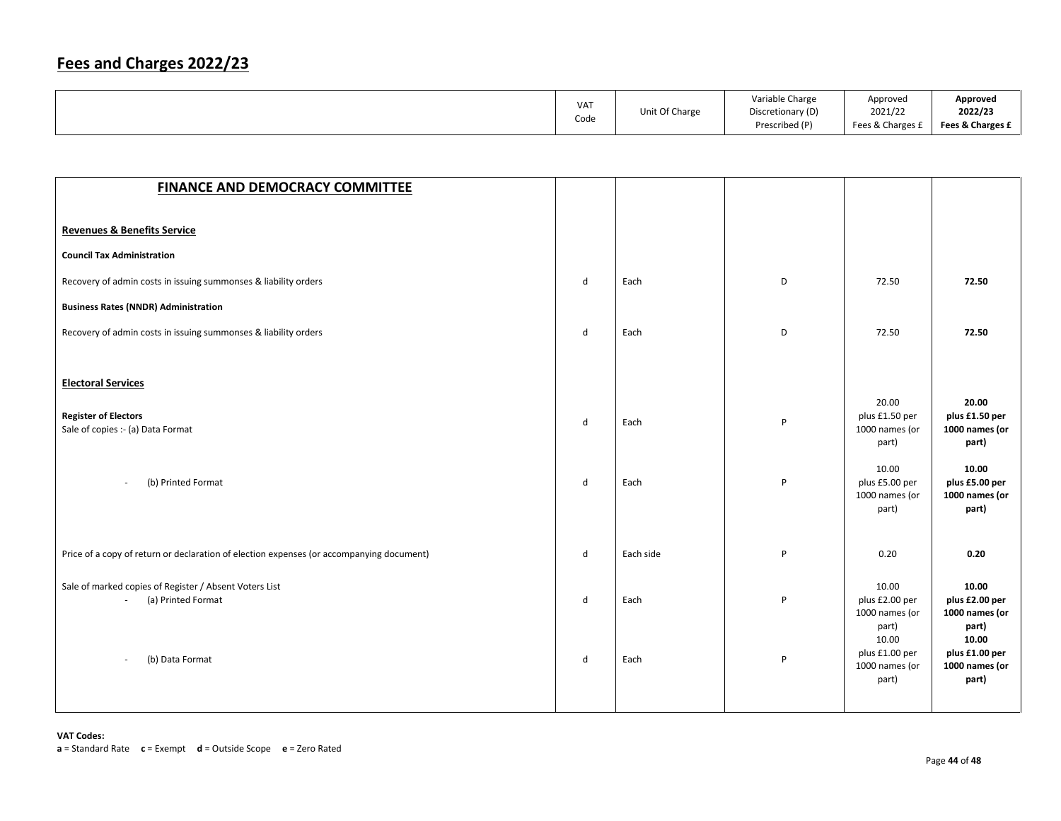| VA <sub>1</sub><br>Code | Unit Of Charge | Variable Charge<br>Discretionary (D)<br>Prescribed (P) | Approved<br>2021/22<br>Fees & Charges £ | Approved<br>2022/23<br>Fees & Charges £ |
|-------------------------|----------------|--------------------------------------------------------|-----------------------------------------|-----------------------------------------|
|                         |                |                                                        |                                         |                                         |

| <b>FINANCE AND DEMOCRACY COMMITTEE</b>                                                   |              |           |   |                                                             |                                                             |
|------------------------------------------------------------------------------------------|--------------|-----------|---|-------------------------------------------------------------|-------------------------------------------------------------|
|                                                                                          |              |           |   |                                                             |                                                             |
| <b>Revenues &amp; Benefits Service</b>                                                   |              |           |   |                                                             |                                                             |
| <b>Council Tax Administration</b>                                                        |              |           |   |                                                             |                                                             |
| Recovery of admin costs in issuing summonses & liability orders                          | d            | Each      | D | 72.50                                                       | 72.50                                                       |
| <b>Business Rates (NNDR) Administration</b>                                              |              |           |   |                                                             |                                                             |
| Recovery of admin costs in issuing summonses & liability orders                          | d            | Each      | D | 72.50                                                       | 72.50                                                       |
|                                                                                          |              |           |   |                                                             |                                                             |
| <b>Electoral Services</b>                                                                |              |           |   |                                                             |                                                             |
| <b>Register of Electors</b><br>Sale of copies :- (a) Data Format                         | $\mathsf{d}$ | Each      | P | 20.00<br>plus £1.50 per<br>1000 names (or<br>part)          | 20.00<br>plus £1.50 per<br>1000 names (or<br>part)          |
| (b) Printed Format<br>$\sim$                                                             | d            | Each      | P | 10.00<br>plus £5.00 per<br>1000 names (or<br>part)          | 10.00<br>plus £5.00 per<br>1000 names (or<br>part)          |
| Price of a copy of return or declaration of election expenses (or accompanying document) | d            | Each side | P | 0.20                                                        | 0.20                                                        |
| Sale of marked copies of Register / Absent Voters List<br>(a) Printed Format             | d            | Each      | P | 10.00<br>plus £2.00 per<br>1000 names (or<br>part)<br>10.00 | 10.00<br>plus £2.00 per<br>1000 names (or<br>part)<br>10.00 |
| (b) Data Format                                                                          | $\mathsf{d}$ | Each      | P | plus £1.00 per<br>1000 names (or<br>part)                   | plus £1.00 per<br>1000 names (or<br>part)                   |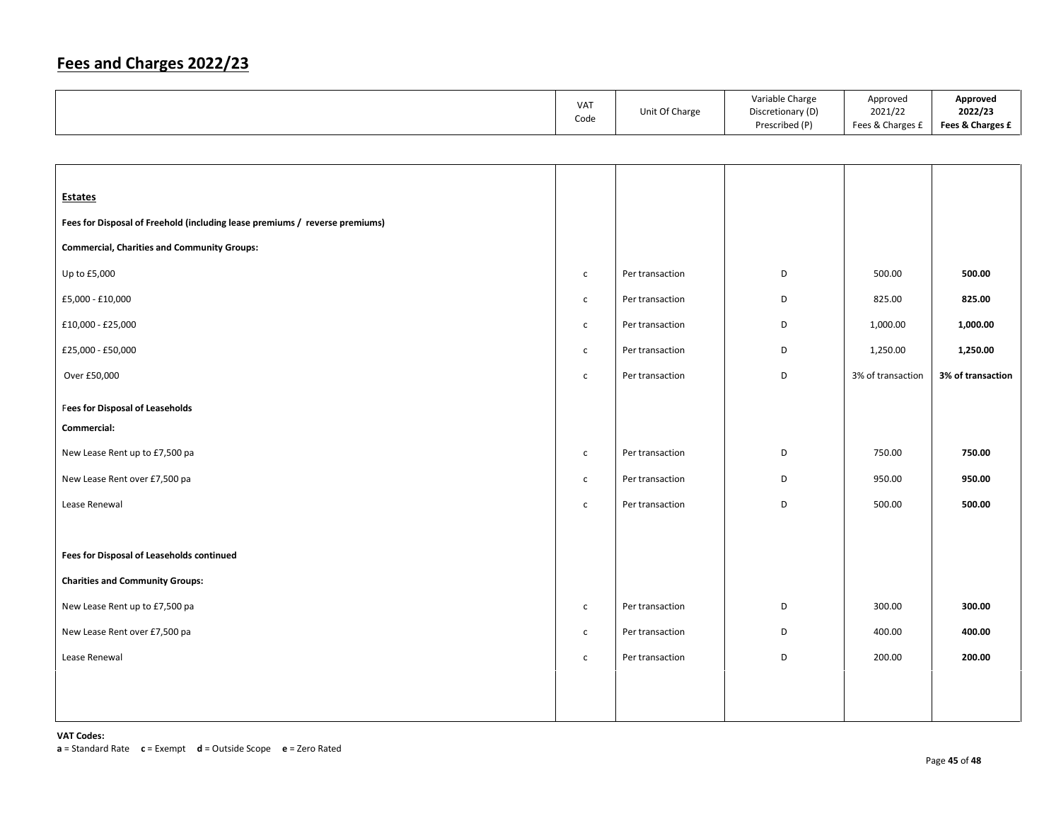| <b>VAT</b> | Unit Of Charge | Variable Charge<br>Discretionary (D) | Approved<br>2021/22 | Approved<br>2022/23 |
|------------|----------------|--------------------------------------|---------------------|---------------------|
| Code       |                | Prescribed (P)                       | Fees & Charges £    | Fees & Charges £    |

| $\mathsf{C}$ | Per transaction | D | 500.00            | 500.00            |
|--------------|-----------------|---|-------------------|-------------------|
| $\mathsf{C}$ | Per transaction | D | 825.00            | 825.00            |
| $\mathsf{C}$ | Per transaction | D | 1,000.00          | 1,000.00          |
| $\mathsf{C}$ | Per transaction | D | 1,250.00          | 1,250.00          |
| $\mathsf{C}$ | Per transaction | D | 3% of transaction | 3% of transaction |
|              |                 |   |                   |                   |
|              |                 |   |                   |                   |
| $\mathsf{C}$ | Per transaction | D | 750.00            | 750.00            |
| $\mathsf{C}$ | Per transaction | D | 950.00            | 950.00            |
| $\mathsf{C}$ | Per transaction | D | 500.00            | 500.00            |
|              |                 |   |                   |                   |
|              |                 |   |                   |                   |
|              |                 |   |                   |                   |
| $\mathsf{C}$ | Per transaction | D | 300.00            | 300.00            |
| $\mathsf{C}$ | Per transaction | D | 400.00            | 400.00            |
| $\mathsf{C}$ | Per transaction | D | 200.00            | 200.00            |
|              |                 |   |                   |                   |
|              |                 |   |                   |                   |
|              |                 |   |                   |                   |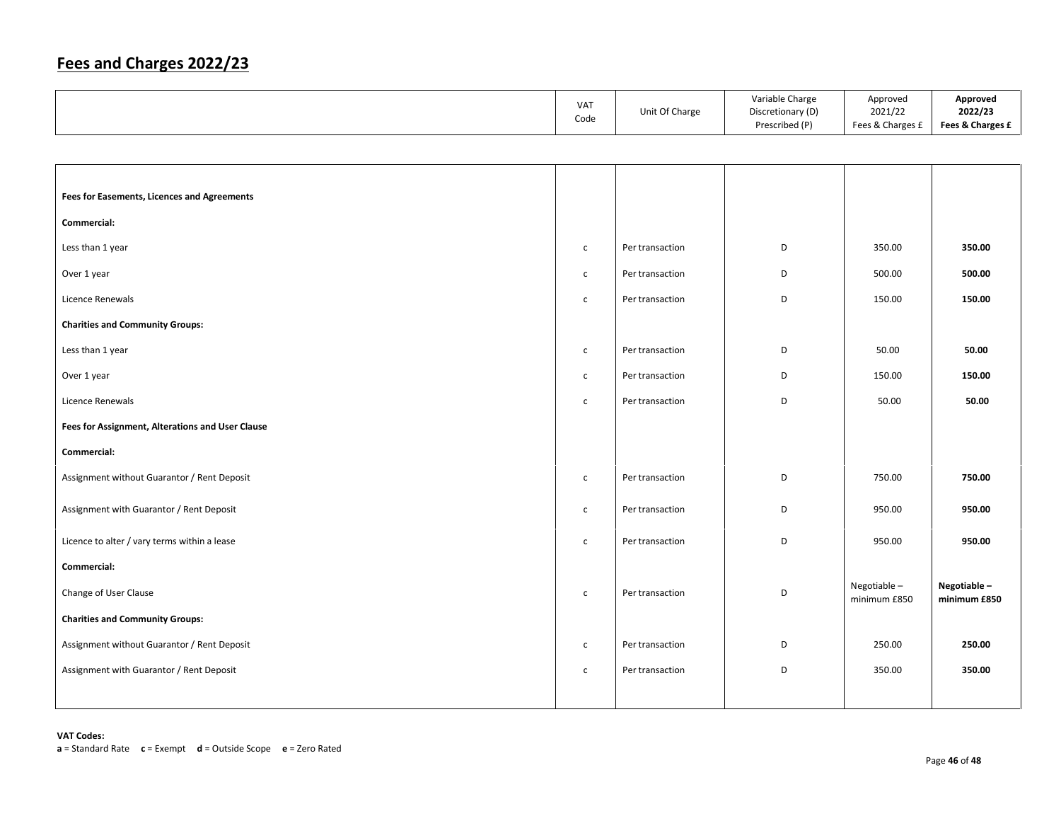|                                                  | VAT<br>Code  | Unit Of Charge  | Variable Charge<br>Discretionary (D)<br>Prescribed (P) | Approved<br>2021/22<br>Fees & Charges £ | Approved<br>2022/23<br>Fees & Charges £ |
|--------------------------------------------------|--------------|-----------------|--------------------------------------------------------|-----------------------------------------|-----------------------------------------|
|                                                  |              |                 |                                                        |                                         |                                         |
|                                                  |              |                 |                                                        |                                         |                                         |
| Fees for Easements, Licences and Agreements      |              |                 |                                                        |                                         |                                         |
| Commercial:                                      |              |                 |                                                        |                                         |                                         |
| Less than 1 year                                 | $\mathsf{C}$ | Per transaction | D                                                      | 350.00                                  | 350.00                                  |
| Over 1 year                                      | $\mathsf{C}$ | Per transaction | D                                                      | 500.00                                  | 500.00                                  |
| Licence Renewals                                 | $\mathsf{C}$ | Per transaction | D                                                      | 150.00                                  | 150.00                                  |
| <b>Charities and Community Groups:</b>           |              |                 |                                                        |                                         |                                         |
| Less than 1 year                                 | $\mathsf{C}$ | Per transaction | D                                                      | 50.00                                   | 50.00                                   |
| Over 1 year                                      | $\mathsf{C}$ | Per transaction | D                                                      | 150.00                                  | 150.00                                  |
| Licence Renewals                                 | $\mathsf{C}$ | Per transaction | D                                                      | 50.00                                   | 50.00                                   |
| Fees for Assignment, Alterations and User Clause |              |                 |                                                        |                                         |                                         |
| Commercial:                                      |              |                 |                                                        |                                         |                                         |
| Assignment without Guarantor / Rent Deposit      | $\mathsf{C}$ | Per transaction | D                                                      | 750.00                                  | 750.00                                  |
| Assignment with Guarantor / Rent Deposit         | $\mathsf{C}$ | Per transaction | D                                                      | 950.00                                  | 950.00                                  |
| Licence to alter / vary terms within a lease     | $\mathsf{c}$ | Per transaction | D                                                      | 950.00                                  | 950.00                                  |
| Commercial:                                      |              |                 |                                                        |                                         |                                         |
| Change of User Clause                            | $\mathsf{C}$ | Per transaction | D                                                      | Negotiable-<br>minimum £850             | Negotiable-<br>minimum £850             |
| <b>Charities and Community Groups:</b>           |              |                 |                                                        |                                         |                                         |
| Assignment without Guarantor / Rent Deposit      | $\mathsf{C}$ | Per transaction | D                                                      | 250.00                                  | 250.00                                  |
| Assignment with Guarantor / Rent Deposit         | $\mathsf{C}$ | Per transaction | D                                                      | 350.00                                  | 350.00                                  |
|                                                  |              |                 |                                                        |                                         |                                         |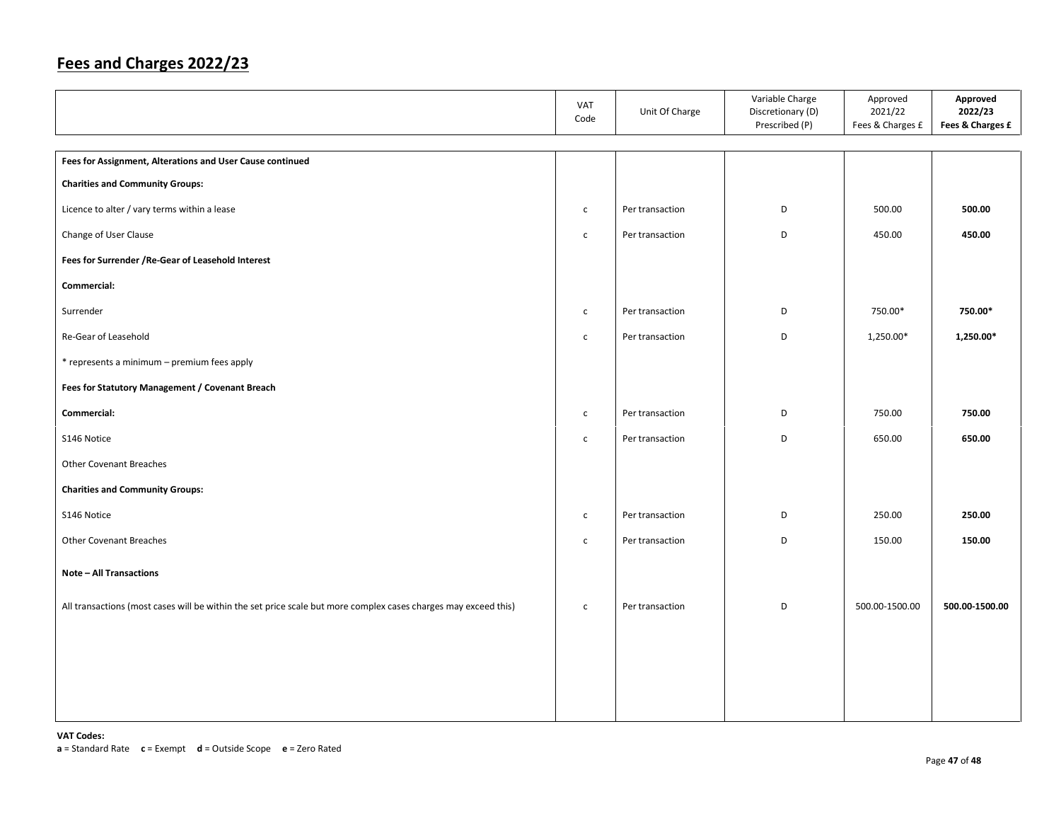|                                                                                                                 | VAT<br>Code  | Unit Of Charge  | Variable Charge<br>Discretionary (D)<br>Prescribed (P) | Approved<br>2021/22<br>Fees & Charges £ | Approved<br>2022/23<br>Fees & Charges £ |
|-----------------------------------------------------------------------------------------------------------------|--------------|-----------------|--------------------------------------------------------|-----------------------------------------|-----------------------------------------|
| Fees for Assignment, Alterations and User Cause continued                                                       |              |                 |                                                        |                                         |                                         |
| <b>Charities and Community Groups:</b>                                                                          |              |                 |                                                        |                                         |                                         |
| Licence to alter / vary terms within a lease                                                                    | $\mathsf{c}$ | Per transaction | D                                                      | 500.00                                  | 500.00                                  |
| Change of User Clause                                                                                           | $\mathsf{c}$ | Per transaction | D                                                      | 450.00                                  | 450.00                                  |
| Fees for Surrender / Re-Gear of Leasehold Interest                                                              |              |                 |                                                        |                                         |                                         |
| Commercial:                                                                                                     |              |                 |                                                        |                                         |                                         |
| Surrender                                                                                                       | $\mathsf{C}$ | Per transaction | D                                                      | 750.00*                                 | 750.00*                                 |
| Re-Gear of Leasehold                                                                                            | $\mathsf{C}$ | Per transaction | D                                                      | 1,250.00*                               | 1,250.00*                               |
| * represents a minimum - premium fees apply                                                                     |              |                 |                                                        |                                         |                                         |
| Fees for Statutory Management / Covenant Breach                                                                 |              |                 |                                                        |                                         |                                         |
| Commercial:                                                                                                     | $\mathsf{C}$ | Per transaction | D                                                      | 750.00                                  | 750.00                                  |
| S146 Notice                                                                                                     | $\mathsf{c}$ | Per transaction | D                                                      | 650.00                                  | 650.00                                  |
| <b>Other Covenant Breaches</b>                                                                                  |              |                 |                                                        |                                         |                                         |
| <b>Charities and Community Groups:</b>                                                                          |              |                 |                                                        |                                         |                                         |
| S146 Notice                                                                                                     | $\mathsf{C}$ | Per transaction | D                                                      | 250.00                                  | 250.00                                  |
| <b>Other Covenant Breaches</b>                                                                                  | $\mathsf{C}$ | Per transaction | D                                                      | 150.00                                  | 150.00                                  |
| <b>Note - All Transactions</b>                                                                                  |              |                 |                                                        |                                         |                                         |
| All transactions (most cases will be within the set price scale but more complex cases charges may exceed this) | $\mathsf{C}$ | Per transaction | D                                                      | 500.00-1500.00                          | 500.00-1500.00                          |
|                                                                                                                 |              |                 |                                                        |                                         |                                         |
|                                                                                                                 |              |                 |                                                        |                                         |                                         |
|                                                                                                                 |              |                 |                                                        |                                         |                                         |
|                                                                                                                 |              |                 |                                                        |                                         |                                         |